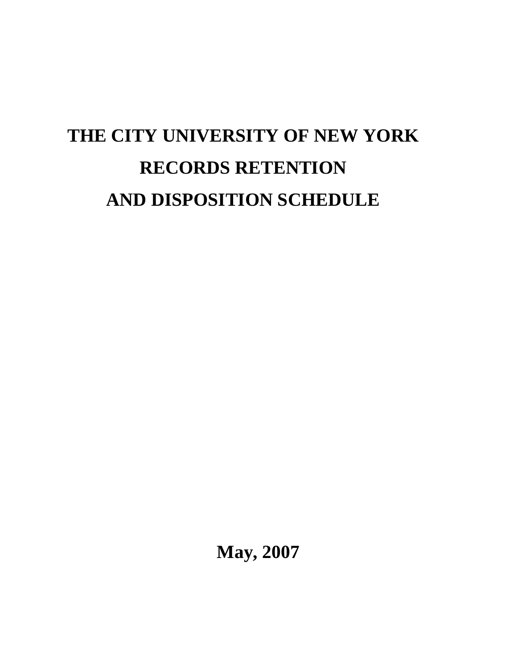# **THE CITY UNIVERSITY OF NEW YORK RECORDS RETENTION AND DISPOSITION SCHEDULE**

**May, 2007**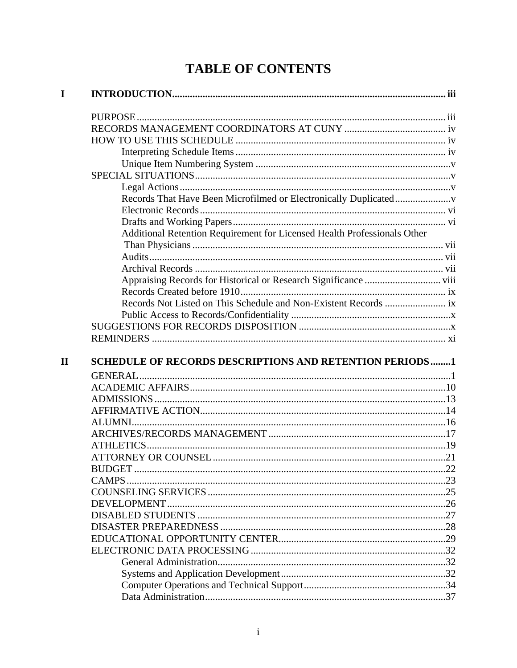## **TABLE OF CONTENTS**

| Additional Retention Requirement for Licensed Health Professionals Other |  |
|--------------------------------------------------------------------------|--|
|                                                                          |  |
|                                                                          |  |
|                                                                          |  |
|                                                                          |  |
|                                                                          |  |
|                                                                          |  |
|                                                                          |  |
|                                                                          |  |
|                                                                          |  |
| <b>SCHEDULE OF RECORDS DESCRIPTIONS AND RETENTION PERIODS1</b>           |  |
|                                                                          |  |
|                                                                          |  |
|                                                                          |  |
|                                                                          |  |
|                                                                          |  |
|                                                                          |  |
|                                                                          |  |
|                                                                          |  |
| CAMPS.                                                                   |  |
|                                                                          |  |
|                                                                          |  |
|                                                                          |  |
|                                                                          |  |
|                                                                          |  |
|                                                                          |  |
|                                                                          |  |
|                                                                          |  |
|                                                                          |  |
|                                                                          |  |
|                                                                          |  |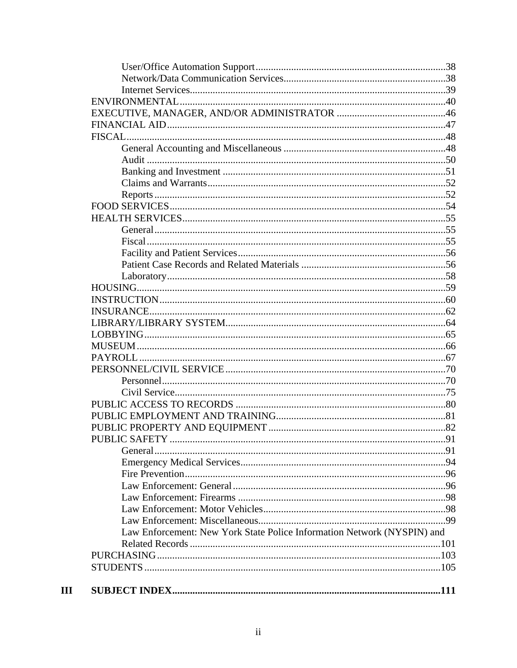| Law Enforcement: New York State Police Information Network (NYSPIN) and |  |
|-------------------------------------------------------------------------|--|
|                                                                         |  |
|                                                                         |  |
|                                                                         |  |
|                                                                         |  |
|                                                                         |  |

 $\mathbf{III}$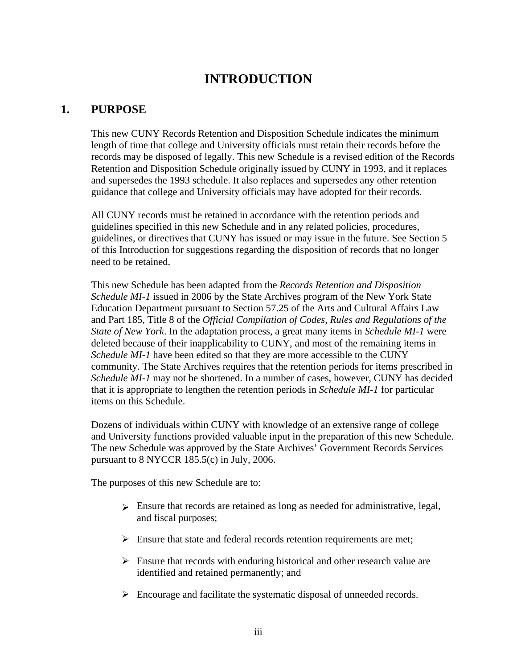### **INTRODUCTION**

### **1. PURPOSE**

This new CUNY Records Retention and Disposition Schedule indicates the minimum length of time that college and University officials must retain their records before the records may be disposed of legally. This new Schedule is a revised edition of the Records Retention and Disposition Schedule originally issued by CUNY in 1993, and it replaces and supersedes the 1993 schedule. It also replaces and supersedes any other retention guidance that college and University officials may have adopted for their records.

All CUNY records must be retained in accordance with the retention periods and guidelines specified in this new Schedule and in any related policies, procedures, guidelines, or directives that CUNY has issued or may issue in the future. See Section 5 of this Introduction for suggestions regarding the disposition of records that no longer need to be retained.

This new Schedule has been adapted from the *Records Retention and Disposition Schedule MI-1* issued in 2006 by the State Archives program of the New York State Education Department pursuant to Section 57.25 of the Arts and Cultural Affairs Law and Part 185, Title 8 of the *Official Compilation of Codes, Rules and Regulations of the State of New York*. In the adaptation process, a great many items in *Schedule MI-1* were deleted because of their inapplicability to CUNY, and most of the remaining items in *Schedule MI-1* have been edited so that they are more accessible to the CUNY community. The State Archives requires that the retention periods for items prescribed in *Schedule MI-1* may not be shortened. In a number of cases, however, CUNY has decided that it is appropriate to lengthen the retention periods in *Schedule MI-1* for particular items on this Schedule.

Dozens of individuals within CUNY with knowledge of an extensive range of college and University functions provided valuable input in the preparation of this new Schedule. The new Schedule was approved by the State Archives' Government Records Services pursuant to 8 NYCCR 185.5(c) in July, 2006.

The purposes of this new Schedule are to:

- $\triangleright$  Ensure that records are retained as long as needed for administrative, legal, and fiscal purposes;
- $\triangleright$  Ensure that state and federal records retention requirements are met;
- $\triangleright$  Ensure that records with enduring historical and other research value are identified and retained permanently; and
- $\triangleright$  Encourage and facilitate the systematic disposal of unneeded records.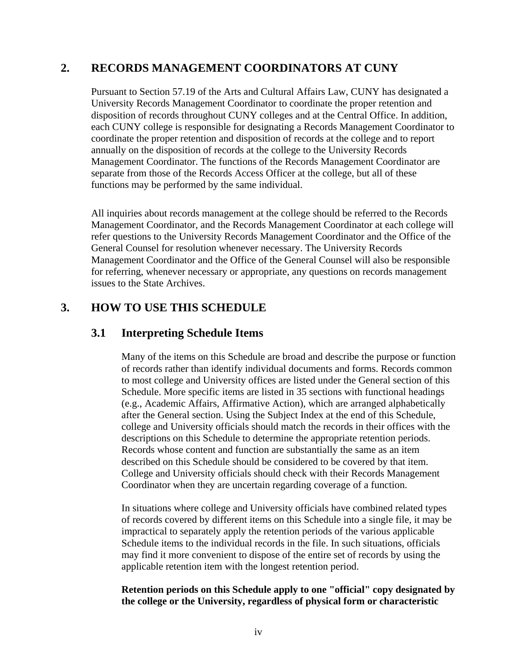### **2. RECORDS MANAGEMENT COORDINATORS AT CUNY**

Pursuant to Section 57.19 of the Arts and Cultural Affairs Law, CUNY has designated a University Records Management Coordinator to coordinate the proper retention and disposition of records throughout CUNY colleges and at the Central Office. In addition, each CUNY college is responsible for designating a Records Management Coordinator to coordinate the proper retention and disposition of records at the college and to report annually on the disposition of records at the college to the University Records Management Coordinator. The functions of the Records Management Coordinator are separate from those of the Records Access Officer at the college, but all of these functions may be performed by the same individual.

All inquiries about records management at the college should be referred to the Records Management Coordinator, and the Records Management Coordinator at each college will refer questions to the University Records Management Coordinator and the Office of the General Counsel for resolution whenever necessary. The University Records Management Coordinator and the Office of the General Counsel will also be responsible for referring, whenever necessary or appropriate, any questions on records management issues to the State Archives.

### **3. HOW TO USE THIS SCHEDULE**

### **3.1 Interpreting Schedule Items**

Many of the items on this Schedule are broad and describe the purpose or function of records rather than identify individual documents and forms. Records common to most college and University offices are listed under the General section of this Schedule. More specific items are listed in 35 sections with functional headings (e.g., Academic Affairs, Affirmative Action), which are arranged alphabetically after the General section. Using the Subject Index at the end of this Schedule, college and University officials should match the records in their offices with the descriptions on this Schedule to determine the appropriate retention periods. Records whose content and function are substantially the same as an item described on this Schedule should be considered to be covered by that item. College and University officials should check with their Records Management Coordinator when they are uncertain regarding coverage of a function.

In situations where college and University officials have combined related types of records covered by different items on this Schedule into a single file, it may be impractical to separately apply the retention periods of the various applicable Schedule items to the individual records in the file. In such situations, officials may find it more convenient to dispose of the entire set of records by using the applicable retention item with the longest retention period.

#### **Retention periods on this Schedule apply to one "official" copy designated by the college or the University, regardless of physical form or characteristic**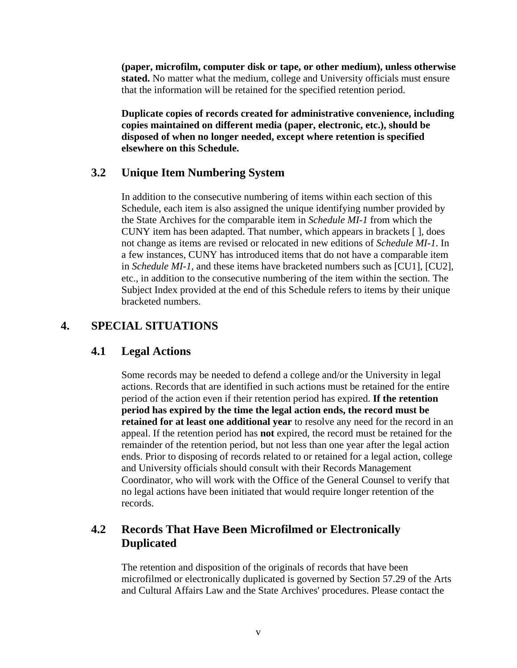**(paper, microfilm, computer disk or tape, or other medium), unless otherwise stated.** No matter what the medium, college and University officials must ensure that the information will be retained for the specified retention period.

**Duplicate copies of records created for administrative convenience, including copies maintained on different media (paper, electronic, etc.), should be disposed of when no longer needed, except where retention is specified elsewhere on this Schedule.**

### **3.2 Unique Item Numbering System**

In addition to the consecutive numbering of items within each section of this Schedule, each item is also assigned the unique identifying number provided by the State Archives for the comparable item in *Schedule MI-1* from which the CUNY item has been adapted. That number, which appears in brackets [ ], does not change as items are revised or relocated in new editions of *Schedule MI-1*. In a few instances, CUNY has introduced items that do not have a comparable item in *Schedule MI-1*, and these items have bracketed numbers such as [CU1], [CU2], etc., in addition to the consecutive numbering of the item within the section. The Subject Index provided at the end of this Schedule refers to items by their unique bracketed numbers.

### **4. SPECIAL SITUATIONS**

### **4.1 Legal Actions**

Some records may be needed to defend a college and/or the University in legal actions. Records that are identified in such actions must be retained for the entire period of the action even if their retention period has expired. **If the retention period has expired by the time the legal action ends, the record must be retained for at least one additional year** to resolve any need for the record in an appeal. If the retention period has **not** expired, the record must be retained for the remainder of the retention period, but not less than one year after the legal action ends. Prior to disposing of records related to or retained for a legal action, college and University officials should consult with their Records Management Coordinator, who will work with the Office of the General Counsel to verify that no legal actions have been initiated that would require longer retention of the records.

### **4.2 Records That Have Been Microfilmed or Electronically Duplicated**

The retention and disposition of the originals of records that have been microfilmed or electronically duplicated is governed by Section 57.29 of the Arts and Cultural Affairs Law and the State Archives' procedures. Please contact the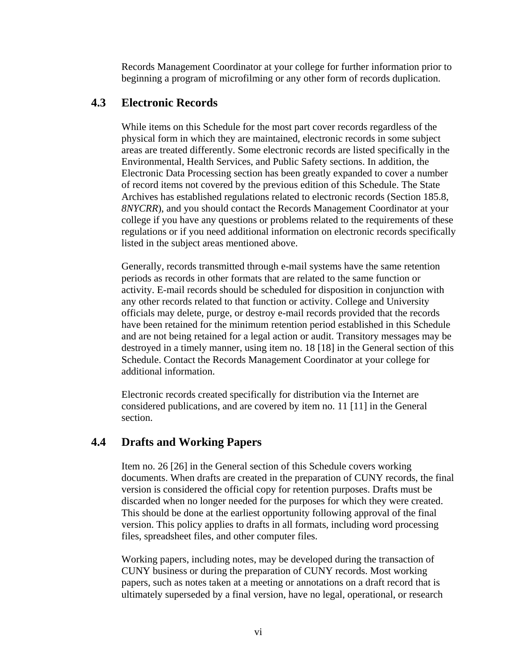Records Management Coordinator at your college for further information prior to beginning a program of microfilming or any other form of records duplication.

### **4.3 Electronic Records**

While items on this Schedule for the most part cover records regardless of the physical form in which they are maintained, electronic records in some subject areas are treated differently. Some electronic records are listed specifically in the Environmental, Health Services, and Public Safety sections. In addition, the Electronic Data Processing section has been greatly expanded to cover a number of record items not covered by the previous edition of this Schedule. The State Archives has established regulations related to electronic records (Section 185.8, *8NYCRR*), and you should contact the Records Management Coordinator at your college if you have any questions or problems related to the requirements of these regulations or if you need additional information on electronic records specifically listed in the subject areas mentioned above.

Generally, records transmitted through e-mail systems have the same retention periods as records in other formats that are related to the same function or activity. E-mail records should be scheduled for disposition in conjunction with any other records related to that function or activity. College and University officials may delete, purge, or destroy e-mail records provided that the records have been retained for the minimum retention period established in this Schedule and are not being retained for a legal action or audit. Transitory messages may be destroyed in a timely manner, using item no. 18 [18] in the General section of this Schedule. Contact the Records Management Coordinator at your college for additional information.

Electronic records created specifically for distribution via the Internet are considered publications, and are covered by item no. 11 [11] in the General section.

### **4.4 Drafts and Working Papers**

Item no. 26 [26] in the General section of this Schedule covers working documents. When drafts are created in the preparation of CUNY records, the final version is considered the official copy for retention purposes. Drafts must be discarded when no longer needed for the purposes for which they were created. This should be done at the earliest opportunity following approval of the final version. This policy applies to drafts in all formats, including word processing files, spreadsheet files, and other computer files.

Working papers, including notes, may be developed during the transaction of CUNY business or during the preparation of CUNY records. Most working papers, such as notes taken at a meeting or annotations on a draft record that is ultimately superseded by a final version, have no legal, operational, or research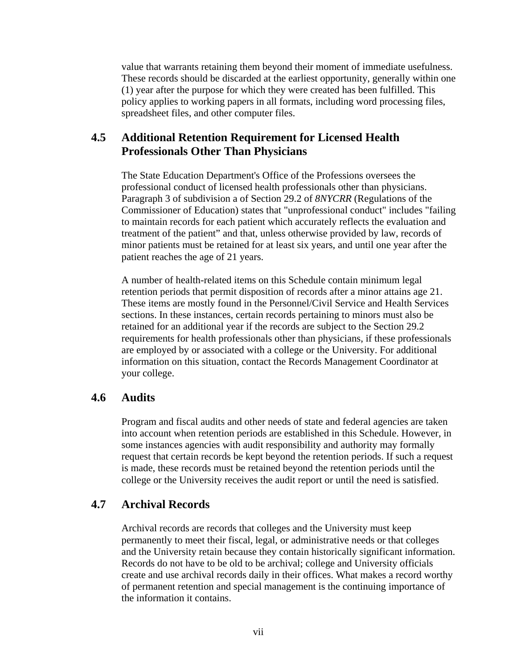value that warrants retaining them beyond their moment of immediate usefulness. These records should be discarded at the earliest opportunity, generally within one (1) year after the purpose for which they were created has been fulfilled. This policy applies to working papers in all formats, including word processing files, spreadsheet files, and other computer files.

### **4.5 Additional Retention Requirement for Licensed Health Professionals Other Than Physicians**

The State Education Department's Office of the Professions oversees the professional conduct of licensed health professionals other than physicians. Paragraph 3 of subdivision a of Section 29.2 of *8NYCRR* (Regulations of the Commissioner of Education) states that "unprofessional conduct" includes "failing to maintain records for each patient which accurately reflects the evaluation and treatment of the patient" and that, unless otherwise provided by law, records of minor patients must be retained for at least six years, and until one year after the patient reaches the age of 21 years.

A number of health-related items on this Schedule contain minimum legal retention periods that permit disposition of records after a minor attains age 21. These items are mostly found in the Personnel/Civil Service and Health Services sections. In these instances, certain records pertaining to minors must also be retained for an additional year if the records are subject to the Section 29.2 requirements for health professionals other than physicians, if these professionals are employed by or associated with a college or the University. For additional information on this situation, contact the Records Management Coordinator at your college.

### **4.6 Audits**

Program and fiscal audits and other needs of state and federal agencies are taken into account when retention periods are established in this Schedule. However, in some instances agencies with audit responsibility and authority may formally request that certain records be kept beyond the retention periods. If such a request is made, these records must be retained beyond the retention periods until the college or the University receives the audit report or until the need is satisfied.

### **4.7 Archival Records**

Archival records are records that colleges and the University must keep permanently to meet their fiscal, legal, or administrative needs or that colleges and the University retain because they contain historically significant information. Records do not have to be old to be archival; college and University officials create and use archival records daily in their offices. What makes a record worthy of permanent retention and special management is the continuing importance of the information it contains.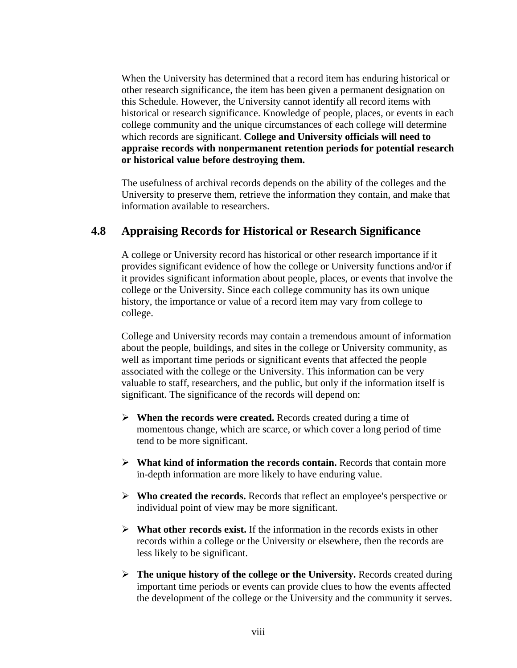When the University has determined that a record item has enduring historical or other research significance, the item has been given a permanent designation on this Schedule. However, the University cannot identify all record items with historical or research significance. Knowledge of people, places, or events in each college community and the unique circumstances of each college will determine which records are significant. **College and University officials will need to appraise records with nonpermanent retention periods for potential research or historical value before destroying them.**

The usefulness of archival records depends on the ability of the colleges and the University to preserve them, retrieve the information they contain, and make that information available to researchers.

### **4.8 Appraising Records for Historical or Research Significance**

A college or University record has historical or other research importance if it provides significant evidence of how the college or University functions and/or if it provides significant information about people, places, or events that involve the college or the University. Since each college community has its own unique history, the importance or value of a record item may vary from college to college.

College and University records may contain a tremendous amount of information about the people, buildings, and sites in the college or University community, as well as important time periods or significant events that affected the people associated with the college or the University. This information can be very valuable to staff, researchers, and the public, but only if the information itself is significant. The significance of the records will depend on:

- ¾ **When the records were created.** Records created during a time of momentous change, which are scarce, or which cover a long period of time tend to be more significant.
- ¾ **What kind of information the records contain.** Records that contain more in-depth information are more likely to have enduring value.
- ¾ **Who created the records.** Records that reflect an employee's perspective or individual point of view may be more significant.
- $\triangleright$  **What other records exist.** If the information in the records exists in other records within a college or the University or elsewhere, then the records are less likely to be significant.
- ¾ **The unique history of the college or the University.** Records created during important time periods or events can provide clues to how the events affected the development of the college or the University and the community it serves.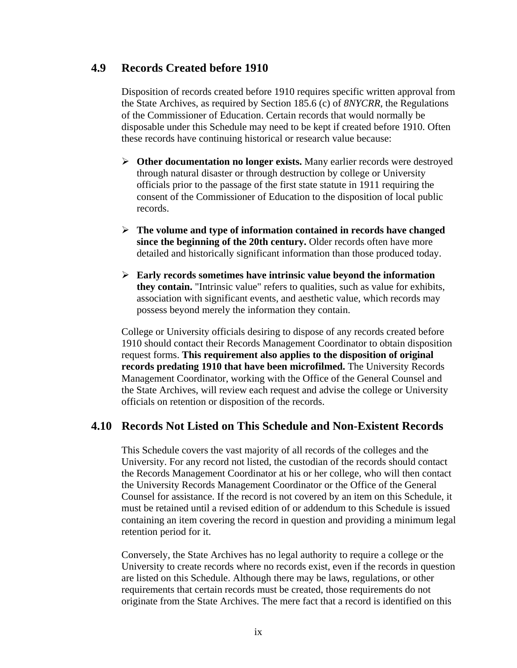### **4.9 Records Created before 1910**

Disposition of records created before 1910 requires specific written approval from the State Archives, as required by Section 185.6 (c) of *8NYCRR*, the Regulations of the Commissioner of Education. Certain records that would normally be disposable under this Schedule may need to be kept if created before 1910. Often these records have continuing historical or research value because:

- ¾ **Other documentation no longer exists.** Many earlier records were destroyed through natural disaster or through destruction by college or University officials prior to the passage of the first state statute in 1911 requiring the consent of the Commissioner of Education to the disposition of local public records.
- ¾ **The volume and type of information contained in records have changed since the beginning of the 20th century.** Older records often have more detailed and historically significant information than those produced today.
- ¾ **Early records sometimes have intrinsic value beyond the information they contain.** "Intrinsic value" refers to qualities, such as value for exhibits, association with significant events, and aesthetic value, which records may possess beyond merely the information they contain.

College or University officials desiring to dispose of any records created before 1910 should contact their Records Management Coordinator to obtain disposition request forms. **This requirement also applies to the disposition of original records predating 1910 that have been microfilmed.** The University Records Management Coordinator, working with the Office of the General Counsel and the State Archives, will review each request and advise the college or University officials on retention or disposition of the records.

### **4.10 Records Not Listed on This Schedule and Non-Existent Records**

This Schedule covers the vast majority of all records of the colleges and the University. For any record not listed, the custodian of the records should contact the Records Management Coordinator at his or her college, who will then contact the University Records Management Coordinator or the Office of the General Counsel for assistance. If the record is not covered by an item on this Schedule, it must be retained until a revised edition of or addendum to this Schedule is issued containing an item covering the record in question and providing a minimum legal retention period for it.

Conversely, the State Archives has no legal authority to require a college or the University to create records where no records exist, even if the records in question are listed on this Schedule. Although there may be laws, regulations, or other requirements that certain records must be created, those requirements do not originate from the State Archives. The mere fact that a record is identified on this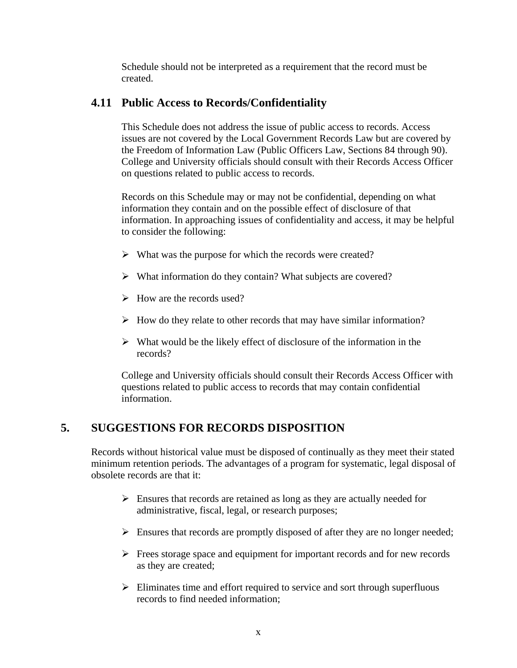Schedule should not be interpreted as a requirement that the record must be created.

### **4.11 Public Access to Records/Confidentiality**

This Schedule does not address the issue of public access to records. Access issues are not covered by the Local Government Records Law but are covered by the Freedom of Information Law (Public Officers Law, Sections 84 through 90). College and University officials should consult with their Records Access Officer on questions related to public access to records.

Records on this Schedule may or may not be confidential, depending on what information they contain and on the possible effect of disclosure of that information. In approaching issues of confidentiality and access, it may be helpful to consider the following:

- $\triangleright$  What was the purpose for which the records were created?
- $\triangleright$  What information do they contain? What subjects are covered?
- $\triangleright$  How are the records used?
- $\triangleright$  How do they relate to other records that may have similar information?
- $\triangleright$  What would be the likely effect of disclosure of the information in the records?

College and University officials should consult their Records Access Officer with questions related to public access to records that may contain confidential information.

### **5. SUGGESTIONS FOR RECORDS DISPOSITION**

Records without historical value must be disposed of continually as they meet their stated minimum retention periods. The advantages of a program for systematic, legal disposal of obsolete records are that it:

- $\triangleright$  Ensures that records are retained as long as they are actually needed for administrative, fiscal, legal, or research purposes;
- $\triangleright$  Ensures that records are promptly disposed of after they are no longer needed;
- $\triangleright$  Frees storage space and equipment for important records and for new records as they are created;
- $\triangleright$  Eliminates time and effort required to service and sort through superfluous records to find needed information;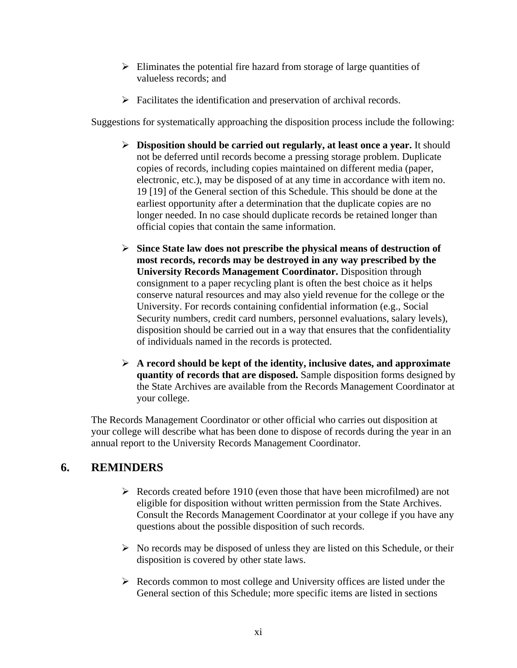- $\triangleright$  Eliminates the potential fire hazard from storage of large quantities of valueless records; and
- $\triangleright$  Facilitates the identification and preservation of archival records.

Suggestions for systematically approaching the disposition process include the following:

- ¾ **Disposition should be carried out regularly, at least once a year.** It should not be deferred until records become a pressing storage problem. Duplicate copies of records, including copies maintained on different media (paper, electronic, etc.), may be disposed of at any time in accordance with item no. 19 [19] of the General section of this Schedule. This should be done at the earliest opportunity after a determination that the duplicate copies are no longer needed. In no case should duplicate records be retained longer than official copies that contain the same information.
- ¾ **Since State law does not prescribe the physical means of destruction of most records, records may be destroyed in any way prescribed by the University Records Management Coordinator.** Disposition through consignment to a paper recycling plant is often the best choice as it helps conserve natural resources and may also yield revenue for the college or the University. For records containing confidential information (e.g., Social Security numbers, credit card numbers, personnel evaluations, salary levels), disposition should be carried out in a way that ensures that the confidentiality of individuals named in the records is protected.
- ¾ **A record should be kept of the identity, inclusive dates, and approximate quantity of records that are disposed.** Sample disposition forms designed by the State Archives are available from the Records Management Coordinator at your college.

The Records Management Coordinator or other official who carries out disposition at your college will describe what has been done to dispose of records during the year in an annual report to the University Records Management Coordinator.

### **6. REMINDERS**

- $\triangleright$  Records created before 1910 (even those that have been microfilmed) are not eligible for disposition without written permission from the State Archives. Consult the Records Management Coordinator at your college if you have any questions about the possible disposition of such records.
- $\triangleright$  No records may be disposed of unless they are listed on this Schedule, or their disposition is covered by other state laws.
- $\triangleright$  Records common to most college and University offices are listed under the General section of this Schedule; more specific items are listed in sections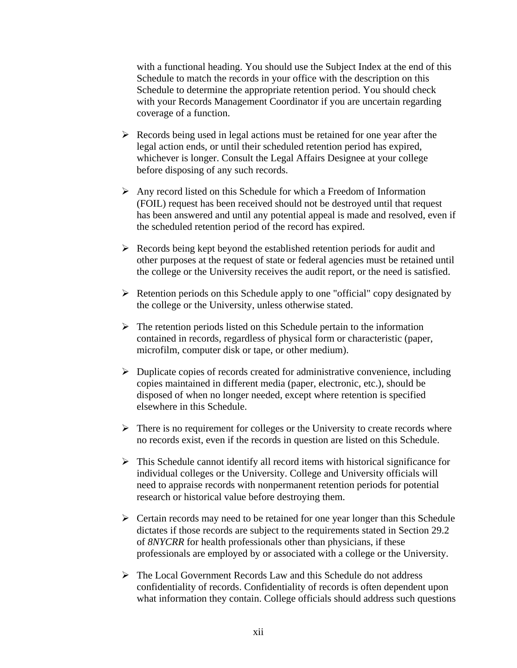with a functional heading. You should use the Subject Index at the end of this Schedule to match the records in your office with the description on this Schedule to determine the appropriate retention period. You should check with your Records Management Coordinator if you are uncertain regarding coverage of a function.

- $\triangleright$  Records being used in legal actions must be retained for one year after the legal action ends, or until their scheduled retention period has expired, whichever is longer. Consult the Legal Affairs Designee at your college before disposing of any such records.
- $\triangleright$  Any record listed on this Schedule for which a Freedom of Information (FOIL) request has been received should not be destroyed until that request has been answered and until any potential appeal is made and resolved, even if the scheduled retention period of the record has expired.
- $\triangleright$  Records being kept beyond the established retention periods for audit and other purposes at the request of state or federal agencies must be retained until the college or the University receives the audit report, or the need is satisfied.
- $\triangleright$  Retention periods on this Schedule apply to one "official" copy designated by the college or the University, unless otherwise stated.
- $\triangleright$  The retention periods listed on this Schedule pertain to the information contained in records, regardless of physical form or characteristic (paper, microfilm, computer disk or tape, or other medium).
- $\triangleright$  Duplicate copies of records created for administrative convenience, including copies maintained in different media (paper, electronic, etc.), should be disposed of when no longer needed, except where retention is specified elsewhere in this Schedule.
- $\triangleright$  There is no requirement for colleges or the University to create records where no records exist, even if the records in question are listed on this Schedule.
- $\triangleright$  This Schedule cannot identify all record items with historical significance for individual colleges or the University. College and University officials will need to appraise records with nonpermanent retention periods for potential research or historical value before destroying them.
- $\triangleright$  Certain records may need to be retained for one year longer than this Schedule dictates if those records are subject to the requirements stated in Section 29.2 of *8NYCRR* for health professionals other than physicians, if these professionals are employed by or associated with a college or the University.
- ¾ The Local Government Records Law and this Schedule do not address confidentiality of records. Confidentiality of records is often dependent upon what information they contain. College officials should address such questions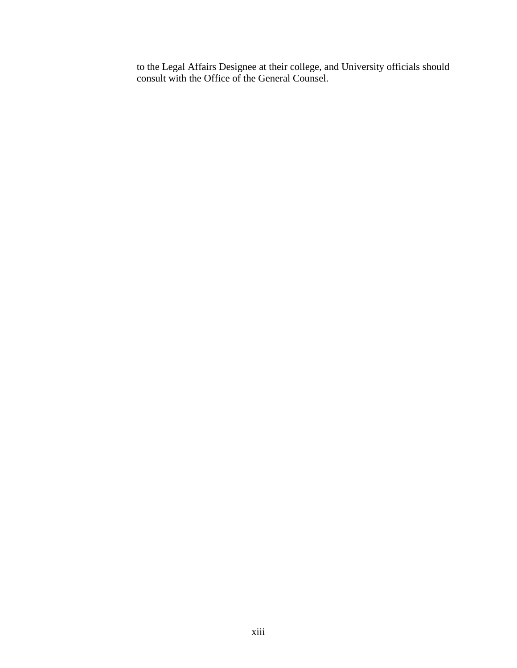to the Legal Affairs Designee at their college, and University officials should consult with the Office of the General Counsel.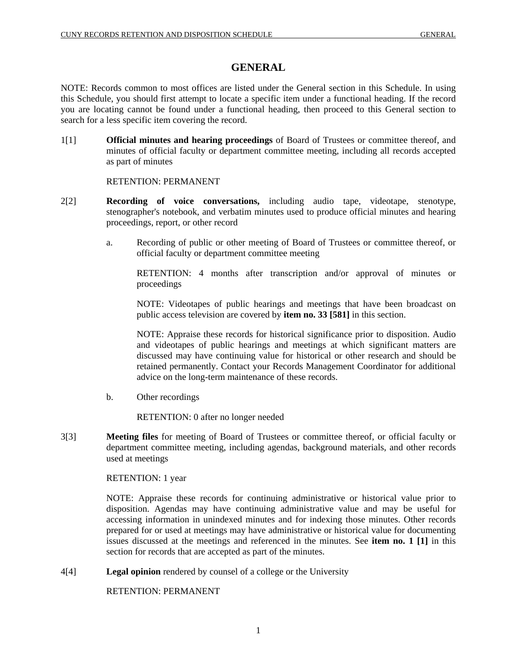### **GENERAL**

NOTE: Records common to most offices are listed under the General section in this Schedule. In using this Schedule, you should first attempt to locate a specific item under a functional heading. If the record you are locating cannot be found under a functional heading, then proceed to this General section to search for a less specific item covering the record.

1[1] **Official minutes and hearing proceedings** of Board of Trustees or committee thereof, and minutes of official faculty or department committee meeting, including all records accepted as part of minutes

#### RETENTION: PERMANENT

- 2[2] **Recording of voice conversations,** including audio tape, videotape, stenotype, stenographer's notebook, and verbatim minutes used to produce official minutes and hearing proceedings, report, or other record
	- a. Recording of public or other meeting of Board of Trustees or committee thereof, or official faculty or department committee meeting

RETENTION: 4 months after transcription and/or approval of minutes or proceedings

NOTE: Videotapes of public hearings and meetings that have been broadcast on public access television are covered by **item no. 33 [581]** in this section.

NOTE: Appraise these records for historical significance prior to disposition. Audio and videotapes of public hearings and meetings at which significant matters are discussed may have continuing value for historical or other research and should be retained permanently. Contact your Records Management Coordinator for additional advice on the long-term maintenance of these records.

b. Other recordings

RETENTION: 0 after no longer needed

3[3] **Meeting files** for meeting of Board of Trustees or committee thereof, or official faculty or department committee meeting, including agendas, background materials, and other records used at meetings

#### RETENTION: 1 year

NOTE: Appraise these records for continuing administrative or historical value prior to disposition. Agendas may have continuing administrative value and may be useful for accessing information in unindexed minutes and for indexing those minutes. Other records prepared for or used at meetings may have administrative or historical value for documenting issues discussed at the meetings and referenced in the minutes. See **item no. 1 [1]** in this section for records that are accepted as part of the minutes.

4[4] **Legal opinion** rendered by counsel of a college or the University

RETENTION: PERMANENT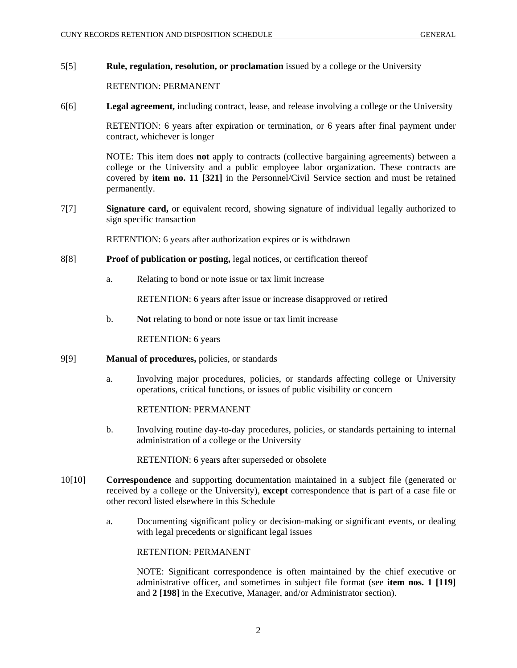#### 5[5] **Rule, regulation, resolution, or proclamation** issued by a college or the University

#### RETENTION: PERMANENT

6[6] **Legal agreement,** including contract, lease, and release involving a college or the University

RETENTION: 6 years after expiration or termination, or 6 years after final payment under contract, whichever is longer

NOTE: This item does **not** apply to contracts (collective bargaining agreements) between a college or the University and a public employee labor organization. These contracts are covered by **item no. 11 [321]** in the Personnel/Civil Service section and must be retained permanently.

7[7] **Signature card,** or equivalent record, showing signature of individual legally authorized to sign specific transaction

RETENTION: 6 years after authorization expires or is withdrawn

- 8[8] **Proof of publication or posting,** legal notices, or certification thereof
	- a. Relating to bond or note issue or tax limit increase

RETENTION: 6 years after issue or increase disapproved or retired

b. **Not** relating to bond or note issue or tax limit increase

RETENTION: 6 years

#### 9[9] **Manual of procedures,** policies, or standards

a. Involving major procedures, policies, or standards affecting college or University operations, critical functions, or issues of public visibility or concern

RETENTION: PERMANENT

b. Involving routine day-to-day procedures, policies, or standards pertaining to internal administration of a college or the University

RETENTION: 6 years after superseded or obsolete

- 10[10] **Correspondence** and supporting documentation maintained in a subject file (generated or received by a college or the University), **except** correspondence that is part of a case file or other record listed elsewhere in this Schedule
	- a. Documenting significant policy or decision-making or significant events, or dealing with legal precedents or significant legal issues

#### RETENTION: PERMANENT

NOTE: Significant correspondence is often maintained by the chief executive or administrative officer, and sometimes in subject file format (see **item nos. 1 [119]** and **2 [198]** in the Executive, Manager, and/or Administrator section).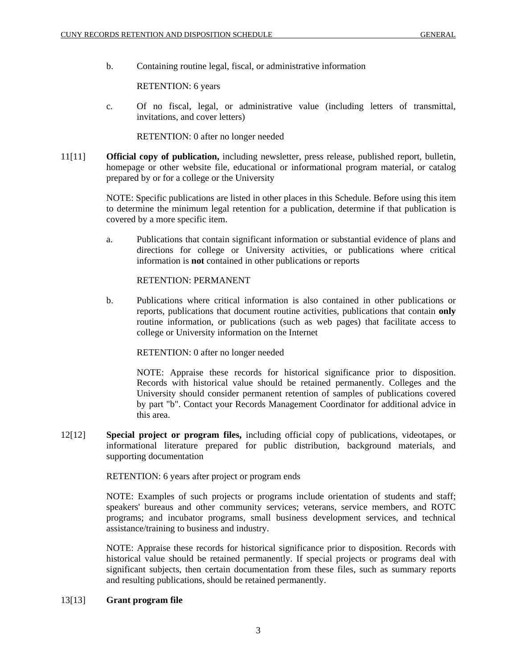b. Containing routine legal, fiscal, or administrative information

RETENTION: 6 years

c. Of no fiscal, legal, or administrative value (including letters of transmittal, invitations, and cover letters)

RETENTION: 0 after no longer needed

11[11] **Official copy of publication,** including newsletter, press release, published report, bulletin, homepage or other website file, educational or informational program material, or catalog prepared by or for a college or the University

> NOTE: Specific publications are listed in other places in this Schedule. Before using this item to determine the minimum legal retention for a publication, determine if that publication is covered by a more specific item.

> a. Publications that contain significant information or substantial evidence of plans and directions for college or University activities, or publications where critical information is **not** contained in other publications or reports

RETENTION: PERMANENT

b. Publications where critical information is also contained in other publications or reports, publications that document routine activities, publications that contain **only**  routine information, or publications (such as web pages) that facilitate access to college or University information on the Internet

RETENTION: 0 after no longer needed

NOTE: Appraise these records for historical significance prior to disposition. Records with historical value should be retained permanently. Colleges and the University should consider permanent retention of samples of publications covered by part "b". Contact your Records Management Coordinator for additional advice in this area.

12[12] **Special project or program files,** including official copy of publications, videotapes, or informational literature prepared for public distribution, background materials, and supporting documentation

RETENTION: 6 years after project or program ends

NOTE: Examples of such projects or programs include orientation of students and staff; speakers' bureaus and other community services; veterans, service members, and ROTC programs; and incubator programs, small business development services, and technical assistance/training to business and industry.

NOTE: Appraise these records for historical significance prior to disposition. Records with historical value should be retained permanently. If special projects or programs deal with significant subjects, then certain documentation from these files, such as summary reports and resulting publications, should be retained permanently.

#### 13[13] **Grant program file**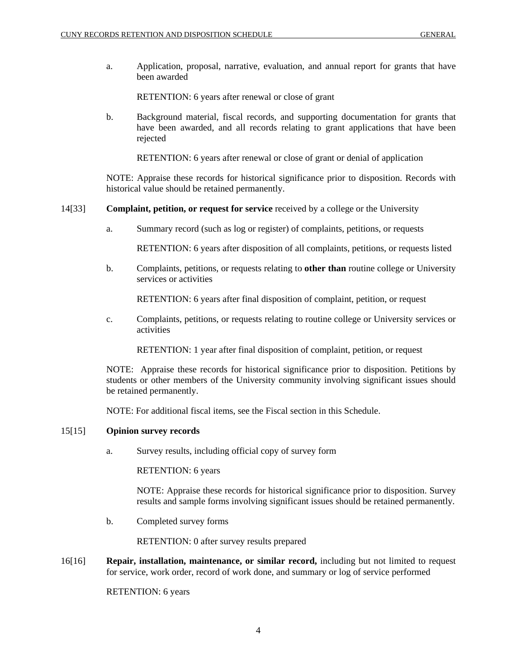a. Application, proposal, narrative, evaluation, and annual report for grants that have been awarded

RETENTION: 6 years after renewal or close of grant

b. Background material, fiscal records, and supporting documentation for grants that have been awarded, and all records relating to grant applications that have been rejected

RETENTION: 6 years after renewal or close of grant or denial of application

NOTE: Appraise these records for historical significance prior to disposition. Records with historical value should be retained permanently.

14[33] **Complaint, petition, or request for service** received by a college or the University

a. Summary record (such as log or register) of complaints, petitions, or requests

RETENTION: 6 years after disposition of all complaints, petitions, or requests listed

b. Complaints, petitions, or requests relating to **other than** routine college or University services or activities

RETENTION: 6 years after final disposition of complaint, petition, or request

c. Complaints, petitions, or requests relating to routine college or University services or activities

RETENTION: 1 year after final disposition of complaint, petition, or request

NOTE: Appraise these records for historical significance prior to disposition. Petitions by students or other members of the University community involving significant issues should be retained permanently.

NOTE: For additional fiscal items, see the Fiscal section in this Schedule.

#### 15[15] **Opinion survey records**

a. Survey results, including official copy of survey form

RETENTION: 6 years

NOTE: Appraise these records for historical significance prior to disposition. Survey results and sample forms involving significant issues should be retained permanently.

b. Completed survey forms

RETENTION: 0 after survey results prepared

16[16] **Repair, installation, maintenance, or similar record,** including but not limited to request for service, work order, record of work done, and summary or log of service performed

RETENTION: 6 years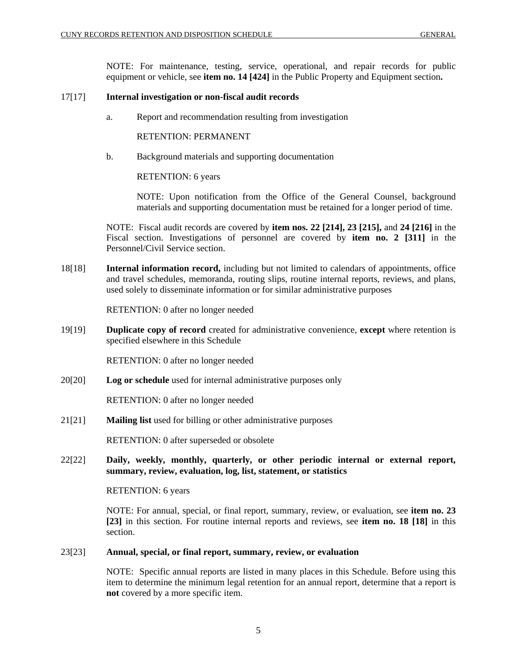NOTE: For maintenance, testing, service, operational, and repair records for public equipment or vehicle, see **item no. 14 [424]** in the Public Property and Equipment section**.** 

#### 17[17] **Internal investigation or non-fiscal audit records**

a. Report and recommendation resulting from investigation

RETENTION: PERMANENT

b. Background materials and supporting documentation

RETENTION: 6 years

NOTE: Upon notification from the Office of the General Counsel, background materials and supporting documentation must be retained for a longer period of time.

NOTE: Fiscal audit records are covered by **item nos. 22 [214], 23 [215],** and **24 [216]** in the Fiscal section. Investigations of personnel are covered by **item no. 2 [311]** in the Personnel/Civil Service section.

18[18] **Internal information record,** including but not limited to calendars of appointments, office and travel schedules, memoranda, routing slips, routine internal reports, reviews, and plans, used solely to disseminate information or for similar administrative purposes

RETENTION: 0 after no longer needed

19[19] **Duplicate copy of record** created for administrative convenience, **except** where retention is specified elsewhere in this Schedule

RETENTION: 0 after no longer needed

20[20] **Log or schedule** used for internal administrative purposes only

RETENTION: 0 after no longer needed

21[21] **Mailing list** used for billing or other administrative purposes

RETENTION: 0 after superseded or obsolete

22[22] **Daily, weekly, monthly, quarterly, or other periodic internal or external report, summary, review, evaluation, log, list, statement, or statistics** 

RETENTION: 6 years

NOTE: For annual, special, or final report, summary, review, or evaluation, see **item no. 23 [23]** in this section. For routine internal reports and reviews, see **item no. 18 [18]** in this section.

#### 23[23] **Annual, special, or final report, summary, review, or evaluation**

NOTE: Specific annual reports are listed in many places in this Schedule. Before using this item to determine the minimum legal retention for an annual report, determine that a report is **not** covered by a more specific item.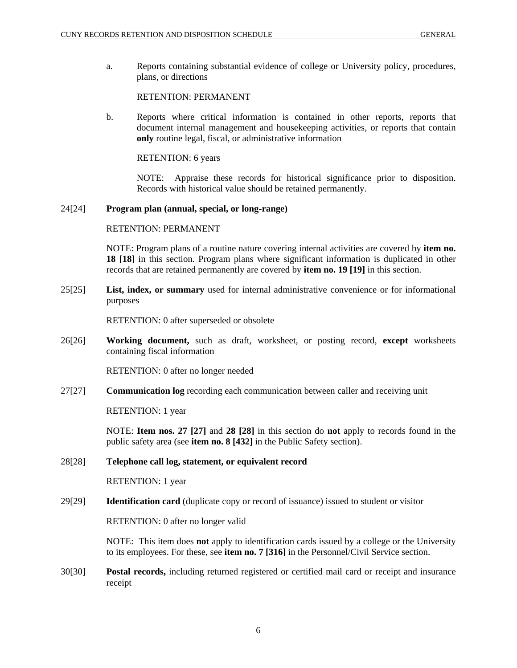a. Reports containing substantial evidence of college or University policy, procedures, plans, or directions

#### RETENTION: PERMANENT

b. Reports where critical information is contained in other reports, reports that document internal management and housekeeping activities, or reports that contain **only** routine legal, fiscal, or administrative information

RETENTION: 6 years

NOTE: Appraise these records for historical significance prior to disposition. Records with historical value should be retained permanently.

#### 24[24] **Program plan (annual, special, or long-range)**

#### RETENTION: PERMANENT

NOTE: Program plans of a routine nature covering internal activities are covered by **item no. 18 [18]** in this section. Program plans where significant information is duplicated in other records that are retained permanently are covered by **item no. 19 [19]** in this section.

25[25] **List, index, or summary** used for internal administrative convenience or for informational purposes

RETENTION: 0 after superseded or obsolete

26[26] **Working document,** such as draft, worksheet, or posting record, **except** worksheets containing fiscal information

RETENTION: 0 after no longer needed

27[27] **Communication log** recording each communication between caller and receiving unit

RETENTION: 1 year

NOTE: **Item nos. 27 [27]** and **28 [28]** in this section do **not** apply to records found in the public safety area (see **item no. 8 [432]** in the Public Safety section).

#### 28[28] **Telephone call log, statement, or equivalent record**

RETENTION: 1 year

29[29] **Identification card** (duplicate copy or record of issuance) issued to student or visitor

RETENTION: 0 after no longer valid

NOTE: This item does **not** apply to identification cards issued by a college or the University to its employees. For these, see **item no. 7 [316]** in the Personnel/Civil Service section.

30[30] **Postal records,** including returned registered or certified mail card or receipt and insurance receipt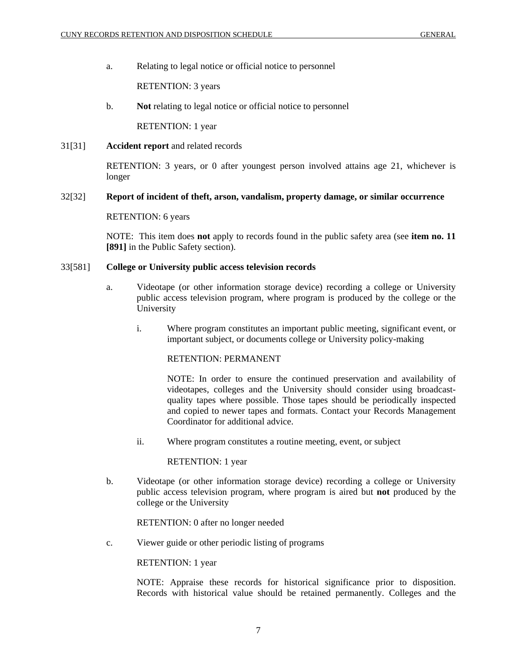a. Relating to legal notice or official notice to personnel

RETENTION: 3 years

b. **Not** relating to legal notice or official notice to personnel

RETENTION: 1 year

31[31] **Accident report** and related records

RETENTION: 3 years, or 0 after youngest person involved attains age 21, whichever is longer

#### 32[32] **Report of incident of theft, arson, vandalism, property damage, or similar occurrence**

#### RETENTION: 6 years

NOTE: This item does **not** apply to records found in the public safety area (see **item no. 11 [891]** in the Public Safety section).

#### 33[581] **College or University public access television records**

- a. Videotape (or other information storage device) recording a college or University public access television program, where program is produced by the college or the University
	- i. Where program constitutes an important public meeting, significant event, or important subject, or documents college or University policy-making

#### RETENTION: PERMANENT

NOTE: In order to ensure the continued preservation and availability of videotapes, colleges and the University should consider using broadcastquality tapes where possible. Those tapes should be periodically inspected and copied to newer tapes and formats. Contact your Records Management Coordinator for additional advice.

ii. Where program constitutes a routine meeting, event, or subject

#### RETENTION: 1 year

b. Videotape (or other information storage device) recording a college or University public access television program, where program is aired but **not** produced by the college or the University

#### RETENTION: 0 after no longer needed

c. Viewer guide or other periodic listing of programs

#### RETENTION: 1 year

NOTE: Appraise these records for historical significance prior to disposition. Records with historical value should be retained permanently. Colleges and the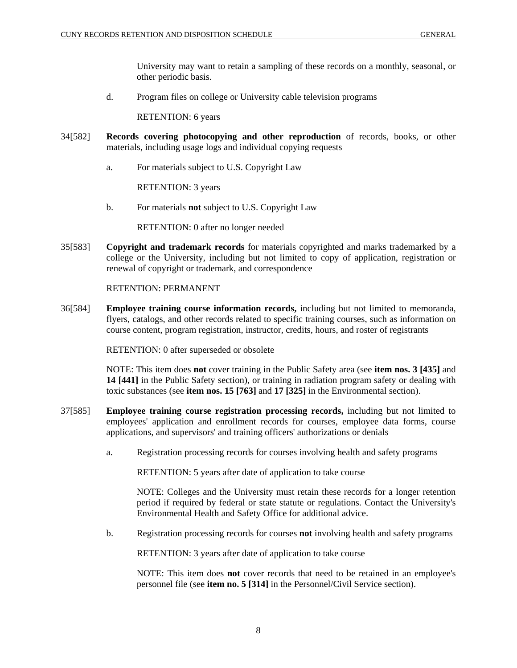University may want to retain a sampling of these records on a monthly, seasonal, or other periodic basis.

d. Program files on college or University cable television programs

RETENTION: 6 years

- 34[582] **Records covering photocopying and other reproduction** of records, books, or other materials, including usage logs and individual copying requests
	- a. For materials subject to U.S. Copyright Law

RETENTION: 3 years

b. For materials **not** subject to U.S. Copyright Law

RETENTION: 0 after no longer needed

35[583] **Copyright and trademark records** for materials copyrighted and marks trademarked by a college or the University, including but not limited to copy of application, registration or renewal of copyright or trademark, and correspondence

RETENTION: PERMANENT

36[584] **Employee training course information records,** including but not limited to memoranda, flyers, catalogs, and other records related to specific training courses, such as information on course content, program registration, instructor, credits, hours, and roster of registrants

RETENTION: 0 after superseded or obsolete

NOTE: This item does **not** cover training in the Public Safety area (see **item nos. 3 [435]** and **14 [441]** in the Public Safety section), or training in radiation program safety or dealing with toxic substances (see **item nos. 15 [763]** and **17 [325]** in the Environmental section).

- 37[585] **Employee training course registration processing records,** including but not limited to employees' application and enrollment records for courses, employee data forms, course applications, and supervisors' and training officers' authorizations or denials
	- a. Registration processing records for courses involving health and safety programs

RETENTION: 5 years after date of application to take course

NOTE: Colleges and the University must retain these records for a longer retention period if required by federal or state statute or regulations. Contact the University's Environmental Health and Safety Office for additional advice.

b. Registration processing records for courses **not** involving health and safety programs

RETENTION: 3 years after date of application to take course

NOTE: This item does **not** cover records that need to be retained in an employee's personnel file (see **item no. 5 [314]** in the Personnel/Civil Service section).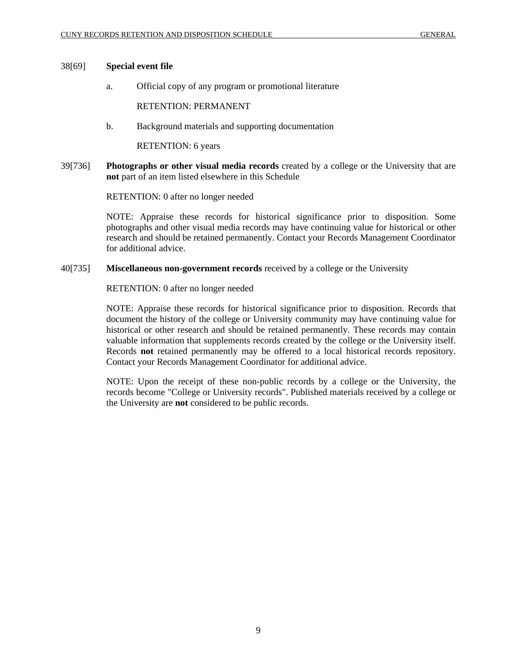#### 38[69] **Special event file**

a. Official copy of any program or promotional literature

RETENTION: PERMANENT

b. Background materials and supporting documentation

RETENTION: 6 years

39[736] **Photographs or other visual media records** created by a college or the University that are **not** part of an item listed elsewhere in this Schedule

RETENTION: 0 after no longer needed

NOTE: Appraise these records for historical significance prior to disposition. Some photographs and other visual media records may have continuing value for historical or other research and should be retained permanently. Contact your Records Management Coordinator for additional advice.

40[735] **Miscellaneous non-government records** received by a college or the University

RETENTION: 0 after no longer needed

NOTE: Appraise these records for historical significance prior to disposition. Records that document the history of the college or University community may have continuing value for historical or other research and should be retained permanently. These records may contain valuable information that supplements records created by the college or the University itself. Records **not** retained permanently may be offered to a local historical records repository. Contact your Records Management Coordinator for additional advice.

NOTE: Upon the receipt of these non-public records by a college or the University, the records become "College or University records". Published materials received by a college or the University are **not** considered to be public records.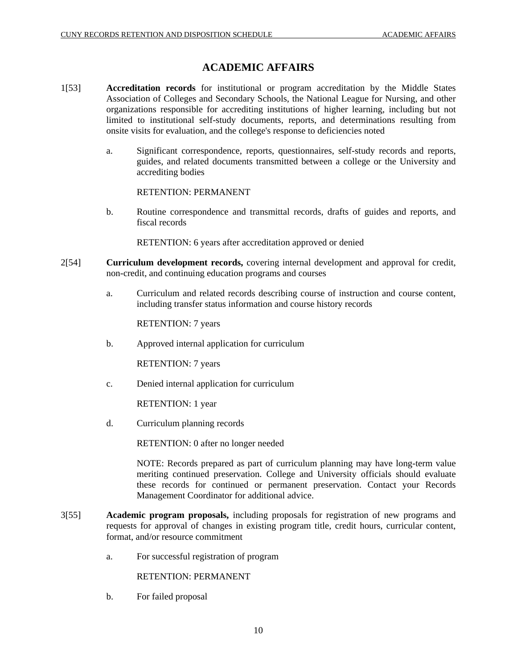### **ACADEMIC AFFAIRS**

- 1[53] **Accreditation records** for institutional or program accreditation by the Middle States Association of Colleges and Secondary Schools, the National League for Nursing, and other organizations responsible for accrediting institutions of higher learning, including but not limited to institutional self-study documents, reports, and determinations resulting from onsite visits for evaluation, and the college's response to deficiencies noted
	- a. Significant correspondence, reports, questionnaires, self-study records and reports, guides, and related documents transmitted between a college or the University and accrediting bodies

RETENTION: PERMANENT

b. Routine correspondence and transmittal records, drafts of guides and reports, and fiscal records

RETENTION: 6 years after accreditation approved or denied

- 2[54] **Curriculum development records,** covering internal development and approval for credit, non-credit, and continuing education programs and courses
	- a. Curriculum and related records describing course of instruction and course content, including transfer status information and course history records

RETENTION: 7 years

b. Approved internal application for curriculum

RETENTION: 7 years

c. Denied internal application for curriculum

RETENTION: 1 year

d. Curriculum planning records

RETENTION: 0 after no longer needed

NOTE: Records prepared as part of curriculum planning may have long-term value meriting continued preservation. College and University officials should evaluate these records for continued or permanent preservation. Contact your Records Management Coordinator for additional advice.

- 3[55] **Academic program proposals,** including proposals for registration of new programs and requests for approval of changes in existing program title, credit hours, curricular content, format, and/or resource commitment
	- a. For successful registration of program

RETENTION: PERMANENT

b. For failed proposal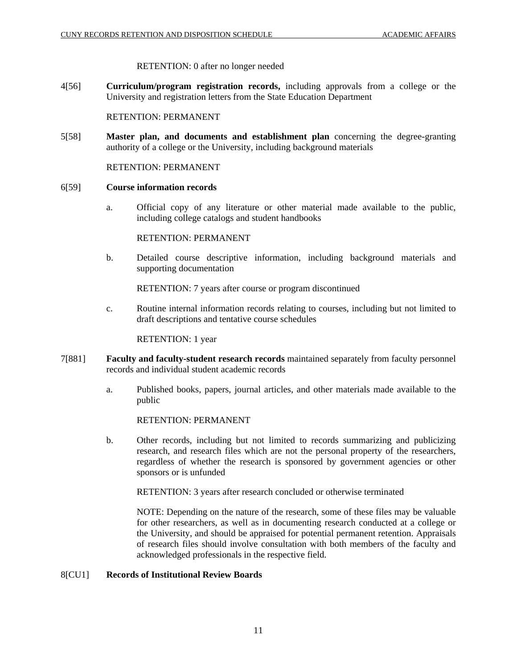#### RETENTION: 0 after no longer needed

4[56] **Curriculum/program registration records,** including approvals from a college or the University and registration letters from the State Education Department

RETENTION: PERMANENT

5[58] **Master plan, and documents and establishment plan** concerning the degree-granting authority of a college or the University, including background materials

RETENTION: PERMANENT

#### 6[59] **Course information records**

a. Official copy of any literature or other material made available to the public, including college catalogs and student handbooks

RETENTION: PERMANENT

b. Detailed course descriptive information, including background materials and supporting documentation

RETENTION: 7 years after course or program discontinued

c. Routine internal information records relating to courses, including but not limited to draft descriptions and tentative course schedules

RETENTION: 1 year

- 7[881] **Faculty and faculty-student research records** maintained separately from faculty personnel records and individual student academic records
	- a. Published books, papers, journal articles, and other materials made available to the public

RETENTION: PERMANENT

b. Other records, including but not limited to records summarizing and publicizing research, and research files which are not the personal property of the researchers, regardless of whether the research is sponsored by government agencies or other sponsors or is unfunded

RETENTION: 3 years after research concluded or otherwise terminated

NOTE: Depending on the nature of the research, some of these files may be valuable for other researchers, as well as in documenting research conducted at a college or the University, and should be appraised for potential permanent retention. Appraisals of research files should involve consultation with both members of the faculty and acknowledged professionals in the respective field.

#### 8[CU1] **Records of Institutional Review Boards**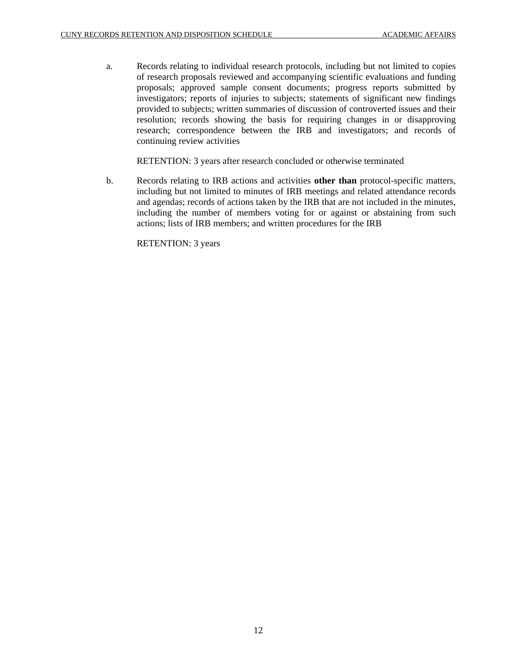a. Records relating to individual research protocols, including but not limited to copies of research proposals reviewed and accompanying scientific evaluations and funding proposals; approved sample consent documents; progress reports submitted by investigators; reports of injuries to subjects; statements of significant new findings provided to subjects; written summaries of discussion of controverted issues and their resolution; records showing the basis for requiring changes in or disapproving research; correspondence between the IRB and investigators; and records of continuing review activities

RETENTION: 3 years after research concluded or otherwise terminated

b. Records relating to IRB actions and activities **other than** protocol-specific matters, including but not limited to minutes of IRB meetings and related attendance records and agendas; records of actions taken by the IRB that are not included in the minutes, including the number of members voting for or against or abstaining from such actions; lists of IRB members; and written procedures for the IRB

RETENTION: 3 years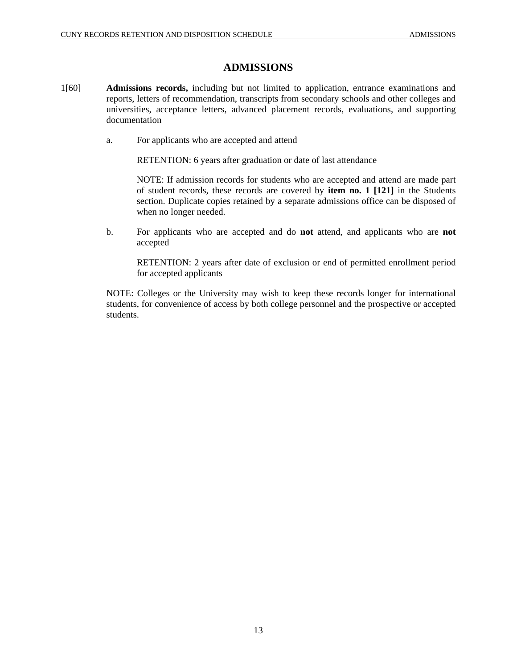### **ADMISSIONS**

- 1[60] **Admissions records,** including but not limited to application, entrance examinations and reports, letters of recommendation, transcripts from secondary schools and other colleges and universities, acceptance letters, advanced placement records, evaluations, and supporting documentation
	- a. For applicants who are accepted and attend

RETENTION: 6 years after graduation or date of last attendance

NOTE: If admission records for students who are accepted and attend are made part of student records, these records are covered by **item no. 1 [121]** in the Students section. Duplicate copies retained by a separate admissions office can be disposed of when no longer needed.

b. For applicants who are accepted and do **not** attend, and applicants who are **not** accepted

RETENTION: 2 years after date of exclusion or end of permitted enrollment period for accepted applicants

NOTE: Colleges or the University may wish to keep these records longer for international students, for convenience of access by both college personnel and the prospective or accepted students.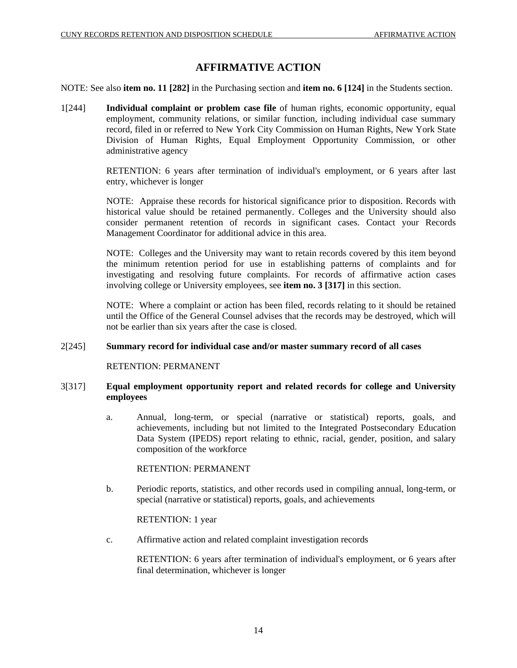### **AFFIRMATIVE ACTION**

NOTE: See also **item no. 11 [282]** in the Purchasing section and **item no. 6 [124]** in the Students section.

1[244] **Individual complaint or problem case file** of human rights, economic opportunity, equal employment, community relations, or similar function, including individual case summary record, filed in or referred to New York City Commission on Human Rights, New York State Division of Human Rights, Equal Employment Opportunity Commission, or other administrative agency

> RETENTION: 6 years after termination of individual's employment, or 6 years after last entry, whichever is longer

> NOTE: Appraise these records for historical significance prior to disposition. Records with historical value should be retained permanently. Colleges and the University should also consider permanent retention of records in significant cases. Contact your Records Management Coordinator for additional advice in this area.

> NOTE: Colleges and the University may want to retain records covered by this item beyond the minimum retention period for use in establishing patterns of complaints and for investigating and resolving future complaints. For records of affirmative action cases involving college or University employees, see **item no. 3 [317]** in this section.

> NOTE: Where a complaint or action has been filed, records relating to it should be retained until the Office of the General Counsel advises that the records may be destroyed, which will not be earlier than six years after the case is closed.

#### 2[245] **Summary record for individual case and/or master summary record of all cases**

RETENTION: PERMANENT

#### 3[317] **Equal employment opportunity report and related records for college and University employees**

a. Annual, long-term, or special (narrative or statistical) reports, goals, and achievements, including but not limited to the Integrated Postsecondary Education Data System (IPEDS) report relating to ethnic, racial, gender, position, and salary composition of the workforce

RETENTION: PERMANENT

b. Periodic reports, statistics, and other records used in compiling annual, long-term, or special (narrative or statistical) reports, goals, and achievements

RETENTION: 1 year

c. Affirmative action and related complaint investigation records

RETENTION: 6 years after termination of individual's employment, or 6 years after final determination, whichever is longer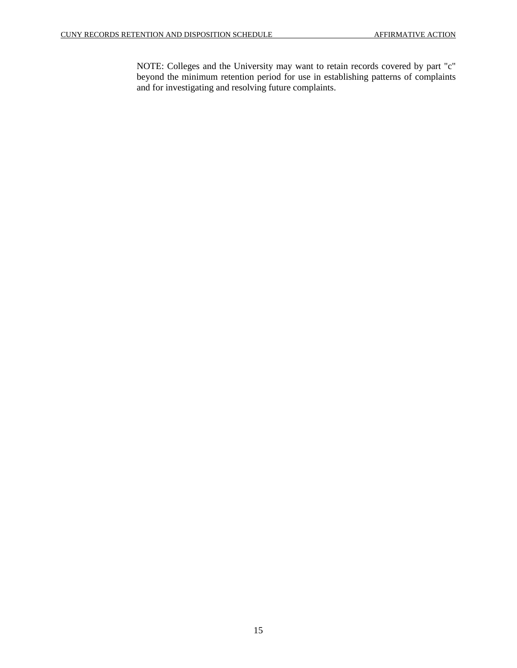NOTE: Colleges and the University may want to retain records covered by part "c" beyond the minimum retention period for use in establishing patterns of complaints and for investigating and resolving future complaints.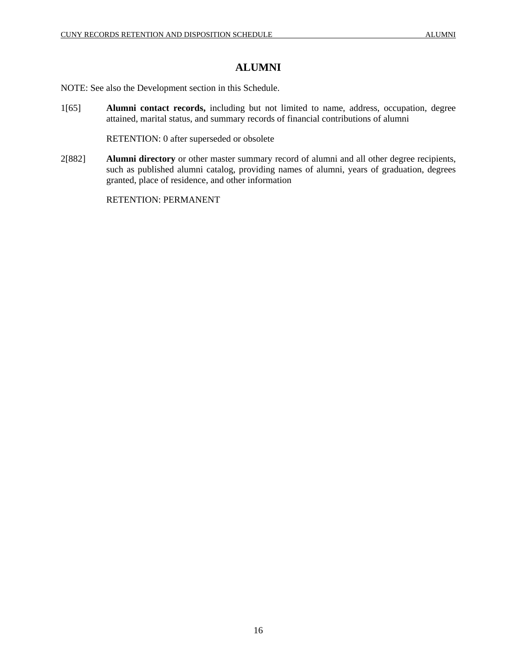### **ALUMNI**

NOTE: See also the Development section in this Schedule.

1[65] **Alumni contact records,** including but not limited to name, address, occupation, degree attained, marital status, and summary records of financial contributions of alumni

RETENTION: 0 after superseded or obsolete

2[882] **Alumni directory** or other master summary record of alumni and all other degree recipients, such as published alumni catalog, providing names of alumni, years of graduation, degrees granted, place of residence, and other information

RETENTION: PERMANENT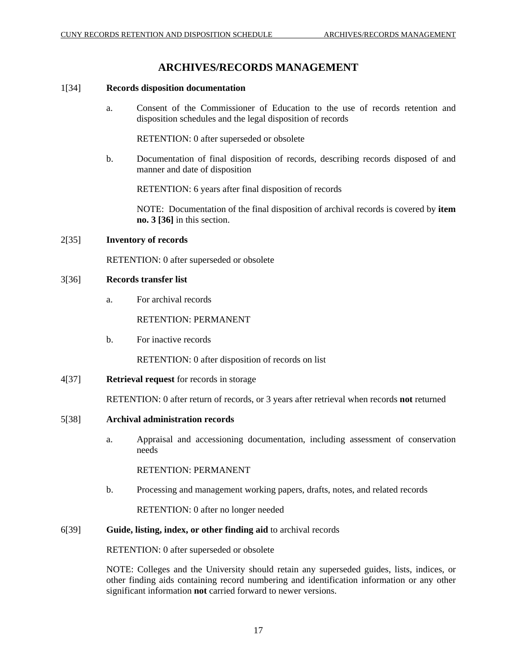### **ARCHIVES/RECORDS MANAGEMENT**

#### 1[34] **Records disposition documentation**

a. Consent of the Commissioner of Education to the use of records retention and disposition schedules and the legal disposition of records

RETENTION: 0 after superseded or obsolete

b. Documentation of final disposition of records, describing records disposed of and manner and date of disposition

RETENTION: 6 years after final disposition of records

NOTE: Documentation of the final disposition of archival records is covered by **item no. 3 [36]** in this section.

#### 2[35] **Inventory of records**

RETENTION: 0 after superseded or obsolete

#### 3[36] **Records transfer list**

a. For archival records

#### RETENTION: PERMANENT

b. For inactive records

RETENTION: 0 after disposition of records on list

4[37] **Retrieval request** for records in storage

RETENTION: 0 after return of records, or 3 years after retrieval when records **not** returned

#### 5[38] **Archival administration records**

a. Appraisal and accessioning documentation, including assessment of conservation needs

#### RETENTION: PERMANENT

b. Processing and management working papers, drafts, notes, and related records

RETENTION: 0 after no longer needed

6[39] **Guide, listing, index, or other finding aid** to archival records

RETENTION: 0 after superseded or obsolete

NOTE: Colleges and the University should retain any superseded guides, lists, indices, or other finding aids containing record numbering and identification information or any other significant information **not** carried forward to newer versions.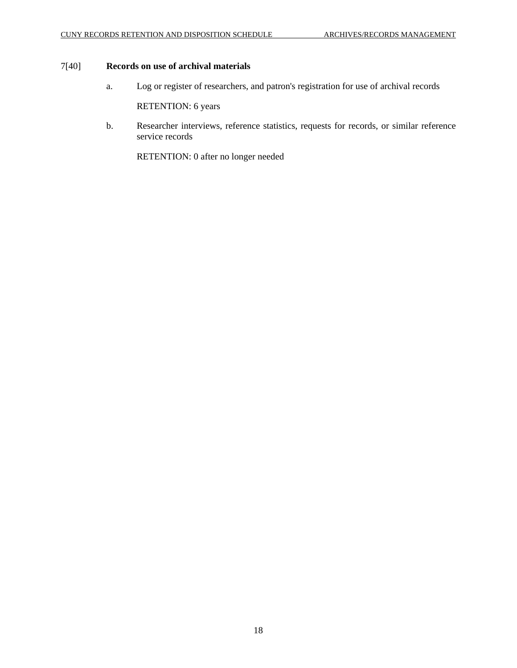### 7[40] **Records on use of archival materials**

a. Log or register of researchers, and patron's registration for use of archival records

RETENTION: 6 years

b. Researcher interviews, reference statistics, requests for records, or similar reference service records

RETENTION: 0 after no longer needed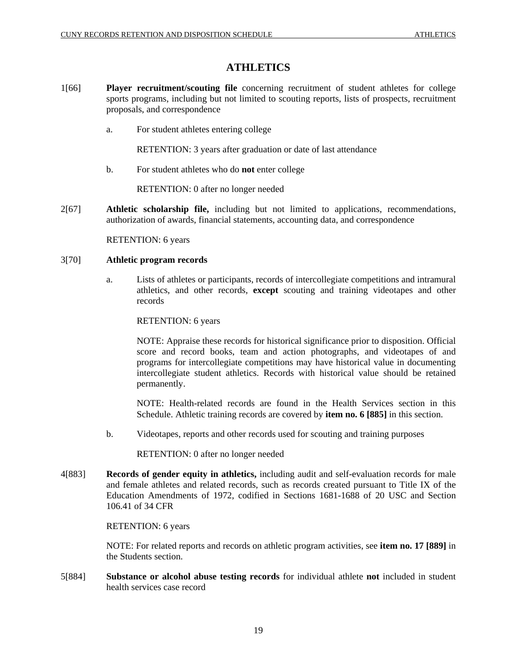### **ATHLETICS**

- 1[66] **Player recruitment/scouting file** concerning recruitment of student athletes for college sports programs, including but not limited to scouting reports, lists of prospects, recruitment proposals, and correspondence
	- a. For student athletes entering college

RETENTION: 3 years after graduation or date of last attendance

b. For student athletes who do **not** enter college

RETENTION: 0 after no longer needed

2[67] **Athletic scholarship file,** including but not limited to applications, recommendations, authorization of awards, financial statements, accounting data, and correspondence

RETENTION: 6 years

#### 3[70] **Athletic program records**

a. Lists of athletes or participants, records of intercollegiate competitions and intramural athletics, and other records, **except** scouting and training videotapes and other records

RETENTION: 6 years

NOTE: Appraise these records for historical significance prior to disposition. Official score and record books, team and action photographs, and videotapes of and programs for intercollegiate competitions may have historical value in documenting intercollegiate student athletics. Records with historical value should be retained permanently.

NOTE: Health-related records are found in the Health Services section in this Schedule. Athletic training records are covered by **item no. 6 [885]** in this section.

b. Videotapes, reports and other records used for scouting and training purposes

RETENTION: 0 after no longer needed

4[883] **Records of gender equity in athletics,** including audit and self-evaluation records for male and female athletes and related records, such as records created pursuant to Title IX of the Education Amendments of 1972, codified in Sections 1681-1688 of 20 USC and Section 106.41 of 34 CFR

#### RETENTION: 6 years

NOTE: For related reports and records on athletic program activities, see **item no. 17 [889]** in the Students section.

5[884] **Substance or alcohol abuse testing records** for individual athlete **not** included in student health services case record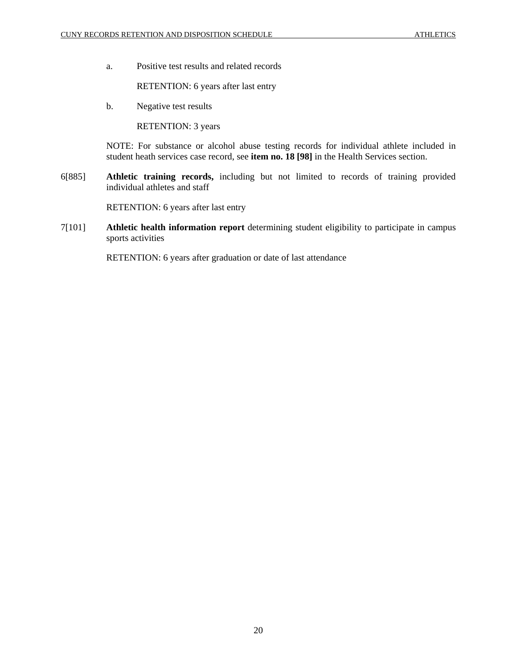a. Positive test results and related records

RETENTION: 6 years after last entry

b. Negative test results

RETENTION: 3 years

NOTE: For substance or alcohol abuse testing records for individual athlete included in student heath services case record, see **item no. 18 [98]** in the Health Services section.

6[885] **Athletic training records,** including but not limited to records of training provided individual athletes and staff

RETENTION: 6 years after last entry

7[101] **Athletic health information report** determining student eligibility to participate in campus sports activities

RETENTION: 6 years after graduation or date of last attendance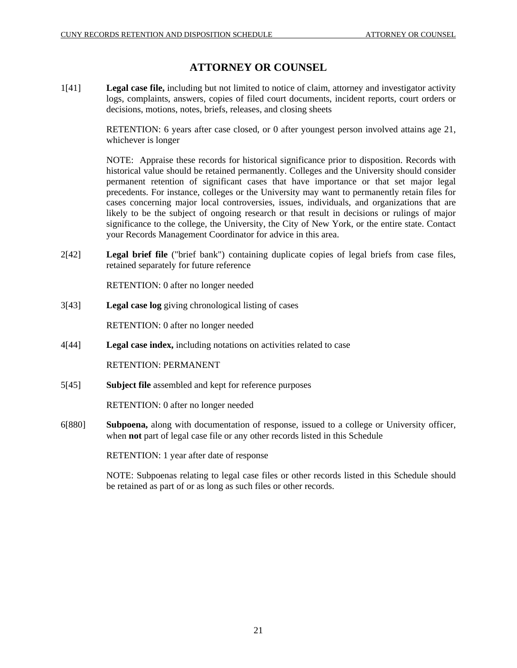### **ATTORNEY OR COUNSEL**

1[41] **Legal case file,** including but not limited to notice of claim, attorney and investigator activity logs, complaints, answers, copies of filed court documents, incident reports, court orders or decisions, motions, notes, briefs, releases, and closing sheets

> RETENTION: 6 years after case closed, or 0 after youngest person involved attains age 21, whichever is longer

> NOTE: Appraise these records for historical significance prior to disposition. Records with historical value should be retained permanently. Colleges and the University should consider permanent retention of significant cases that have importance or that set major legal precedents. For instance, colleges or the University may want to permanently retain files for cases concerning major local controversies, issues, individuals, and organizations that are likely to be the subject of ongoing research or that result in decisions or rulings of major significance to the college, the University, the City of New York, or the entire state. Contact your Records Management Coordinator for advice in this area.

2[42] **Legal brief file** ("brief bank") containing duplicate copies of legal briefs from case files, retained separately for future reference

RETENTION: 0 after no longer needed

3[43] **Legal case log** giving chronological listing of cases

RETENTION: 0 after no longer needed

4[44] **Legal case index,** including notations on activities related to case

RETENTION: PERMANENT

5[45] **Subject file** assembled and kept for reference purposes

RETENTION: 0 after no longer needed

6[880] **Subpoena,** along with documentation of response, issued to a college or University officer, when **not** part of legal case file or any other records listed in this Schedule

RETENTION: 1 year after date of response

NOTE: Subpoenas relating to legal case files or other records listed in this Schedule should be retained as part of or as long as such files or other records.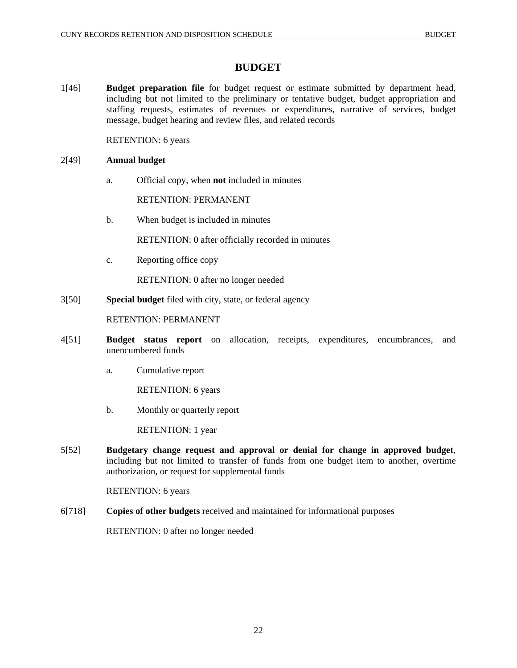### **BUDGET**

1[46] **Budget preparation file** for budget request or estimate submitted by department head, including but not limited to the preliminary or tentative budget, budget appropriation and staffing requests, estimates of revenues or expenditures, narrative of services, budget message, budget hearing and review files, and related records

RETENTION: 6 years

#### 2[49] **Annual budget**

a. Official copy, when **not** included in minutes

RETENTION: PERMANENT

b. When budget is included in minutes

RETENTION: 0 after officially recorded in minutes

c. Reporting office copy

RETENTION: 0 after no longer needed

3[50] **Special budget** filed with city, state, or federal agency

RETENTION: PERMANENT

- 4[51] **Budget status report** on allocation, receipts, expenditures, encumbrances, and unencumbered funds
	- a. Cumulative report

RETENTION: 6 years

b. Monthly or quarterly report

RETENTION: 1 year

5[52] **Budgetary change request and approval or denial for change in approved budget**, including but not limited to transfer of funds from one budget item to another, overtime authorization, or request for supplemental funds

RETENTION: 6 years

6[718] **Copies of other budgets** received and maintained for informational purposes

RETENTION: 0 after no longer needed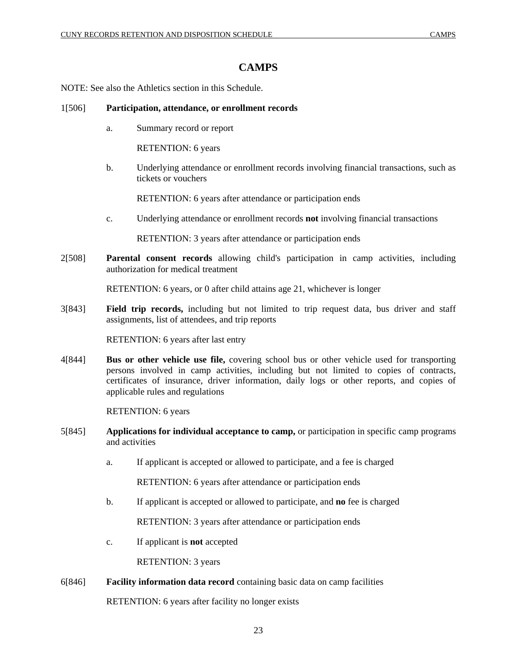# **CAMPS**

NOTE: See also the Athletics section in this Schedule.

## 1[506] **Participation, attendance, or enrollment records**

a. Summary record or report

RETENTION: 6 years

b. Underlying attendance or enrollment records involving financial transactions, such as tickets or vouchers

RETENTION: 6 years after attendance or participation ends

c. Underlying attendance or enrollment records **not** involving financial transactions

RETENTION: 3 years after attendance or participation ends

2[508] **Parental consent records** allowing child's participation in camp activities, including authorization for medical treatment

RETENTION: 6 years, or 0 after child attains age 21, whichever is longer

3[843] **Field trip records,** including but not limited to trip request data, bus driver and staff assignments, list of attendees, and trip reports

RETENTION: 6 years after last entry

4[844] **Bus or other vehicle use file,** covering school bus or other vehicle used for transporting persons involved in camp activities, including but not limited to copies of contracts, certificates of insurance, driver information, daily logs or other reports, and copies of applicable rules and regulations

RETENTION: 6 years

- 5[845] **Applications for individual acceptance to camp,** or participation in specific camp programs and activities
	- a. If applicant is accepted or allowed to participate, and a fee is charged

RETENTION: 6 years after attendance or participation ends

b. If applicant is accepted or allowed to participate, and **no** fee is charged

RETENTION: 3 years after attendance or participation ends

c. If applicant is **not** accepted

RETENTION: 3 years

6[846] **Facility information data record** containing basic data on camp facilities

RETENTION: 6 years after facility no longer exists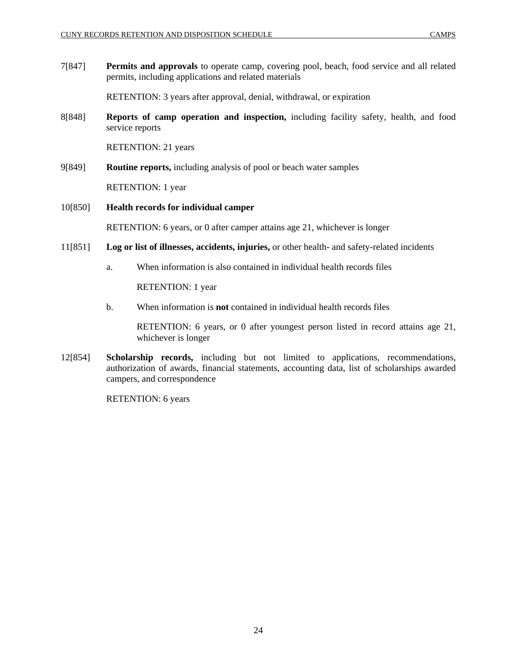7[847] **Permits and approvals** to operate camp, covering pool, beach, food service and all related permits, including applications and related materials

RETENTION: 3 years after approval, denial, withdrawal, or expiration

8[848] **Reports of camp operation and inspection,** including facility safety, health, and food service reports

RETENTION: 21 years

9[849] **Routine reports,** including analysis of pool or beach water samples

RETENTION: 1 year

## 10[850] **Health records for individual camper**

RETENTION: 6 years, or 0 after camper attains age 21, whichever is longer

- 11[851] **Log or list of illnesses, accidents, injuries,** or other health- and safety-related incidents
	- a. When information is also contained in individual health records files

RETENTION: 1 year

b. When information is **not** contained in individual health records files

RETENTION: 6 years, or 0 after youngest person listed in record attains age 21, whichever is longer

12[854] **Scholarship records,** including but not limited to applications, recommendations, authorization of awards, financial statements, accounting data, list of scholarships awarded campers, and correspondence

RETENTION: 6 years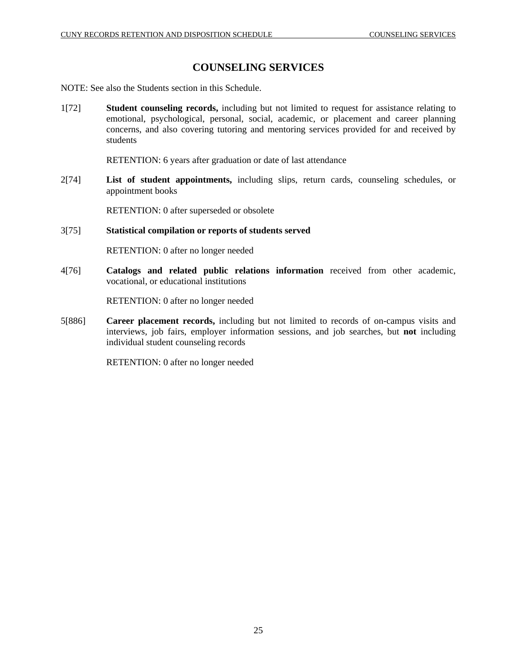# **COUNSELING SERVICES**

NOTE: See also the Students section in this Schedule.

1[72] **Student counseling records,** including but not limited to request for assistance relating to emotional, psychological, personal, social, academic, or placement and career planning concerns, and also covering tutoring and mentoring services provided for and received by students

RETENTION: 6 years after graduation or date of last attendance

2[74] **List of student appointments,** including slips, return cards, counseling schedules, or appointment books

RETENTION: 0 after superseded or obsolete

## 3[75] **Statistical compilation or reports of students served**

RETENTION: 0 after no longer needed

4[76] **Catalogs and related public relations information** received from other academic, vocational, or educational institutions

RETENTION: 0 after no longer needed

5[886] **Career placement records,** including but not limited to records of on-campus visits and interviews, job fairs, employer information sessions, and job searches, but **not** including individual student counseling records

RETENTION: 0 after no longer needed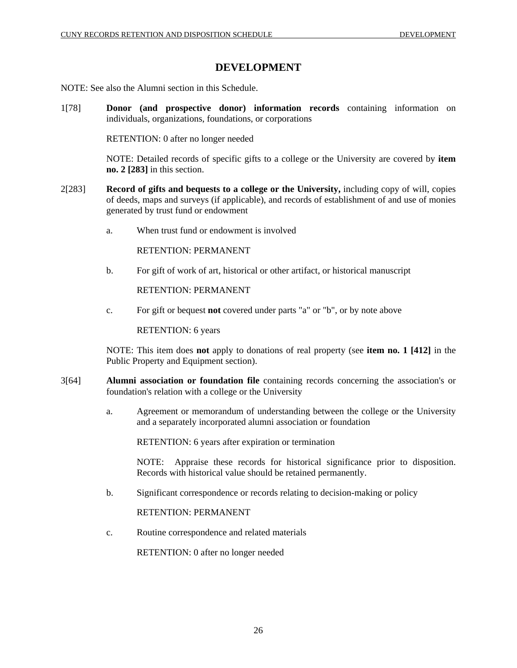# **DEVELOPMENT**

NOTE: See also the Alumni section in this Schedule.

1[78] **Donor (and prospective donor) information records** containing information on individuals, organizations, foundations, or corporations

RETENTION: 0 after no longer needed

NOTE: Detailed records of specific gifts to a college or the University are covered by **item no. 2 [283]** in this section.

- 2[283] **Record of gifts and bequests to a college or the University,** including copy of will, copies of deeds, maps and surveys (if applicable), and records of establishment of and use of monies generated by trust fund or endowment
	- a. When trust fund or endowment is involved

RETENTION: PERMANENT

b. For gift of work of art, historical or other artifact, or historical manuscript

RETENTION: PERMANENT

c. For gift or bequest **not** covered under parts "a" or "b", or by note above

RETENTION: 6 years

NOTE: This item does **not** apply to donations of real property (see **item no. 1 [412]** in the Public Property and Equipment section).

- 3[64] **Alumni association or foundation file** containing records concerning the association's or foundation's relation with a college or the University
	- a. Agreement or memorandum of understanding between the college or the University and a separately incorporated alumni association or foundation

RETENTION: 6 years after expiration or termination

NOTE: Appraise these records for historical significance prior to disposition. Records with historical value should be retained permanently.

b. Significant correspondence or records relating to decision-making or policy

RETENTION: PERMANENT

c. Routine correspondence and related materials

RETENTION: 0 after no longer needed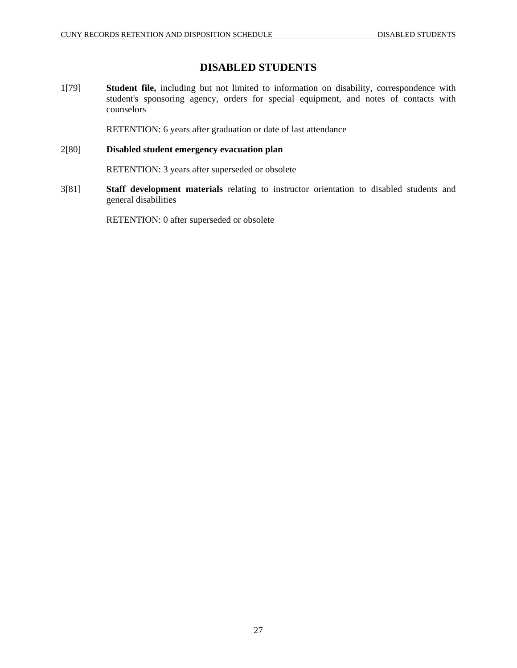# **DISABLED STUDENTS**

1[79] **Student file,** including but not limited to information on disability, correspondence with student's sponsoring agency, orders for special equipment, and notes of contacts with counselors

RETENTION: 6 years after graduation or date of last attendance

## 2[80] **Disabled student emergency evacuation plan**

RETENTION: 3 years after superseded or obsolete

3[81] **Staff development materials** relating to instructor orientation to disabled students and general disabilities

RETENTION: 0 after superseded or obsolete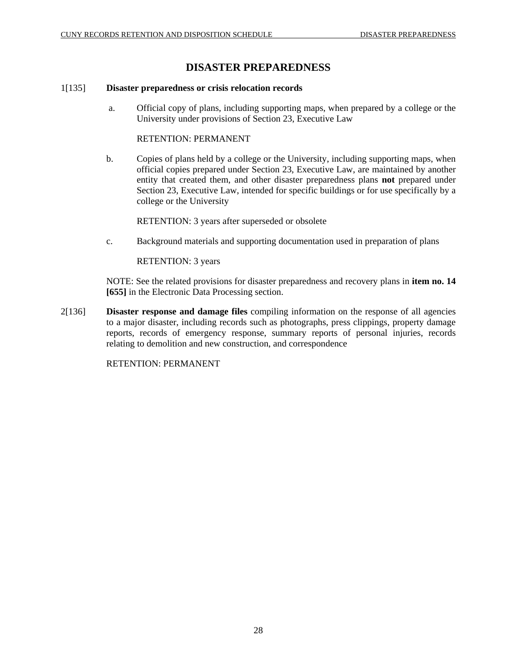# **DISASTER PREPAREDNESS**

## 1[135] **Disaster preparedness or crisis relocation records**

 a. Official copy of plans, including supporting maps, when prepared by a college or the University under provisions of Section 23, Executive Law

## RETENTION: PERMANENT

b. Copies of plans held by a college or the University, including supporting maps, when official copies prepared under Section 23, Executive Law, are maintained by another entity that created them, and other disaster preparedness plans **not** prepared under Section 23, Executive Law, intended for specific buildings or for use specifically by a college or the University

RETENTION: 3 years after superseded or obsolete

c. Background materials and supporting documentation used in preparation of plans

RETENTION: 3 years

NOTE: See the related provisions for disaster preparedness and recovery plans in **item no. 14 [655]** in the Electronic Data Processing section.

2[136] **Disaster response and damage files** compiling information on the response of all agencies to a major disaster, including records such as photographs, press clippings, property damage reports, records of emergency response, summary reports of personal injuries, records relating to demolition and new construction, and correspondence

RETENTION: PERMANENT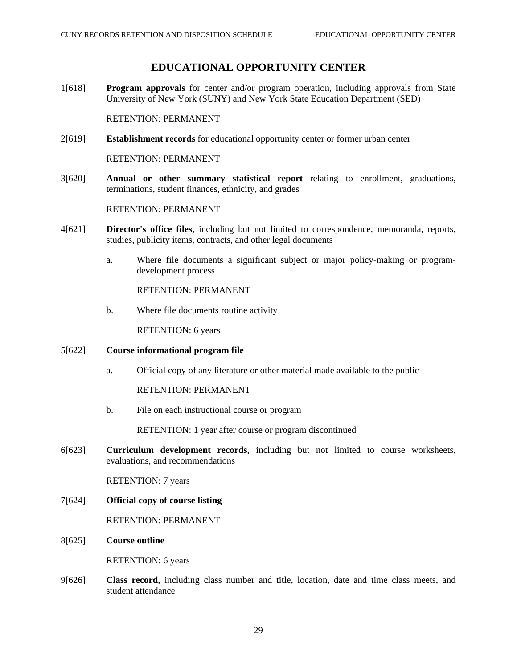# **EDUCATIONAL OPPORTUNITY CENTER**

1[618] **Program approvals** for center and/or program operation, including approvals from State University of New York (SUNY) and New York State Education Department (SED)

RETENTION: PERMANENT

2[619] **Establishment records** for educational opportunity center or former urban center

RETENTION: PERMANENT

3[620] **Annual or other summary statistical report** relating to enrollment, graduations, terminations, student finances, ethnicity, and grades

RETENTION: PERMANENT

- 4[621] **Director's office files,** including but not limited to correspondence, memoranda, reports, studies, publicity items, contracts, and other legal documents
	- a. Where file documents a significant subject or major policy-making or programdevelopment process

RETENTION: PERMANENT

b. Where file documents routine activity

RETENTION: 6 years

- 5[622] **Course informational program file**
	- a. Official copy of any literature or other material made available to the public

RETENTION: PERMANENT

b. File on each instructional course or program

RETENTION: 1 year after course or program discontinued

6[623] **Curriculum development records,** including but not limited to course worksheets, evaluations, and recommendations

RETENTION: 7 years

7[624] **Official copy of course listing**

RETENTION: PERMANENT

8[625] **Course outline**

RETENTION: 6 years

9[626] **Class record,** including class number and title, location, date and time class meets, and student attendance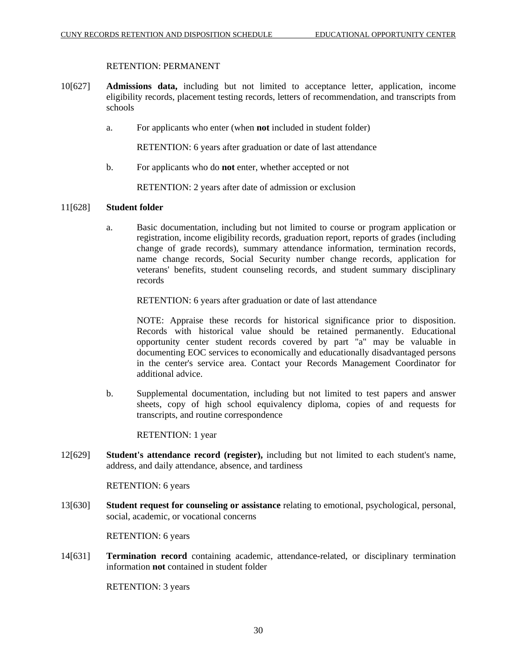## RETENTION: PERMANENT

- 10[627] **Admissions data,** including but not limited to acceptance letter, application, income eligibility records, placement testing records, letters of recommendation, and transcripts from schools
	- a. For applicants who enter (when **not** included in student folder)

RETENTION: 6 years after graduation or date of last attendance

b. For applicants who do **not** enter, whether accepted or not

RETENTION: 2 years after date of admission or exclusion

## 11[628] **Student folder**

a. Basic documentation, including but not limited to course or program application or registration, income eligibility records, graduation report, reports of grades (including change of grade records), summary attendance information, termination records, name change records, Social Security number change records, application for veterans' benefits, student counseling records, and student summary disciplinary records

RETENTION: 6 years after graduation or date of last attendance

NOTE: Appraise these records for historical significance prior to disposition. Records with historical value should be retained permanently. Educational opportunity center student records covered by part "a" may be valuable in documenting EOC services to economically and educationally disadvantaged persons in the center's service area. Contact your Records Management Coordinator for additional advice.

b. Supplemental documentation, including but not limited to test papers and answer sheets, copy of high school equivalency diploma, copies of and requests for transcripts, and routine correspondence

RETENTION: 1 year

12[629] **Student's attendance record (register),** including but not limited to each student's name, address, and daily attendance, absence, and tardiness

RETENTION: 6 years

13[630] **Student request for counseling or assistance** relating to emotional, psychological, personal, social, academic, or vocational concerns

RETENTION: 6 years

14[631] **Termination record** containing academic, attendance-related, or disciplinary termination information **not** contained in student folder

RETENTION: 3 years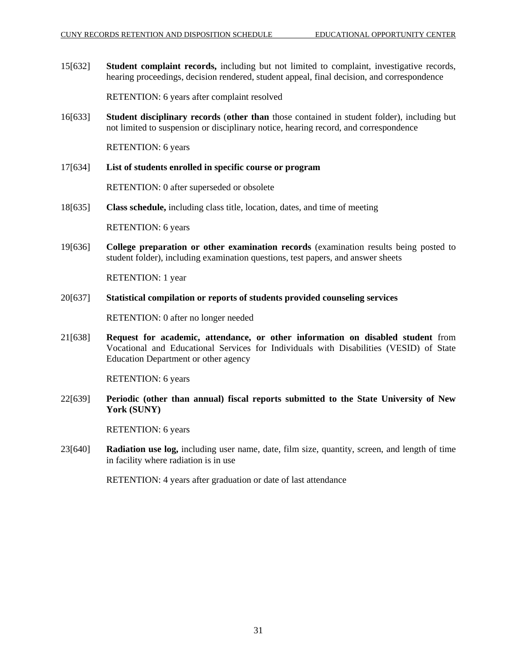15[632] **Student complaint records,** including but not limited to complaint, investigative records, hearing proceedings, decision rendered, student appeal, final decision, and correspondence

RETENTION: 6 years after complaint resolved

16[633] **Student disciplinary records** (**other than** those contained in student folder), including but not limited to suspension or disciplinary notice, hearing record, and correspondence

RETENTION: 6 years

#### 17[634] **List of students enrolled in specific course or program**

RETENTION: 0 after superseded or obsolete

18[635] **Class schedule,** including class title, location, dates, and time of meeting

RETENTION: 6 years

19[636] **College preparation or other examination records** (examination results being posted to student folder), including examination questions, test papers, and answer sheets

RETENTION: 1 year

20[637] **Statistical compilation or reports of students provided counseling services**

RETENTION: 0 after no longer needed

21[638] **Request for academic, attendance, or other information on disabled student** from Vocational and Educational Services for Individuals with Disabilities (VESID) of State Education Department or other agency

RETENTION: 6 years

22[639] **Periodic (other than annual) fiscal reports submitted to the State University of New York (SUNY)**

RETENTION: 6 years

23[640] **Radiation use log,** including user name, date, film size, quantity, screen, and length of time in facility where radiation is in use

RETENTION: 4 years after graduation or date of last attendance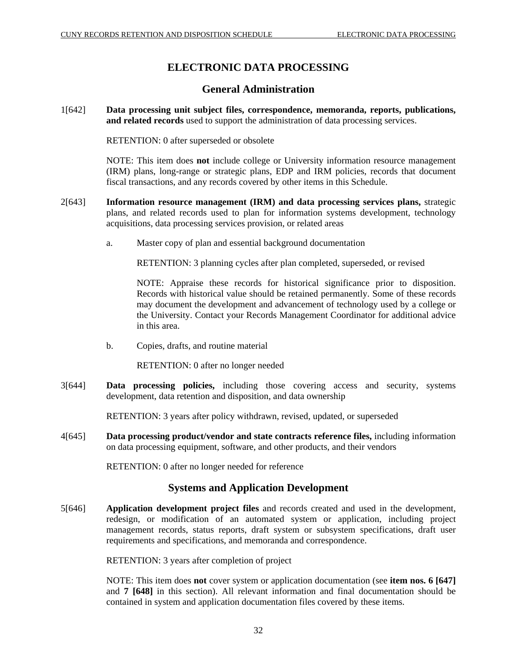# **ELECTRONIC DATA PROCESSING**

# **General Administration**

1[642] **Data processing unit subject files, correspondence, memoranda, reports, publications, and related records** used to support the administration of data processing services.

RETENTION: 0 after superseded or obsolete

NOTE: This item does **not** include college or University information resource management (IRM) plans, long-range or strategic plans, EDP and IRM policies, records that document fiscal transactions, and any records covered by other items in this Schedule.

- 2[643] **Information resource management (IRM) and data processing services plans,** strategic plans, and related records used to plan for information systems development, technology acquisitions, data processing services provision, or related areas
	- a. Master copy of plan and essential background documentation

RETENTION: 3 planning cycles after plan completed, superseded, or revised

NOTE: Appraise these records for historical significance prior to disposition. Records with historical value should be retained permanently. Some of these records may document the development and advancement of technology used by a college or the University. Contact your Records Management Coordinator for additional advice in this area.

b. Copies, drafts, and routine material

RETENTION: 0 after no longer needed

3[644] **Data processing policies,** including those covering access and security, systems development, data retention and disposition, and data ownership

RETENTION: 3 years after policy withdrawn, revised, updated, or superseded

4[645] **Data processing product/vendor and state contracts reference files,** including information on data processing equipment, software, and other products, and their vendors

RETENTION: 0 after no longer needed for reference

# **Systems and Application Development**

5[646] **Application development project files** and records created and used in the development, redesign, or modification of an automated system or application, including project management records, status reports, draft system or subsystem specifications, draft user requirements and specifications, and memoranda and correspondence.

RETENTION: 3 years after completion of project

NOTE: This item does **not** cover system or application documentation (see **item nos. 6 [647]**  and **7 [648]** in this section). All relevant information and final documentation should be contained in system and application documentation files covered by these items.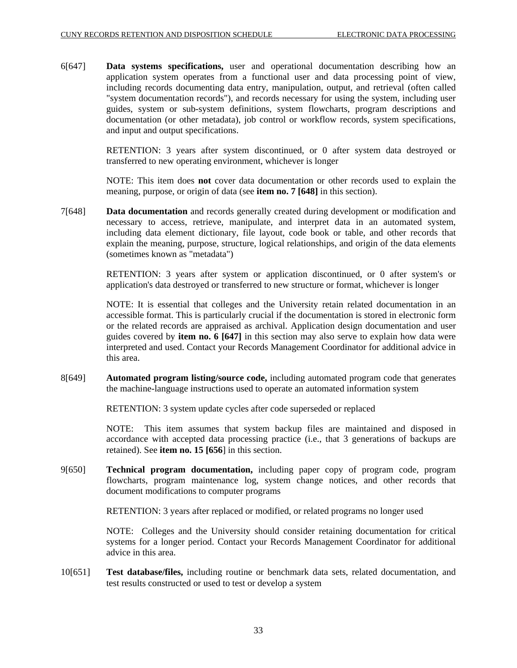6[647] **Data systems specifications,** user and operational documentation describing how an application system operates from a functional user and data processing point of view, including records documenting data entry, manipulation, output, and retrieval (often called "system documentation records"), and records necessary for using the system, including user guides, system or sub-system definitions, system flowcharts, program descriptions and documentation (or other metadata), job control or workflow records, system specifications, and input and output specifications.

> RETENTION: 3 years after system discontinued, or 0 after system data destroyed or transferred to new operating environment, whichever is longer

> NOTE: This item does **not** cover data documentation or other records used to explain the meaning, purpose, or origin of data (see **item no. 7 [648]** in this section).

7[648] **Data documentation** and records generally created during development or modification and necessary to access, retrieve, manipulate, and interpret data in an automated system, including data element dictionary, file layout, code book or table, and other records that explain the meaning, purpose, structure, logical relationships, and origin of the data elements (sometimes known as "metadata")

> RETENTION: 3 years after system or application discontinued, or 0 after system's or application's data destroyed or transferred to new structure or format, whichever is longer

> NOTE: It is essential that colleges and the University retain related documentation in an accessible format. This is particularly crucial if the documentation is stored in electronic form or the related records are appraised as archival. Application design documentation and user guides covered by **item no. 6 [647]** in this section may also serve to explain how data were interpreted and used. Contact your Records Management Coordinator for additional advice in this area.

8[649] **Automated program listing/source code,** including automated program code that generates the machine-language instructions used to operate an automated information system

RETENTION: 3 system update cycles after code superseded or replaced

NOTE: This item assumes that system backup files are maintained and disposed in accordance with accepted data processing practice (i.e., that 3 generations of backups are retained). See **item no. 15 [656**] in this section.

9[650] **Technical program documentation,** including paper copy of program code, program flowcharts, program maintenance log, system change notices, and other records that document modifications to computer programs

RETENTION: 3 years after replaced or modified, or related programs no longer used

NOTE: Colleges and the University should consider retaining documentation for critical systems for a longer period. Contact your Records Management Coordinator for additional advice in this area.

10[651] **Test database/files,** including routine or benchmark data sets, related documentation, and test results constructed or used to test or develop a system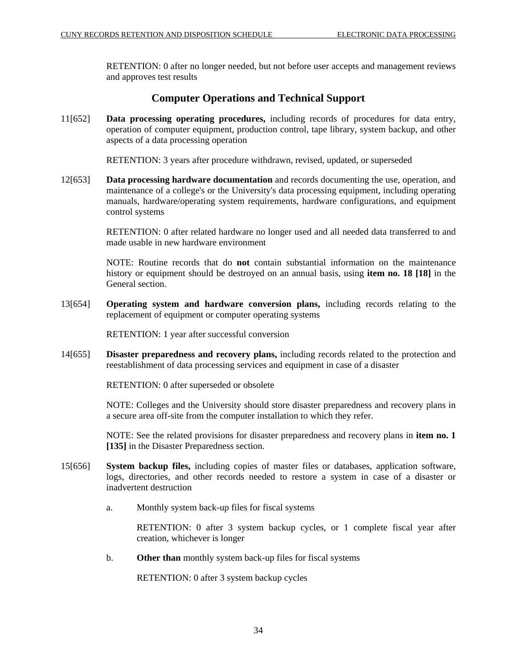RETENTION: 0 after no longer needed, but not before user accepts and management reviews and approves test results

# **Computer Operations and Technical Support**

11[652] **Data processing operating procedures,** including records of procedures for data entry, operation of computer equipment, production control, tape library, system backup, and other aspects of a data processing operation

RETENTION: 3 years after procedure withdrawn, revised, updated, or superseded

12[653] **Data processing hardware documentation** and records documenting the use, operation, and maintenance of a college's or the University's data processing equipment, including operating manuals, hardware/operating system requirements, hardware configurations, and equipment control systems

> RETENTION: 0 after related hardware no longer used and all needed data transferred to and made usable in new hardware environment

> NOTE: Routine records that do **not** contain substantial information on the maintenance history or equipment should be destroyed on an annual basis, using **item no. 18 [18]** in the General section.

13[654] **Operating system and hardware conversion plans,** including records relating to the replacement of equipment or computer operating systems

RETENTION: 1 year after successful conversion

14[655] **Disaster preparedness and recovery plans,** including records related to the protection and reestablishment of data processing services and equipment in case of a disaster

RETENTION: 0 after superseded or obsolete

NOTE: Colleges and the University should store disaster preparedness and recovery plans in a secure area off-site from the computer installation to which they refer.

NOTE: See the related provisions for disaster preparedness and recovery plans in **item no. 1 [135]** in the Disaster Preparedness section.

- 15[656] **System backup files,** including copies of master files or databases, application software, logs, directories, and other records needed to restore a system in case of a disaster or inadvertent destruction
	- a. Monthly system back-up files for fiscal systems

RETENTION: 0 after 3 system backup cycles, or 1 complete fiscal year after creation, whichever is longer

b. **Other than** monthly system back-up files for fiscal systems

RETENTION: 0 after 3 system backup cycles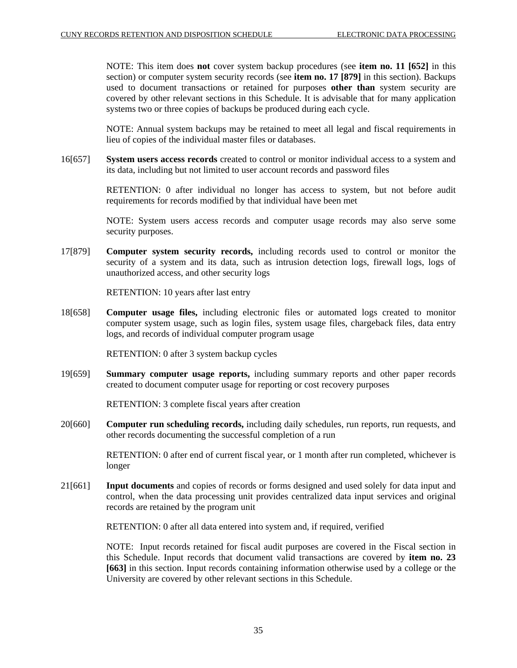NOTE: This item does **not** cover system backup procedures (see **item no. 11 [652]** in this section) or computer system security records (see **item no. 17 [879]** in this section). Backups used to document transactions or retained for purposes **other than** system security are covered by other relevant sections in this Schedule. It is advisable that for many application systems two or three copies of backups be produced during each cycle.

NOTE: Annual system backups may be retained to meet all legal and fiscal requirements in lieu of copies of the individual master files or databases.

16[657] **System users access records** created to control or monitor individual access to a system and its data, including but not limited to user account records and password files

> RETENTION: 0 after individual no longer has access to system, but not before audit requirements for records modified by that individual have been met

> NOTE: System users access records and computer usage records may also serve some security purposes.

17[879] **Computer system security records,** including records used to control or monitor the security of a system and its data, such as intrusion detection logs, firewall logs, logs of unauthorized access, and other security logs

RETENTION: 10 years after last entry

18[658] **Computer usage files,** including electronic files or automated logs created to monitor computer system usage, such as login files, system usage files, chargeback files, data entry logs, and records of individual computer program usage

RETENTION: 0 after 3 system backup cycles

19[659] **Summary computer usage reports,** including summary reports and other paper records created to document computer usage for reporting or cost recovery purposes

RETENTION: 3 complete fiscal years after creation

20[660] **Computer run scheduling records,** including daily schedules, run reports, run requests, and other records documenting the successful completion of a run

> RETENTION: 0 after end of current fiscal year, or 1 month after run completed, whichever is longer

21[661] **Input documents** and copies of records or forms designed and used solely for data input and control, when the data processing unit provides centralized data input services and original records are retained by the program unit

RETENTION: 0 after all data entered into system and, if required, verified

NOTE: Input records retained for fiscal audit purposes are covered in the Fiscal section in this Schedule. Input records that document valid transactions are covered by **item no. 23 [663]** in this section. Input records containing information otherwise used by a college or the University are covered by other relevant sections in this Schedule.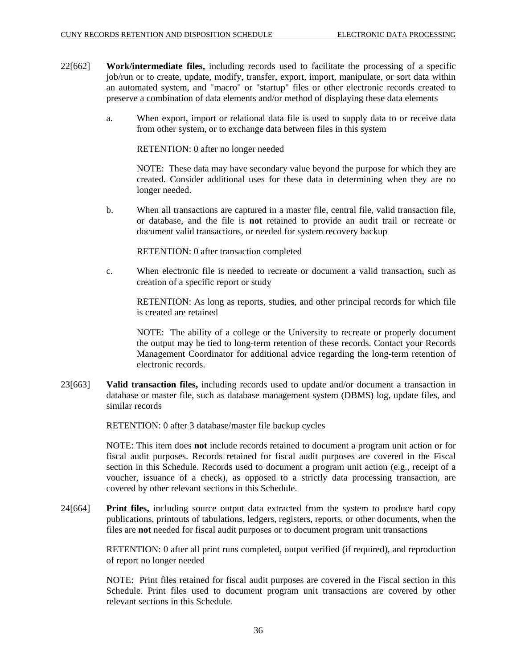- 22[662] **Work/intermediate files,** including records used to facilitate the processing of a specific job/run or to create, update, modify, transfer, export, import, manipulate, or sort data within an automated system, and "macro" or "startup" files or other electronic records created to preserve a combination of data elements and/or method of displaying these data elements
	- a. When export, import or relational data file is used to supply data to or receive data from other system, or to exchange data between files in this system

RETENTION: 0 after no longer needed

NOTE: These data may have secondary value beyond the purpose for which they are created. Consider additional uses for these data in determining when they are no longer needed.

b. When all transactions are captured in a master file, central file, valid transaction file, or database, and the file is **not** retained to provide an audit trail or recreate or document valid transactions, or needed for system recovery backup

RETENTION: 0 after transaction completed

c. When electronic file is needed to recreate or document a valid transaction, such as creation of a specific report or study

RETENTION: As long as reports, studies, and other principal records for which file is created are retained

NOTE: The ability of a college or the University to recreate or properly document the output may be tied to long-term retention of these records. Contact your Records Management Coordinator for additional advice regarding the long-term retention of electronic records.

23[663] **Valid transaction files,** including records used to update and/or document a transaction in database or master file, such as database management system (DBMS) log, update files, and similar records

RETENTION: 0 after 3 database/master file backup cycles

NOTE: This item does **not** include records retained to document a program unit action or for fiscal audit purposes. Records retained for fiscal audit purposes are covered in the Fiscal section in this Schedule. Records used to document a program unit action (e.g., receipt of a voucher, issuance of a check), as opposed to a strictly data processing transaction, are covered by other relevant sections in this Schedule.

24[664] **Print files,** including source output data extracted from the system to produce hard copy publications, printouts of tabulations, ledgers, registers, reports, or other documents, when the files are **not** needed for fiscal audit purposes or to document program unit transactions

> RETENTION: 0 after all print runs completed, output verified (if required), and reproduction of report no longer needed

> NOTE: Print files retained for fiscal audit purposes are covered in the Fiscal section in this Schedule. Print files used to document program unit transactions are covered by other relevant sections in this Schedule.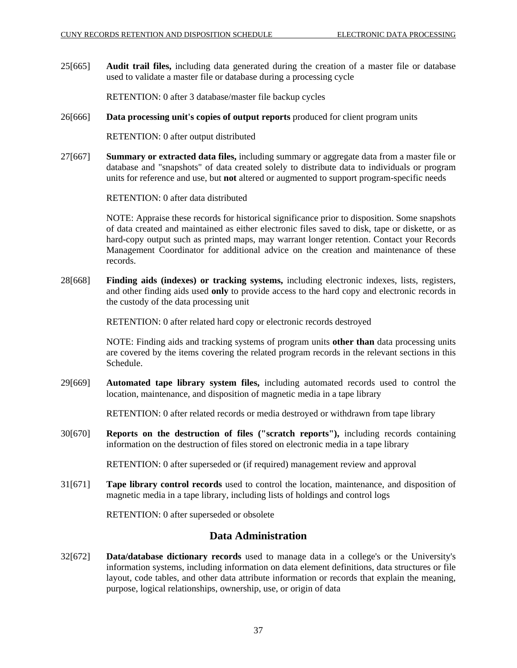25[665] **Audit trail files,** including data generated during the creation of a master file or database used to validate a master file or database during a processing cycle

RETENTION: 0 after 3 database/master file backup cycles

26[666] **Data processing unit's copies of output reports** produced for client program units

RETENTION: 0 after output distributed

27[667] **Summary or extracted data files,** including summary or aggregate data from a master file or database and "snapshots" of data created solely to distribute data to individuals or program units for reference and use, but **not** altered or augmented to support program-specific needs

RETENTION: 0 after data distributed

NOTE: Appraise these records for historical significance prior to disposition. Some snapshots of data created and maintained as either electronic files saved to disk, tape or diskette, or as hard-copy output such as printed maps, may warrant longer retention. Contact your Records Management Coordinator for additional advice on the creation and maintenance of these records.

28[668] **Finding aids (indexes) or tracking systems,** including electronic indexes, lists, registers, and other finding aids used **only** to provide access to the hard copy and electronic records in the custody of the data processing unit

RETENTION: 0 after related hard copy or electronic records destroyed

NOTE: Finding aids and tracking systems of program units **other than** data processing units are covered by the items covering the related program records in the relevant sections in this Schedule.

29[669] **Automated tape library system files,** including automated records used to control the location, maintenance, and disposition of magnetic media in a tape library

RETENTION: 0 after related records or media destroyed or withdrawn from tape library

30[670] **Reports on the destruction of files ("scratch reports"),** including records containing information on the destruction of files stored on electronic media in a tape library

RETENTION: 0 after superseded or (if required) management review and approval

31[671] **Tape library control records** used to control the location, maintenance, and disposition of magnetic media in a tape library, including lists of holdings and control logs

RETENTION: 0 after superseded or obsolete

## **Data Administration**

32[672] **Data/database dictionary records** used to manage data in a college's or the University's information systems, including information on data element definitions, data structures or file layout, code tables, and other data attribute information or records that explain the meaning, purpose, logical relationships, ownership, use, or origin of data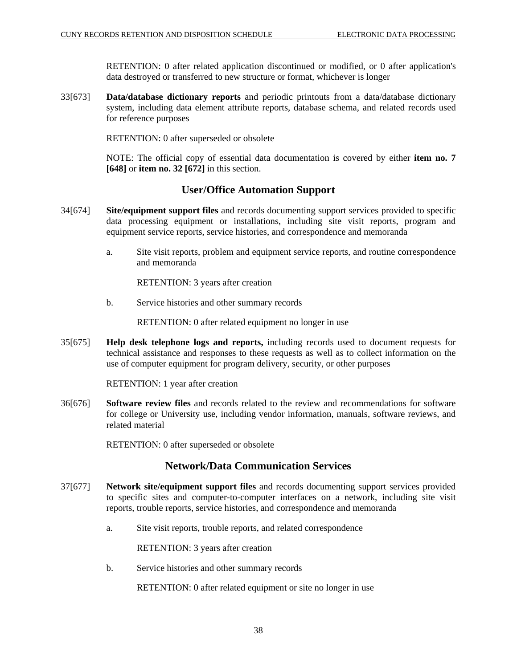RETENTION: 0 after related application discontinued or modified, or 0 after application's data destroyed or transferred to new structure or format, whichever is longer

33[673] **Data/database dictionary reports** and periodic printouts from a data/database dictionary system, including data element attribute reports, database schema, and related records used for reference purposes

RETENTION: 0 after superseded or obsolete

NOTE: The official copy of essential data documentation is covered by either **item no. 7 [648]** or **item no. 32 [672]** in this section.

# **User/Office Automation Support**

- 34[674] **Site/equipment support files** and records documenting support services provided to specific data processing equipment or installations, including site visit reports, program and equipment service reports, service histories, and correspondence and memoranda
	- a. Site visit reports, problem and equipment service reports, and routine correspondence and memoranda

RETENTION: 3 years after creation

b. Service histories and other summary records

RETENTION: 0 after related equipment no longer in use

35[675] **Help desk telephone logs and reports,** including records used to document requests for technical assistance and responses to these requests as well as to collect information on the use of computer equipment for program delivery, security, or other purposes

RETENTION: 1 year after creation

36[676] **Software review files** and records related to the review and recommendations for software for college or University use, including vendor information, manuals, software reviews, and related material

RETENTION: 0 after superseded or obsolete

# **Network/Data Communication Services**

- 37[677] **Network site/equipment support files** and records documenting support services provided to specific sites and computer-to-computer interfaces on a network, including site visit reports, trouble reports, service histories, and correspondence and memoranda
	- a. Site visit reports, trouble reports, and related correspondence

RETENTION: 3 years after creation

b. Service histories and other summary records

RETENTION: 0 after related equipment or site no longer in use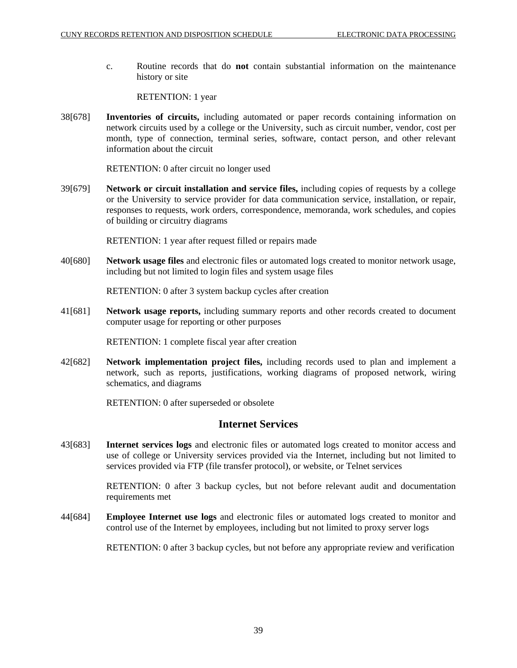c. Routine records that do **not** contain substantial information on the maintenance history or site

RETENTION: 1 year

38[678] **Inventories of circuits,** including automated or paper records containing information on network circuits used by a college or the University, such as circuit number, vendor, cost per month, type of connection, terminal series, software, contact person, and other relevant information about the circuit

RETENTION: 0 after circuit no longer used

39[679] **Network or circuit installation and service files,** including copies of requests by a college or the University to service provider for data communication service, installation, or repair, responses to requests, work orders, correspondence, memoranda, work schedules, and copies of building or circuitry diagrams

RETENTION: 1 year after request filled or repairs made

40[680] **Network usage files** and electronic files or automated logs created to monitor network usage, including but not limited to login files and system usage files

RETENTION: 0 after 3 system backup cycles after creation

41[681] **Network usage reports,** including summary reports and other records created to document computer usage for reporting or other purposes

RETENTION: 1 complete fiscal year after creation

42[682] **Network implementation project files,** including records used to plan and implement a network, such as reports, justifications, working diagrams of proposed network, wiring schematics, and diagrams

RETENTION: 0 after superseded or obsolete

## **Internet Services**

43[683] **Internet services logs** and electronic files or automated logs created to monitor access and use of college or University services provided via the Internet, including but not limited to services provided via FTP (file transfer protocol), or website, or Telnet services

> RETENTION: 0 after 3 backup cycles, but not before relevant audit and documentation requirements met

44[684] **Employee Internet use logs** and electronic files or automated logs created to monitor and control use of the Internet by employees, including but not limited to proxy server logs

RETENTION: 0 after 3 backup cycles, but not before any appropriate review and verification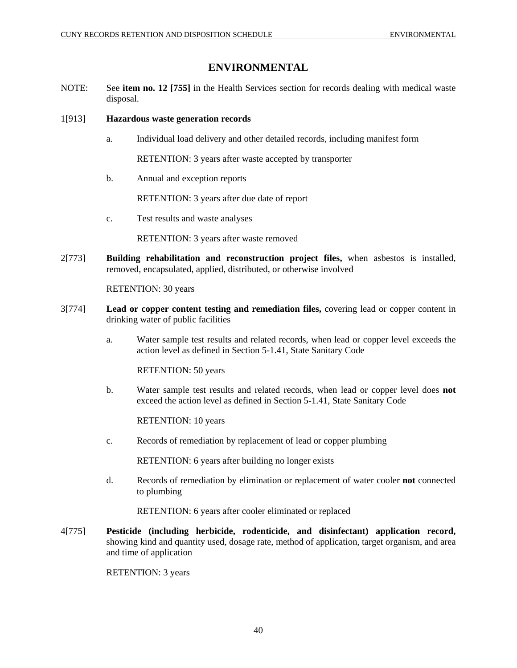# **ENVIRONMENTAL**

NOTE: See **item no. 12 [755]** in the Health Services section for records dealing with medical waste disposal.

## 1[913] **Hazardous waste generation records**

a. Individual load delivery and other detailed records, including manifest form

RETENTION: 3 years after waste accepted by transporter

b. Annual and exception reports

RETENTION: 3 years after due date of report

c. Test results and waste analyses

RETENTION: 3 years after waste removed

2[773] **Building rehabilitation and reconstruction project files,** when asbestos is installed, removed, encapsulated, applied, distributed, or otherwise involved

RETENTION: 30 years

- 3[774] **Lead or copper content testing and remediation files,** covering lead or copper content in drinking water of public facilities
	- a. Water sample test results and related records, when lead or copper level exceeds the action level as defined in Section 5-1.41, State Sanitary Code

RETENTION: 50 years

b. Water sample test results and related records, when lead or copper level does **not** exceed the action level as defined in Section 5-1.41, State Sanitary Code

RETENTION: 10 years

c. Records of remediation by replacement of lead or copper plumbing

RETENTION: 6 years after building no longer exists

d. Records of remediation by elimination or replacement of water cooler **not** connected to plumbing

RETENTION: 6 years after cooler eliminated or replaced

4[775] **Pesticide (including herbicide, rodenticide, and disinfectant) application record,** showing kind and quantity used, dosage rate, method of application, target organism, and area and time of application

RETENTION: 3 years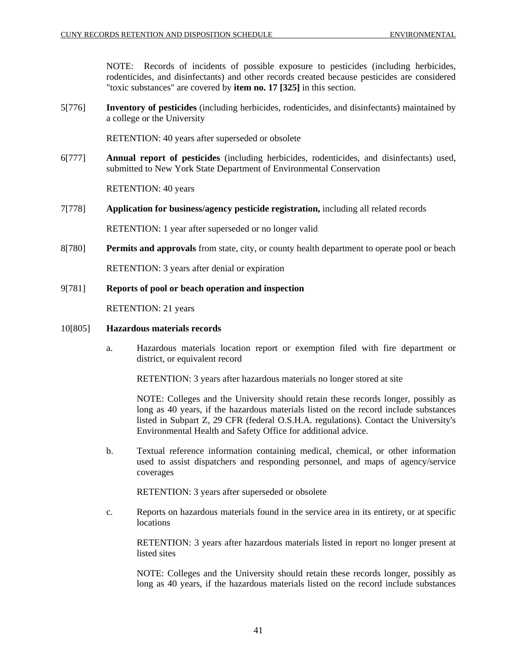NOTE: Records of incidents of possible exposure to pesticides (including herbicides, rodenticides, and disinfectants) and other records created because pesticides are considered "toxic substances" are covered by **item no. 17 [325]** in this section.

5[776] **Inventory of pesticides** (including herbicides, rodenticides, and disinfectants) maintained by a college or the University

RETENTION: 40 years after superseded or obsolete

6[777] **Annual report of pesticides** (including herbicides, rodenticides, and disinfectants) used, submitted to New York State Department of Environmental Conservation

RETENTION: 40 years

7[778] **Application for business/agency pesticide registration,** including all related records

RETENTION: 1 year after superseded or no longer valid

- 8[780] **Permits and approvals** from state, city, or county health department to operate pool or beach RETENTION: 3 years after denial or expiration
- 9[781] **Reports of pool or beach operation and inspection**

RETENTION: 21 years

- 10[805] **Hazardous materials records**
	- a. Hazardous materials location report or exemption filed with fire department or district, or equivalent record

RETENTION: 3 years after hazardous materials no longer stored at site

NOTE: Colleges and the University should retain these records longer, possibly as long as 40 years, if the hazardous materials listed on the record include substances listed in Subpart Z, 29 CFR (federal O.S.H.A. regulations). Contact the University's Environmental Health and Safety Office for additional advice.

b. Textual reference information containing medical, chemical, or other information used to assist dispatchers and responding personnel, and maps of agency/service coverages

RETENTION: 3 years after superseded or obsolete

c. Reports on hazardous materials found in the service area in its entirety, or at specific locations

RETENTION: 3 years after hazardous materials listed in report no longer present at listed sites

NOTE: Colleges and the University should retain these records longer, possibly as long as 40 years, if the hazardous materials listed on the record include substances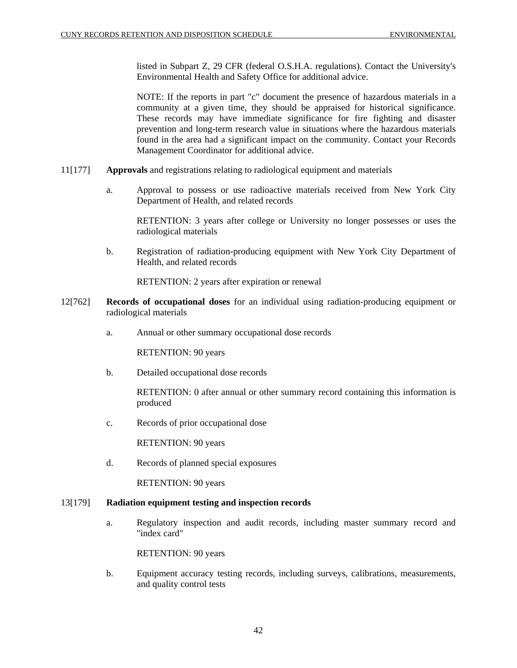listed in Subpart Z, 29 CFR (federal O.S.H.A. regulations). Contact the University's Environmental Health and Safety Office for additional advice.

NOTE: If the reports in part "c" document the presence of hazardous materials in a community at a given time, they should be appraised for historical significance. These records may have immediate significance for fire fighting and disaster prevention and long-term research value in situations where the hazardous materials found in the area had a significant impact on the community. Contact your Records Management Coordinator for additional advice.

- 11[177] **Approvals** and registrations relating to radiological equipment and materials
	- a. Approval to possess or use radioactive materials received from New York City Department of Health, and related records

RETENTION: 3 years after college or University no longer possesses or uses the radiological materials

b. Registration of radiation-producing equipment with New York City Department of Health, and related records

RETENTION: 2 years after expiration or renewal

- 12[762] **Records of occupational doses** for an individual using radiation-producing equipment or radiological materials
	- a. Annual or other summary occupational dose records

RETENTION: 90 years

b. Detailed occupational dose records

RETENTION: 0 after annual or other summary record containing this information is produced

c. Records of prior occupational dose

RETENTION: 90 years

d. Records of planned special exposures

RETENTION: 90 years

## 13[179] **Radiation equipment testing and inspection records**

a. Regulatory inspection and audit records, including master summary record and "index card"

RETENTION: 90 years

b. Equipment accuracy testing records, including surveys, calibrations, measurements, and quality control tests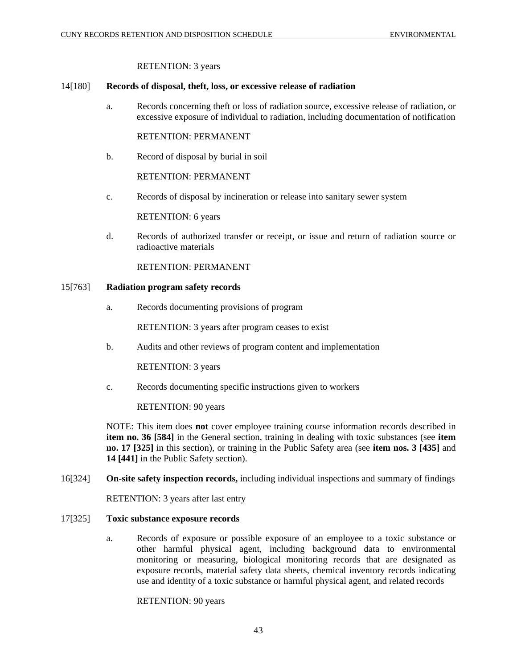#### RETENTION: 3 years

#### 14[180] **Records of disposal, theft, loss, or excessive release of radiation**

a. Records concerning theft or loss of radiation source, excessive release of radiation, or excessive exposure of individual to radiation, including documentation of notification

RETENTION: PERMANENT

b. Record of disposal by burial in soil

RETENTION: PERMANENT

c. Records of disposal by incineration or release into sanitary sewer system

RETENTION: 6 years

d. Records of authorized transfer or receipt, or issue and return of radiation source or radioactive materials

RETENTION: PERMANENT

#### 15[763] **Radiation program safety records**

a. Records documenting provisions of program

RETENTION: 3 years after program ceases to exist

b. Audits and other reviews of program content and implementation

RETENTION: 3 years

c. Records documenting specific instructions given to workers

RETENTION: 90 years

NOTE: This item does **not** cover employee training course information records described in **item no. 36 [584]** in the General section, training in dealing with toxic substances (see **item no. 17 [325]** in this section), or training in the Public Safety area (see **item nos. 3 [435]** and **14 [441]** in the Public Safety section).

16[324] **On-site safety inspection records,** including individual inspections and summary of findings

RETENTION: 3 years after last entry

## 17[325] **Toxic substance exposure records**

a. Records of exposure or possible exposure of an employee to a toxic substance or other harmful physical agent, including background data to environmental monitoring or measuring, biological monitoring records that are designated as exposure records, material safety data sheets, chemical inventory records indicating use and identity of a toxic substance or harmful physical agent, and related records

RETENTION: 90 years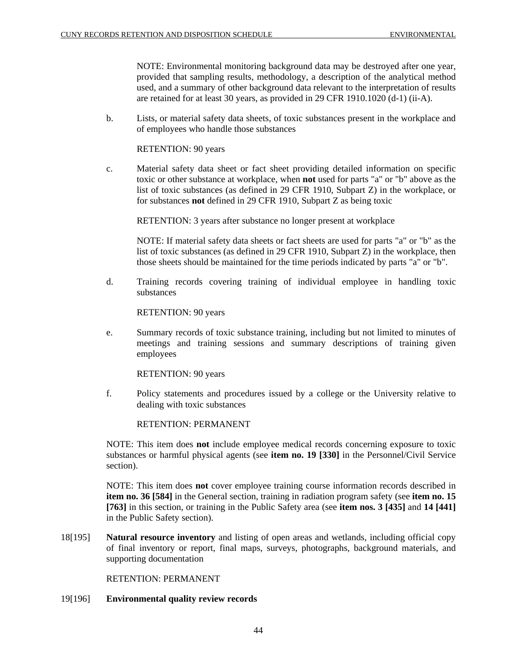NOTE: Environmental monitoring background data may be destroyed after one year, provided that sampling results, methodology, a description of the analytical method used, and a summary of other background data relevant to the interpretation of results are retained for at least 30 years, as provided in 29 CFR 1910.1020 (d-1) (ii-A).

b. Lists, or material safety data sheets, of toxic substances present in the workplace and of employees who handle those substances

RETENTION: 90 years

c. Material safety data sheet or fact sheet providing detailed information on specific toxic or other substance at workplace, when **not** used for parts "a" or "b" above as the list of toxic substances (as defined in 29 CFR 1910, Subpart Z) in the workplace, or for substances **not** defined in 29 CFR 1910, Subpart Z as being toxic

RETENTION: 3 years after substance no longer present at workplace

NOTE: If material safety data sheets or fact sheets are used for parts "a" or "b" as the list of toxic substances (as defined in 29 CFR 1910, Subpart Z) in the workplace, then those sheets should be maintained for the time periods indicated by parts "a" or "b".

d. Training records covering training of individual employee in handling toxic substances

RETENTION: 90 years

e. Summary records of toxic substance training, including but not limited to minutes of meetings and training sessions and summary descriptions of training given employees

RETENTION: 90 years

f. Policy statements and procedures issued by a college or the University relative to dealing with toxic substances

RETENTION: PERMANENT

NOTE: This item does **not** include employee medical records concerning exposure to toxic substances or harmful physical agents (see **item no. 19 [330]** in the Personnel/Civil Service section).

NOTE: This item does **not** cover employee training course information records described in **item no. 36 [584]** in the General section, training in radiation program safety (see **item no. 15 [763]** in this section, or training in the Public Safety area (see **item nos. 3 [435]** and **14 [441]** in the Public Safety section).

18[195] **Natural resource inventory** and listing of open areas and wetlands, including official copy of final inventory or report, final maps, surveys, photographs, background materials, and supporting documentation

RETENTION: PERMANENT

19[196] **Environmental quality review records**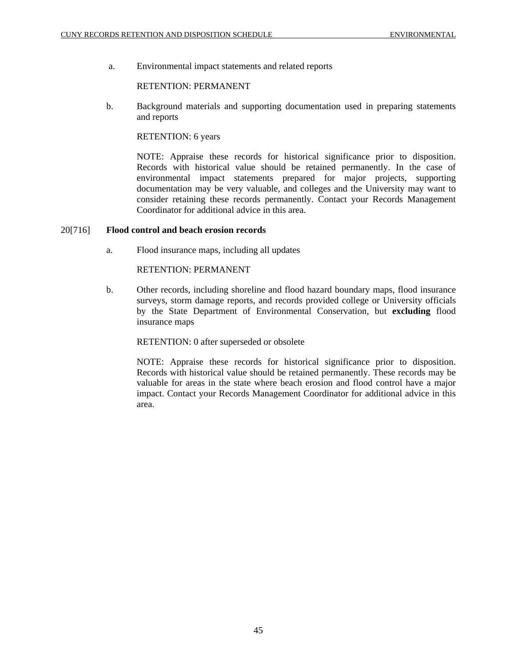a. Environmental impact statements and related reports

## RETENTION: PERMANENT

b. Background materials and supporting documentation used in preparing statements and reports

## RETENTION: 6 years

NOTE: Appraise these records for historical significance prior to disposition. Records with historical value should be retained permanently. In the case of environmental impact statements prepared for major projects, supporting documentation may be very valuable, and colleges and the University may want to consider retaining these records permanently. Contact your Records Management Coordinator for additional advice in this area.

## 20[716] **Flood control and beach erosion records**

a. Flood insurance maps, including all updates

## RETENTION: PERMANENT

b. Other records, including shoreline and flood hazard boundary maps, flood insurance surveys, storm damage reports, and records provided college or University officials by the State Department of Environmental Conservation, but **excluding** flood insurance maps

## RETENTION: 0 after superseded or obsolete

NOTE: Appraise these records for historical significance prior to disposition. Records with historical value should be retained permanently. These records may be valuable for areas in the state where beach erosion and flood control have a major impact. Contact your Records Management Coordinator for additional advice in this area.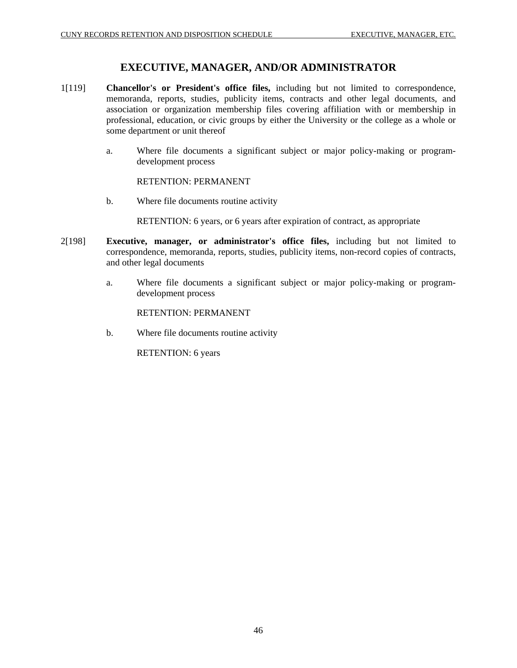# **EXECUTIVE, MANAGER, AND/OR ADMINISTRATOR**

- 1[119] **Chancellor's or President's office files,** including but not limited to correspondence, memoranda, reports, studies, publicity items, contracts and other legal documents, and association or organization membership files covering affiliation with or membership in professional, education, or civic groups by either the University or the college as a whole or some department or unit thereof
	- a. Where file documents a significant subject or major policy-making or programdevelopment process

RETENTION: PERMANENT

b. Where file documents routine activity

RETENTION: 6 years, or 6 years after expiration of contract, as appropriate

- 2[198] **Executive, manager, or administrator's office files,** including but not limited to correspondence, memoranda, reports, studies, publicity items, non-record copies of contracts, and other legal documents
	- a. Where file documents a significant subject or major policy-making or programdevelopment process

RETENTION: PERMANENT

b. Where file documents routine activity

RETENTION: 6 years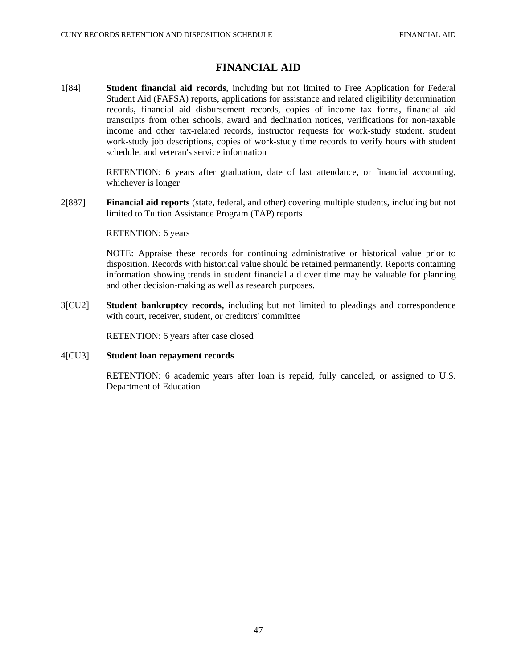# **FINANCIAL AID**

1[84] **Student financial aid records,** including but not limited to Free Application for Federal Student Aid (FAFSA) reports, applications for assistance and related eligibility determination records, financial aid disbursement records, copies of income tax forms, financial aid transcripts from other schools, award and declination notices, verifications for non-taxable income and other tax-related records, instructor requests for work-study student, student work-study job descriptions, copies of work-study time records to verify hours with student schedule, and veteran's service information

> RETENTION: 6 years after graduation, date of last attendance, or financial accounting, whichever is longer

2[887] **Financial aid reports** (state, federal, and other) covering multiple students, including but not limited to Tuition Assistance Program (TAP) reports

## RETENTION: 6 years

NOTE: Appraise these records for continuing administrative or historical value prior to disposition. Records with historical value should be retained permanently. Reports containing information showing trends in student financial aid over time may be valuable for planning and other decision-making as well as research purposes.

3[CU2] **Student bankruptcy records,** including but not limited to pleadings and correspondence with court, receiver, student, or creditors' committee

RETENTION: 6 years after case closed

## 4[CU3] **Student loan repayment records**

RETENTION: 6 academic years after loan is repaid, fully canceled, or assigned to U.S. Department of Education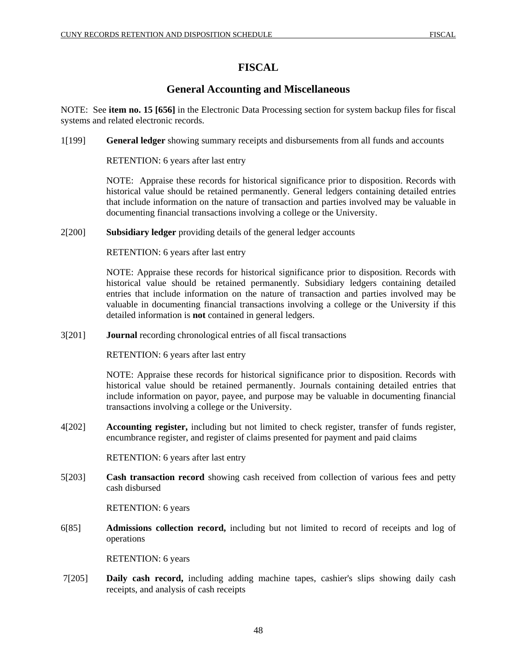# **FISCAL**

# **General Accounting and Miscellaneous**

NOTE: See **item no. 15 [656]** in the Electronic Data Processing section for system backup files for fiscal systems and related electronic records.

1[199] **General ledger** showing summary receipts and disbursements from all funds and accounts

RETENTION: 6 years after last entry

NOTE: Appraise these records for historical significance prior to disposition. Records with historical value should be retained permanently. General ledgers containing detailed entries that include information on the nature of transaction and parties involved may be valuable in documenting financial transactions involving a college or the University.

2[200] **Subsidiary ledger** providing details of the general ledger accounts

RETENTION: 6 years after last entry

NOTE: Appraise these records for historical significance prior to disposition. Records with historical value should be retained permanently. Subsidiary ledgers containing detailed entries that include information on the nature of transaction and parties involved may be valuable in documenting financial transactions involving a college or the University if this detailed information is **not** contained in general ledgers.

3[201] **Journal** recording chronological entries of all fiscal transactions

RETENTION: 6 years after last entry

NOTE: Appraise these records for historical significance prior to disposition. Records with historical value should be retained permanently. Journals containing detailed entries that include information on payor, payee, and purpose may be valuable in documenting financial transactions involving a college or the University.

4[202] **Accounting register,** including but not limited to check register, transfer of funds register, encumbrance register, and register of claims presented for payment and paid claims

RETENTION: 6 years after last entry

5[203] **Cash transaction record** showing cash received from collection of various fees and petty cash disbursed

RETENTION: 6 years

6[85] **Admissions collection record,** including but not limited to record of receipts and log of operations

## RETENTION: 6 years

 7[205] **Daily cash record,** including adding machine tapes, cashier's slips showing daily cash receipts, and analysis of cash receipts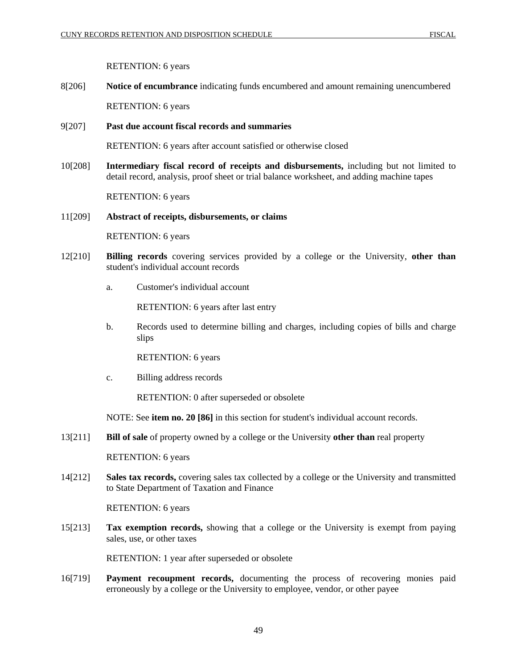## RETENTION: 6 years

8[206] **Notice of encumbrance** indicating funds encumbered and amount remaining unencumbered RETENTION: 6 years

9[207] **Past due account fiscal records and summaries** 

RETENTION: 6 years after account satisfied or otherwise closed

10[208] **Intermediary fiscal record of receipts and disbursements,** including but not limited to detail record, analysis, proof sheet or trial balance worksheet, and adding machine tapes

RETENTION: 6 years

## 11[209] **Abstract of receipts, disbursements, or claims**

RETENTION: 6 years

- 12[210] **Billing records** covering services provided by a college or the University, **other than** student's individual account records
	- a. Customer's individual account

RETENTION: 6 years after last entry

b. Records used to determine billing and charges, including copies of bills and charge slips

RETENTION: 6 years

c. Billing address records

RETENTION: 0 after superseded or obsolete

NOTE: See **item no. 20 [86]** in this section for student's individual account records.

13[211] **Bill of sale** of property owned by a college or the University **other than** real property

RETENTION: 6 years

14[212] **Sales tax records,** covering sales tax collected by a college or the University and transmitted to State Department of Taxation and Finance

RETENTION: 6 years

15[213] **Tax exemption records,** showing that a college or the University is exempt from paying sales, use, or other taxes

RETENTION: 1 year after superseded or obsolete

16[719] **Payment recoupment records,** documenting the process of recovering monies paid erroneously by a college or the University to employee, vendor, or other payee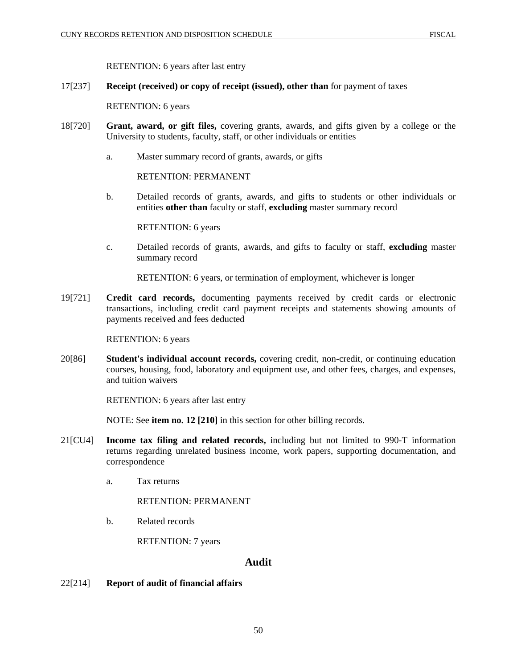RETENTION: 6 years after last entry

## 17[237] **Receipt (received) or copy of receipt (issued), other than** for payment of taxes

RETENTION: 6 years

- 18[720] **Grant, award, or gift files,** covering grants, awards, and gifts given by a college or the University to students, faculty, staff, or other individuals or entities
	- a. Master summary record of grants, awards, or gifts

RETENTION: PERMANENT

b. Detailed records of grants, awards, and gifts to students or other individuals or entities **other than** faculty or staff, **excluding** master summary record

RETENTION: 6 years

c. Detailed records of grants, awards, and gifts to faculty or staff, **excluding** master summary record

RETENTION: 6 years, or termination of employment, whichever is longer

19[721] **Credit card records,** documenting payments received by credit cards or electronic transactions, including credit card payment receipts and statements showing amounts of payments received and fees deducted

RETENTION: 6 years

20[86] **Student's individual account records,** covering credit, non-credit, or continuing education courses, housing, food, laboratory and equipment use, and other fees, charges, and expenses, and tuition waivers

RETENTION: 6 years after last entry

NOTE: See **item no. 12 [210]** in this section for other billing records.

- 21[CU4] **Income tax filing and related records,** including but not limited to 990-T information returns regarding unrelated business income, work papers, supporting documentation, and correspondence
	- a. Tax returns

RETENTION: PERMANENT

b. Related records

RETENTION: 7 years

## **Audit**

22[214] **Report of audit of financial affairs**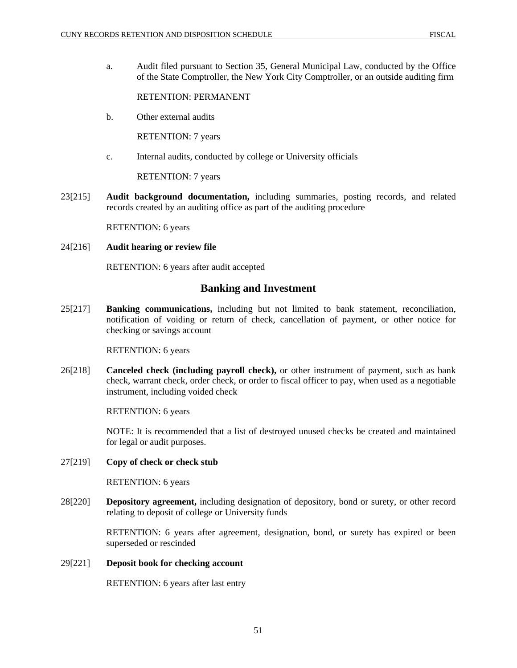a. Audit filed pursuant to Section 35, General Municipal Law, conducted by the Office of the State Comptroller, the New York City Comptroller, or an outside auditing firm

RETENTION: PERMANENT

b. Other external audits

RETENTION: 7 years

c. Internal audits, conducted by college or University officials

RETENTION: 7 years

23[215] **Audit background documentation,** including summaries, posting records, and related records created by an auditing office as part of the auditing procedure

RETENTION: 6 years

24[216] **Audit hearing or review file**

RETENTION: 6 years after audit accepted

# **Banking and Investment**

25[217] **Banking communications,** including but not limited to bank statement, reconciliation, notification of voiding or return of check, cancellation of payment, or other notice for checking or savings account

RETENTION: 6 years

26[218] **Canceled check (including payroll check),** or other instrument of payment, such as bank check, warrant check, order check, or order to fiscal officer to pay, when used as a negotiable instrument, including voided check

RETENTION: 6 years

NOTE: It is recommended that a list of destroyed unused checks be created and maintained for legal or audit purposes.

27[219] **Copy of check or check stub**

RETENTION: 6 years

28[220] **Depository agreement,** including designation of depository, bond or surety, or other record relating to deposit of college or University funds

> RETENTION: 6 years after agreement, designation, bond, or surety has expired or been superseded or rescinded

## 29[221] **Deposit book for checking account**

RETENTION: 6 years after last entry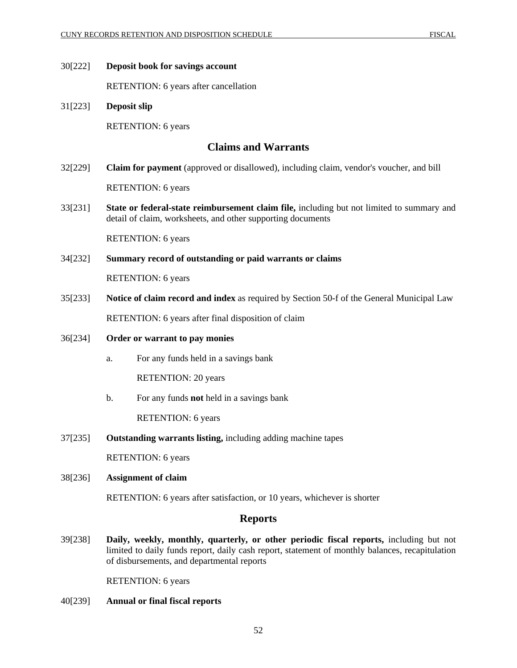#### 30[222] **Deposit book for savings account**

RETENTION: 6 years after cancellation

31[223] **Deposit slip**  RETENTION: 6 years

## **Claims and Warrants**

- 32[229] **Claim for payment** (approved or disallowed), including claim, vendor's voucher, and bill RETENTION: 6 years
- 33[231] **State or federal-state reimbursement claim file,** including but not limited to summary and detail of claim, worksheets, and other supporting documents

RETENTION: 6 years

## 34[232] **Summary record of outstanding or paid warrants or claims**

RETENTION: 6 years

- 35[233] **Notice of claim record and index** as required by Section 50-f of the General Municipal Law RETENTION: 6 years after final disposition of claim
- 36[234] **Order or warrant to pay monies**
	- a. For any funds held in a savings bank

RETENTION: 20 years

b. For any funds **not** held in a savings bank

RETENTION: 6 years

37[235] **Outstanding warrants listing,** including adding machine tapes

RETENTION: 6 years

## 38[236] **Assignment of claim**

RETENTION: 6 years after satisfaction, or 10 years, whichever is shorter

## **Reports**

39[238] **Daily, weekly, monthly, quarterly, or other periodic fiscal reports,** including but not limited to daily funds report, daily cash report, statement of monthly balances, recapitulation of disbursements, and departmental reports

RETENTION: 6 years

40[239] **Annual or final fiscal reports**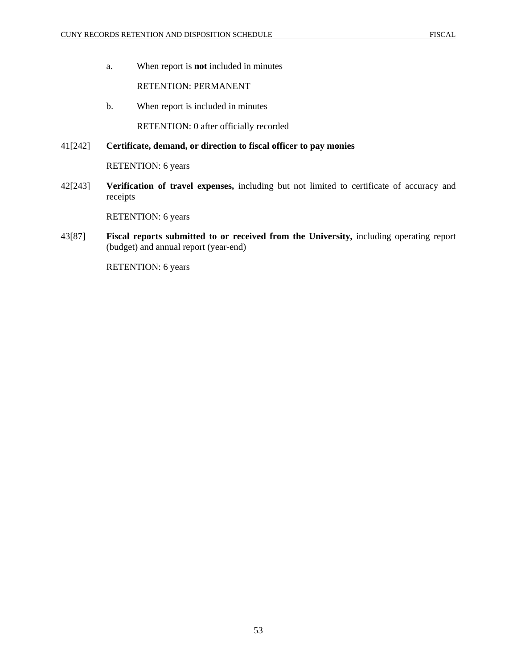a. When report is **not** included in minutes

RETENTION: PERMANENT

b. When report is included in minutes

RETENTION: 0 after officially recorded

## 41[242] **Certificate, demand, or direction to fiscal officer to pay monies**

RETENTION: 6 years

42[243] **Verification of travel expenses,** including but not limited to certificate of accuracy and receipts

RETENTION: 6 years

43[87] **Fiscal reports submitted to or received from the University,** including operating report (budget) and annual report (year-end)

RETENTION: 6 years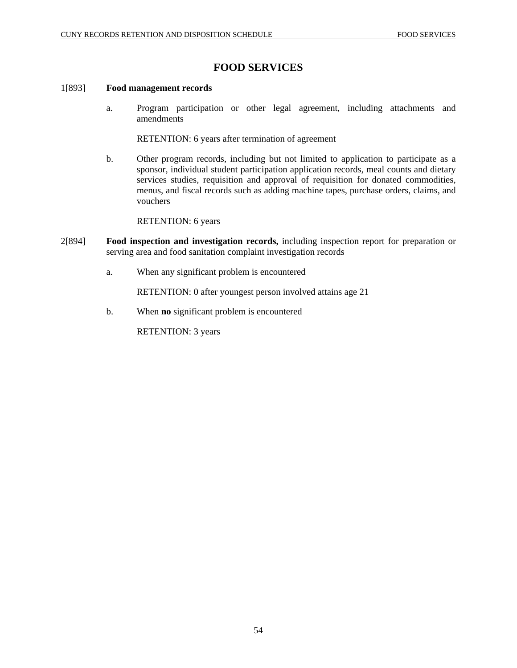# **FOOD SERVICES**

## 1[893] **Food management records**

a. Program participation or other legal agreement, including attachments and amendments

RETENTION: 6 years after termination of agreement

b. Other program records, including but not limited to application to participate as a sponsor, individual student participation application records, meal counts and dietary services studies, requisition and approval of requisition for donated commodities, menus, and fiscal records such as adding machine tapes, purchase orders, claims, and vouchers

RETENTION: 6 years

- 2[894] **Food inspection and investigation records,** including inspection report for preparation or serving area and food sanitation complaint investigation records
	- a. When any significant problem is encountered

RETENTION: 0 after youngest person involved attains age 21

b. When **no** significant problem is encountered

RETENTION: 3 years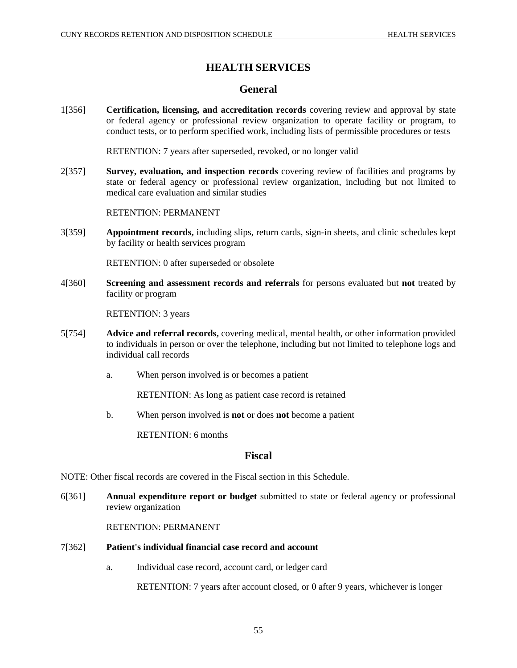# **HEALTH SERVICES**

# **General**

1[356] **Certification, licensing, and accreditation records** covering review and approval by state or federal agency or professional review organization to operate facility or program, to conduct tests, or to perform specified work, including lists of permissible procedures or tests

RETENTION: 7 years after superseded, revoked, or no longer valid

2[357] **Survey, evaluation, and inspection records** covering review of facilities and programs by state or federal agency or professional review organization, including but not limited to medical care evaluation and similar studies

RETENTION: PERMANENT

3[359] **Appointment records,** including slips, return cards, sign-in sheets, and clinic schedules kept by facility or health services program

RETENTION: 0 after superseded or obsolete

4[360] **Screening and assessment records and referrals** for persons evaluated but **not** treated by facility or program

RETENTION: 3 years

- 5[754] **Advice and referral records,** covering medical, mental health, or other information provided to individuals in person or over the telephone, including but not limited to telephone logs and individual call records
	- a. When person involved is or becomes a patient

RETENTION: As long as patient case record is retained

b. When person involved is **not** or does **not** become a patient

RETENTION: 6 months

## **Fiscal**

NOTE: Other fiscal records are covered in the Fiscal section in this Schedule.

6[361] **Annual expenditure report or budget** submitted to state or federal agency or professional review organization

RETENTION: PERMANENT

## 7[362] **Patient's individual financial case record and account**

a. Individual case record, account card, or ledger card

RETENTION: 7 years after account closed, or 0 after 9 years, whichever is longer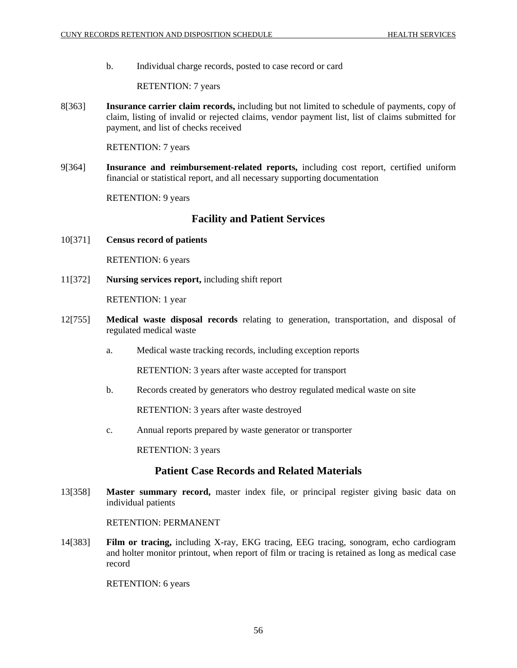b. Individual charge records, posted to case record or card

RETENTION: 7 years

8[363] **Insurance carrier claim records,** including but not limited to schedule of payments, copy of claim, listing of invalid or rejected claims, vendor payment list, list of claims submitted for payment, and list of checks received

RETENTION: 7 years

9[364] **Insurance and reimbursement-related reports,** including cost report, certified uniform financial or statistical report, and all necessary supporting documentation

RETENTION: 9 years

# **Facility and Patient Services**

10[371] **Census record of patients** 

RETENTION: 6 years

11[372] **Nursing services report,** including shift report

RETENTION: 1 year

- 12[755] **Medical waste disposal records** relating to generation, transportation, and disposal of regulated medical waste
	- a. Medical waste tracking records, including exception reports

RETENTION: 3 years after waste accepted for transport

b. Records created by generators who destroy regulated medical waste on site

RETENTION: 3 years after waste destroyed

c. Annual reports prepared by waste generator or transporter

RETENTION: 3 years

# **Patient Case Records and Related Materials**

13[358] **Master summary record,** master index file, or principal register giving basic data on individual patients

RETENTION: PERMANENT

14[383] **Film or tracing,** including X-ray, EKG tracing, EEG tracing, sonogram, echo cardiogram and holter monitor printout, when report of film or tracing is retained as long as medical case record

RETENTION: 6 years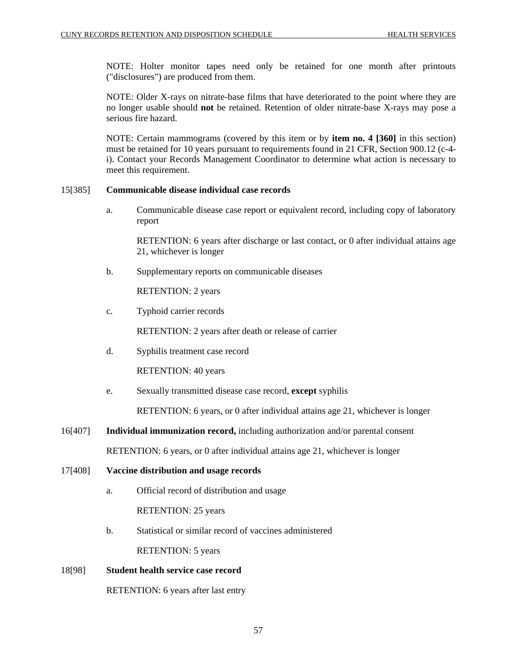NOTE: Holter monitor tapes need only be retained for one month after printouts ("disclosures") are produced from them.

NOTE: Older X-rays on nitrate-base films that have deteriorated to the point where they are no longer usable should **not** be retained. Retention of older nitrate-base X-rays may pose a serious fire hazard.

NOTE: Certain mammograms (covered by this item or by **item no. 4 [360]** in this section) must be retained for 10 years pursuant to requirements found in 21 CFR, Section 900.12 (c-4 i). Contact your Records Management Coordinator to determine what action is necessary to meet this requirement.

## 15[385] **Communicable disease individual case records**

a. Communicable disease case report or equivalent record, including copy of laboratory report

RETENTION: 6 years after discharge or last contact, or 0 after individual attains age 21, whichever is longer

b. Supplementary reports on communicable diseases

RETENTION: 2 years

c. Typhoid carrier records

RETENTION: 2 years after death or release of carrier

d. Syphilis treatment case record

RETENTION: 40 years

e. Sexually transmitted disease case record, **except** syphilis

RETENTION: 6 years, or 0 after individual attains age 21, whichever is longer

- 16[407] **Individual immunization record,** including authorization and/or parental consent RETENTION: 6 years, or 0 after individual attains age 21, whichever is longer
- 17[408] **Vaccine distribution and usage records**
	- a. Official record of distribution and usage RETENTION: 25 years
	- b. Statistical or similar record of vaccines administered RETENTION: 5 years

# 18[98] **Student health service case record**

RETENTION: 6 years after last entry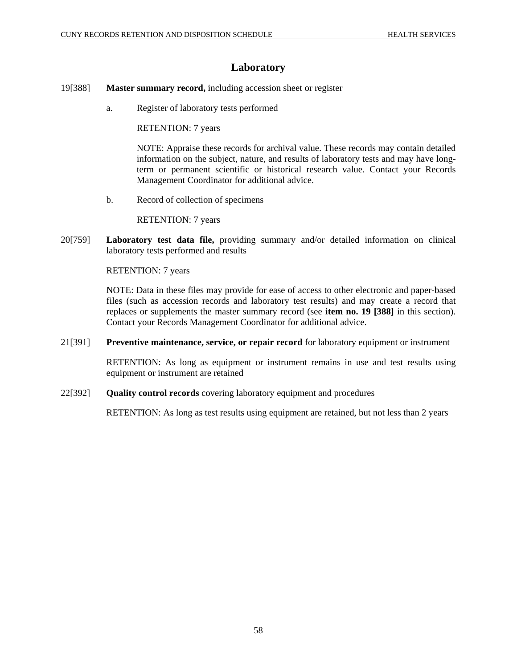# **Laboratory**

- 19[388] **Master summary record,** including accession sheet or register
	- a. Register of laboratory tests performed

RETENTION: 7 years

NOTE: Appraise these records for archival value. These records may contain detailed information on the subject, nature, and results of laboratory tests and may have longterm or permanent scientific or historical research value. Contact your Records Management Coordinator for additional advice.

b. Record of collection of specimens

RETENTION: 7 years

20[759] **Laboratory test data file,** providing summary and/or detailed information on clinical laboratory tests performed and results

RETENTION: 7 years

NOTE: Data in these files may provide for ease of access to other electronic and paper-based files (such as accession records and laboratory test results) and may create a record that replaces or supplements the master summary record (see **item no. 19 [388]** in this section). Contact your Records Management Coordinator for additional advice.

21[391] **Preventive maintenance, service, or repair record** for laboratory equipment or instrument

RETENTION: As long as equipment or instrument remains in use and test results using equipment or instrument are retained

22[392] **Quality control records** covering laboratory equipment and procedures

RETENTION: As long as test results using equipment are retained, but not less than 2 years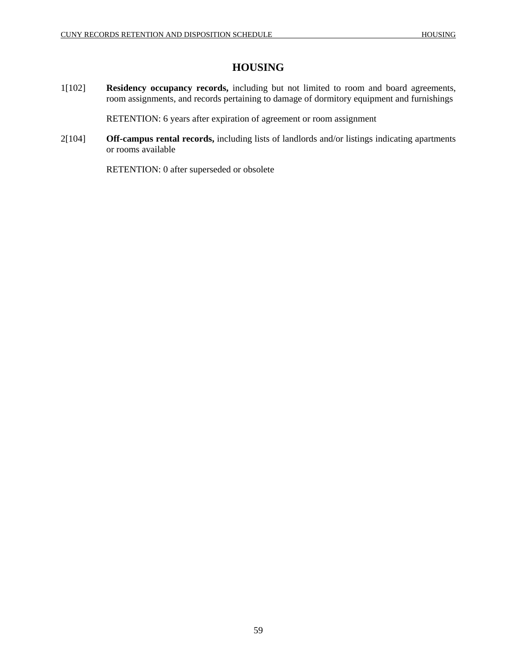# **HOUSING**

1[102] **Residency occupancy records,** including but not limited to room and board agreements, room assignments, and records pertaining to damage of dormitory equipment and furnishings

RETENTION: 6 years after expiration of agreement or room assignment

2[104] **Off-campus rental records,** including lists of landlords and/or listings indicating apartments or rooms available

RETENTION: 0 after superseded or obsolete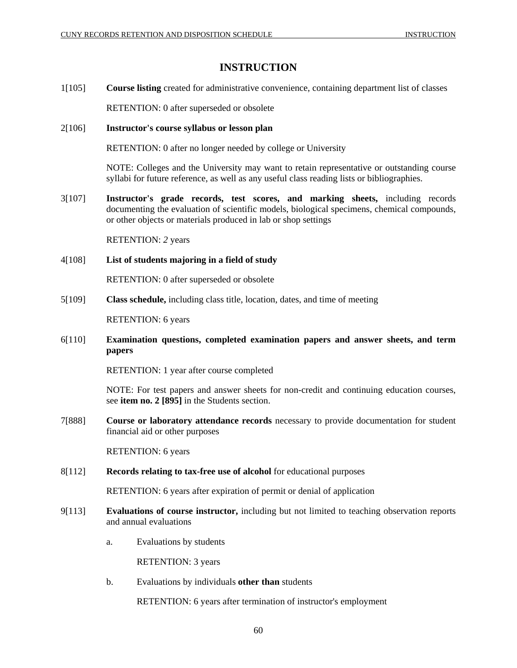# **INSTRUCTION**

1[105] **Course listing** created for administrative convenience, containing department list of classes

RETENTION: 0 after superseded or obsolete

## 2[106] **Instructor's course syllabus or lesson plan**

RETENTION: 0 after no longer needed by college or University

NOTE: Colleges and the University may want to retain representative or outstanding course syllabi for future reference, as well as any useful class reading lists or bibliographies.

3[107] **Instructor's grade records, test scores, and marking sheets,** including records documenting the evaluation of scientific models, biological specimens, chemical compounds, or other objects or materials produced in lab or shop settings

RETENTION: *2* years

4[108] **List of students majoring in a field of study**

RETENTION: 0 after superseded or obsolete

5[109] **Class schedule,** including class title, location, dates, and time of meeting

RETENTION: 6 years

# 6[110] **Examination questions, completed examination papers and answer sheets, and term papers**

RETENTION: 1 year after course completed

NOTE: For test papers and answer sheets for non-credit and continuing education courses, see **item no. 2 [895]** in the Students section.

7[888] **Course or laboratory attendance records** necessary to provide documentation for student financial aid or other purposes

RETENTION: 6 years

8[112] **Records relating to tax-free use of alcohol** for educational purposes

RETENTION: 6 years after expiration of permit or denial of application

- 9[113] **Evaluations of course instructor,** including but not limited to teaching observation reports and annual evaluations
	- a. Evaluations by students

RETENTION: 3 years

b. Evaluations by individuals **other than** students

RETENTION: 6 years after termination of instructor's employment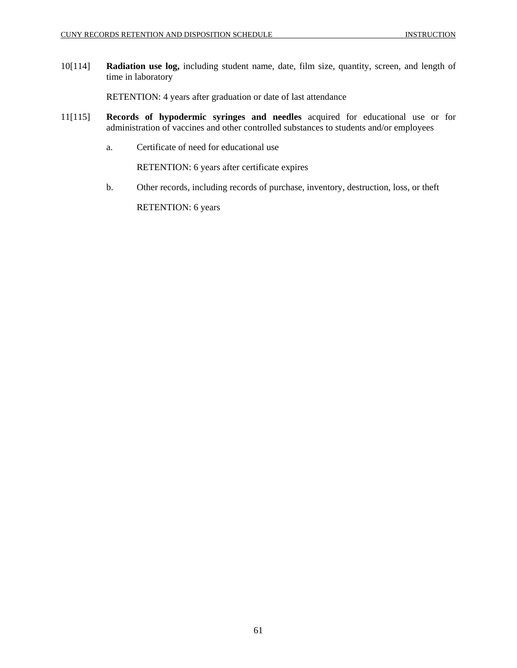10[114] **Radiation use log,** including student name, date, film size, quantity, screen, and length of time in laboratory

RETENTION: 4 years after graduation or date of last attendance

- 11[115] **Records of hypodermic syringes and needles** acquired for educational use or for administration of vaccines and other controlled substances to students and/or employees
	- a. Certificate of need for educational use

RETENTION: 6 years after certificate expires

b. Other records, including records of purchase, inventory, destruction, loss, or theft

RETENTION: 6 years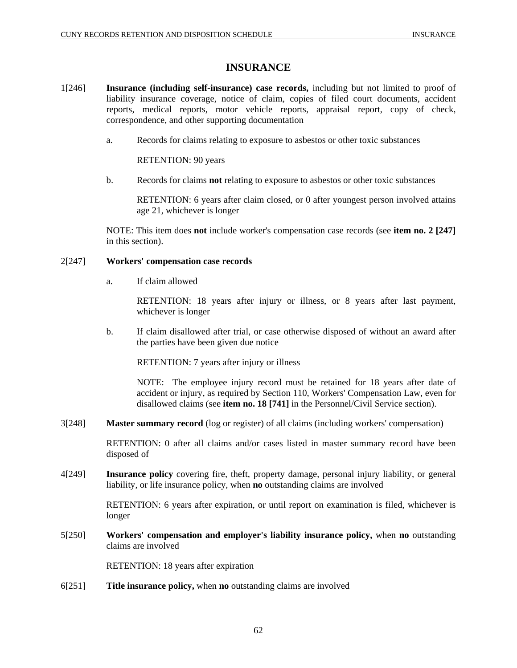# **INSURANCE**

- 1[246] **Insurance (including self-insurance) case records,** including but not limited to proof of liability insurance coverage, notice of claim, copies of filed court documents, accident reports, medical reports, motor vehicle reports, appraisal report, copy of check, correspondence, and other supporting documentation
	- a. Records for claims relating to exposure to asbestos or other toxic substances

RETENTION: 90 years

b. Records for claims **not** relating to exposure to asbestos or other toxic substances

RETENTION: 6 years after claim closed, or 0 after youngest person involved attains age 21, whichever is longer

NOTE: This item does **not** include worker's compensation case records (see **item no. 2 [247]** in this section).

## 2[247] **Workers' compensation case records**

a. If claim allowed

RETENTION: 18 years after injury or illness, or 8 years after last payment, whichever is longer

b. If claim disallowed after trial, or case otherwise disposed of without an award after the parties have been given due notice

RETENTION: 7 years after injury or illness

NOTE: The employee injury record must be retained for 18 years after date of accident or injury, as required by Section 110, Workers' Compensation Law, even for disallowed claims (see **item no. 18 [741]** in the Personnel/Civil Service section).

3[248] **Master summary record** (log or register) of all claims (including workers' compensation)

RETENTION: 0 after all claims and/or cases listed in master summary record have been disposed of

4[249] **Insurance policy** covering fire, theft, property damage, personal injury liability, or general liability, or life insurance policy, when **no** outstanding claims are involved

> RETENTION: 6 years after expiration, or until report on examination is filed, whichever is longer

5[250] **Workers' compensation and employer's liability insurance policy,** when **no** outstanding claims are involved

RETENTION: 18 years after expiration

6[251] **Title insurance policy,** when **no** outstanding claims are involved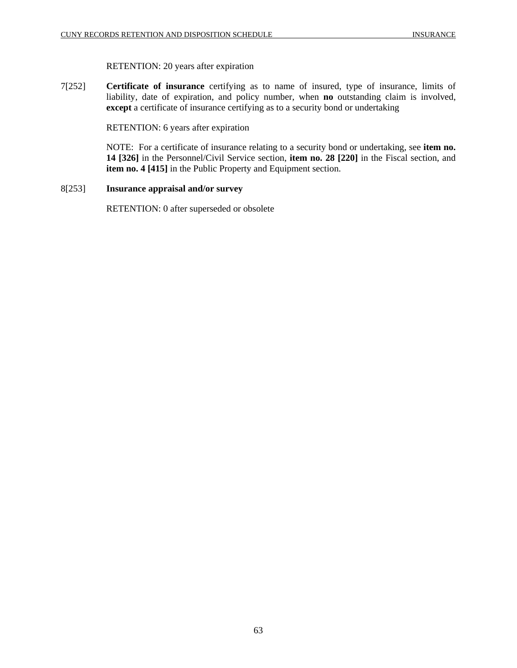# RETENTION: 20 years after expiration

7[252] **Certificate of insurance** certifying as to name of insured, type of insurance, limits of liability, date of expiration, and policy number, when **no** outstanding claim is involved, **except** a certificate of insurance certifying as to a security bond or undertaking

RETENTION: 6 years after expiration

NOTE: For a certificate of insurance relating to a security bond or undertaking, see **item no. 14 [326]** in the Personnel/Civil Service section, **item no. 28 [220]** in the Fiscal section, and **item no. 4 [415]** in the Public Property and Equipment section.

## 8[253] **Insurance appraisal and/or survey**

RETENTION: 0 after superseded or obsolete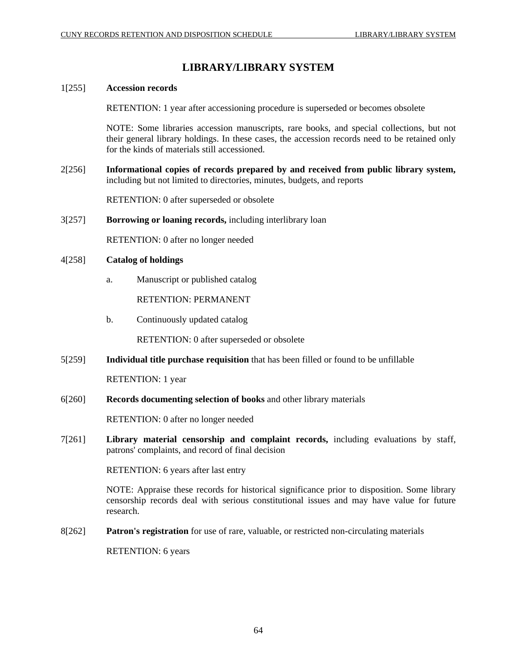# **LIBRARY/LIBRARY SYSTEM**

# 1[255] **Accession records**

RETENTION: 1 year after accessioning procedure is superseded or becomes obsolete

NOTE: Some libraries accession manuscripts, rare books, and special collections, but not their general library holdings. In these cases, the accession records need to be retained only for the kinds of materials still accessioned.

2[256] **Informational copies of records prepared by and received from public library system,**  including but not limited to directories, minutes, budgets, and reports

RETENTION: 0 after superseded or obsolete

3[257] **Borrowing or loaning records,** including interlibrary loan

RETENTION: 0 after no longer needed

## 4[258] **Catalog of holdings**

a. Manuscript or published catalog

RETENTION: PERMANENT

b. Continuously updated catalog

RETENTION: 0 after superseded or obsolete

5[259] **Individual title purchase requisition** that has been filled or found to be unfillable

RETENTION: 1 year

6[260] **Records documenting selection of books** and other library materials

RETENTION: 0 after no longer needed

7[261] **Library material censorship and complaint records,** including evaluations by staff, patrons' complaints, and record of final decision

RETENTION: 6 years after last entry

NOTE: Appraise these records for historical significance prior to disposition. Some library censorship records deal with serious constitutional issues and may have value for future research.

8[262] **Patron's registration** for use of rare, valuable, or restricted non-circulating materials

RETENTION: 6 years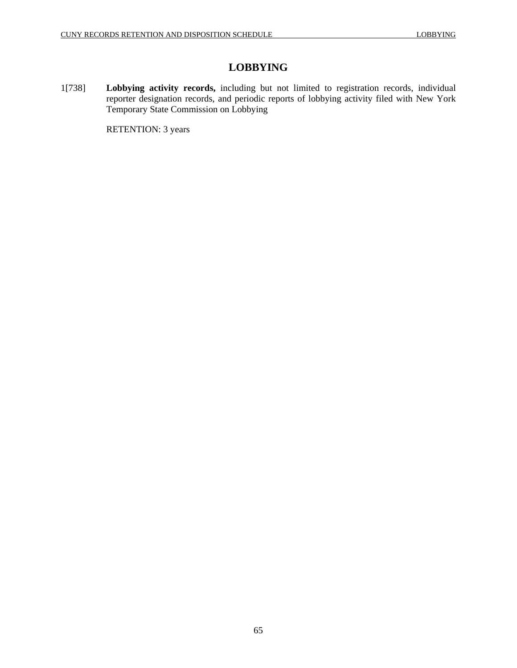# **LOBBYING**

1[738] **Lobbying activity records,** including but not limited to registration records, individual reporter designation records, and periodic reports of lobbying activity filed with New York Temporary State Commission on Lobbying

RETENTION: 3 years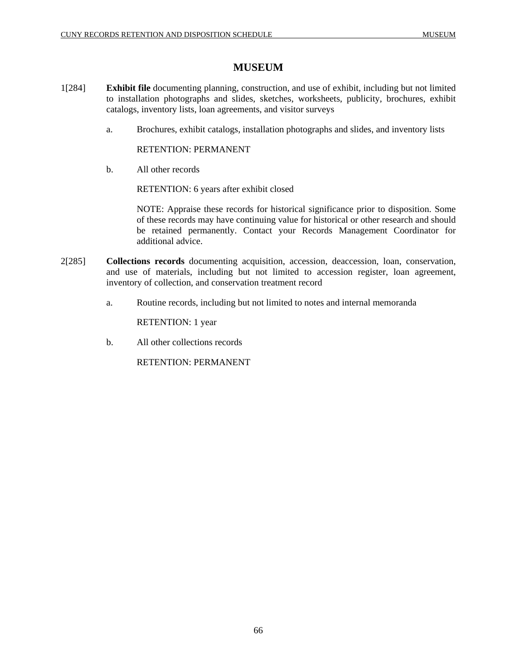# **MUSEUM**

- 1[284] **Exhibit file** documenting planning, construction, and use of exhibit, including but not limited to installation photographs and slides, sketches, worksheets, publicity, brochures, exhibit catalogs, inventory lists, loan agreements, and visitor surveys
	- a. Brochures, exhibit catalogs, installation photographs and slides, and inventory lists

RETENTION: PERMANENT

b. All other records

RETENTION: 6 years after exhibit closed

NOTE: Appraise these records for historical significance prior to disposition. Some of these records may have continuing value for historical or other research and should be retained permanently. Contact your Records Management Coordinator for additional advice.

- 2[285] **Collections records** documenting acquisition, accession, deaccession, loan, conservation, and use of materials, including but not limited to accession register, loan agreement, inventory of collection, and conservation treatment record
	- a. Routine records, including but not limited to notes and internal memoranda

RETENTION: 1 year

b. All other collections records

RETENTION: PERMANENT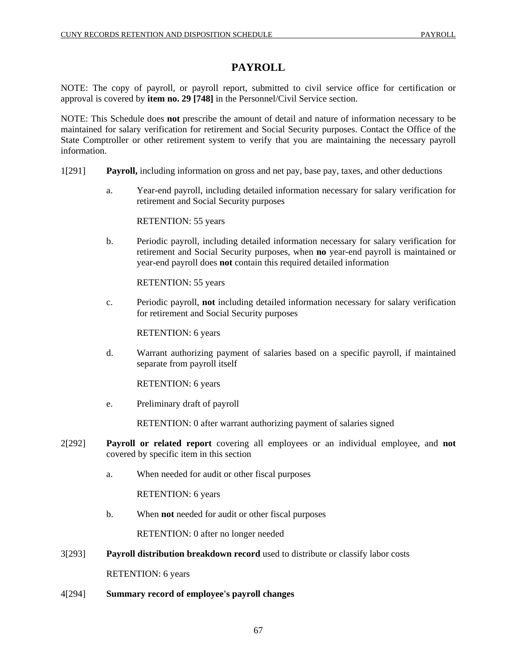# **PAYROLL**

NOTE: The copy of payroll, or payroll report, submitted to civil service office for certification or approval is covered by **item no. 29 [748]** in the Personnel/Civil Service section.

NOTE: This Schedule does **not** prescribe the amount of detail and nature of information necessary to be maintained for salary verification for retirement and Social Security purposes. Contact the Office of the State Comptroller or other retirement system to verify that you are maintaining the necessary payroll information.

- 1[291] **Payroll,** including information on gross and net pay, base pay, taxes, and other deductions
	- a. Year-end payroll, including detailed information necessary for salary verification for retirement and Social Security purposes

RETENTION: 55 years

b. Periodic payroll, including detailed information necessary for salary verification for retirement and Social Security purposes, when **no** year-end payroll is maintained or year-end payroll does **not** contain this required detailed information

RETENTION: 55 years

c. Periodic payroll, **not** including detailed information necessary for salary verification for retirement and Social Security purposes

RETENTION: 6 years

d. Warrant authorizing payment of salaries based on a specific payroll, if maintained separate from payroll itself

RETENTION: 6 years

e. Preliminary draft of payroll

RETENTION: 0 after warrant authorizing payment of salaries signed

- 2[292] **Payroll or related report** covering all employees or an individual employee, and **not** covered by specific item in this section
	- a. When needed for audit or other fiscal purposes

RETENTION: 6 years

b. When **not** needed for audit or other fiscal purposes

RETENTION: 0 after no longer needed

3[293] **Payroll distribution breakdown record** used to distribute or classify labor costs

RETENTION: 6 years

4[294] **Summary record of employee's payroll changes**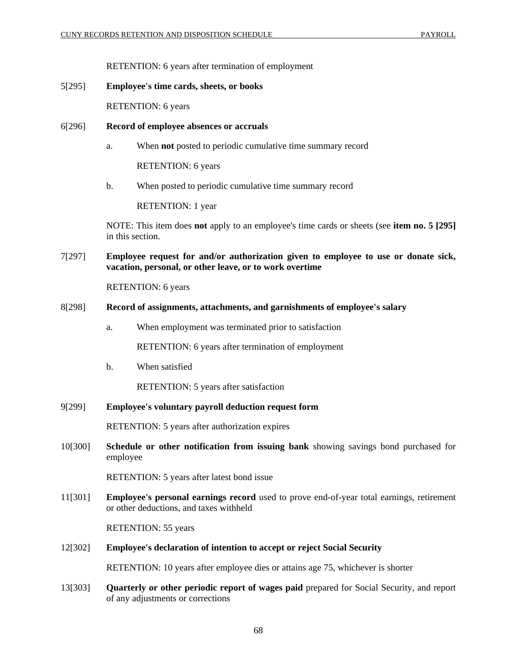RETENTION: 6 years after termination of employment

#### 5[295] **Employee's time cards, sheets, or books**

RETENTION: 6 years

### 6[296] **Record of employee absences or accruals**

a. When **not** posted to periodic cumulative time summary record

RETENTION: 6 years

b. When posted to periodic cumulative time summary record

RETENTION: 1 year

NOTE: This item does **not** apply to an employee's time cards or sheets (see **item no. 5 [295]** in this section.

7[297] **Employee request for and/or authorization given to employee to use or donate sick, vacation, personal, or other leave, or to work overtime**

RETENTION: 6 years

#### 8[298] **Record of assignments, attachments, and garnishments of employee's salary**

a. When employment was terminated prior to satisfaction

RETENTION: 6 years after termination of employment

b. When satisfied

RETENTION: 5 years after satisfaction

9[299] **Employee's voluntary payroll deduction request form**

RETENTION: 5 years after authorization expires

10[300] **Schedule or other notification from issuing bank** showing savings bond purchased for employee

RETENTION: 5 years after latest bond issue

11[301] **Employee's personal earnings record** used to prove end-of-year total earnings, retirement or other deductions, and taxes withheld

RETENTION: 55 years

12[302] **Employee's declaration of intention to accept or reject Social Security**

RETENTION: 10 years after employee dies or attains age 75, whichever is shorter

13[303] **Quarterly or other periodic report of wages paid** prepared for Social Security, and report of any adjustments or corrections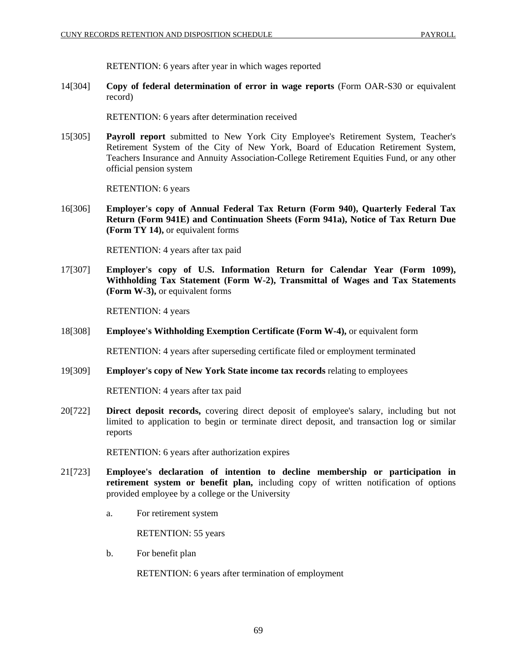RETENTION: 6 years after year in which wages reported

14[304] **Copy of federal determination of error in wage reports** (Form OAR-S30 or equivalent record)

RETENTION: 6 years after determination received

15[305] **Payroll report** submitted to New York City Employee's Retirement System, Teacher's Retirement System of the City of New York, Board of Education Retirement System, Teachers Insurance and Annuity Association-College Retirement Equities Fund, or any other official pension system

RETENTION: 6 years

16[306] **Employer's copy of Annual Federal Tax Return (Form 940), Quarterly Federal Tax Return (Form 941E) and Continuation Sheets (Form 941a), Notice of Tax Return Due (Form TY 14),** or equivalent forms

RETENTION: 4 years after tax paid

17[307] **Employer's copy of U.S. Information Return for Calendar Year (Form 1099), Withholding Tax Statement (Form W-2), Transmittal of Wages and Tax Statements (Form W-3),** or equivalent forms

RETENTION: 4 years

18[308] **Employee's Withholding Exemption Certificate (Form W-4),** or equivalent form

RETENTION: 4 years after superseding certificate filed or employment terminated

19[309] **Employer's copy of New York State income tax records** relating to employees

RETENTION: 4 years after tax paid

20[722] **Direct deposit records,** covering direct deposit of employee's salary, including but not limited to application to begin or terminate direct deposit, and transaction log or similar reports

RETENTION: 6 years after authorization expires

- 21[723] **Employee's declaration of intention to decline membership or participation in retirement system or benefit plan,** including copy of written notification of options provided employee by a college or the University
	- a. For retirement system

RETENTION: 55 years

b. For benefit plan

RETENTION: 6 years after termination of employment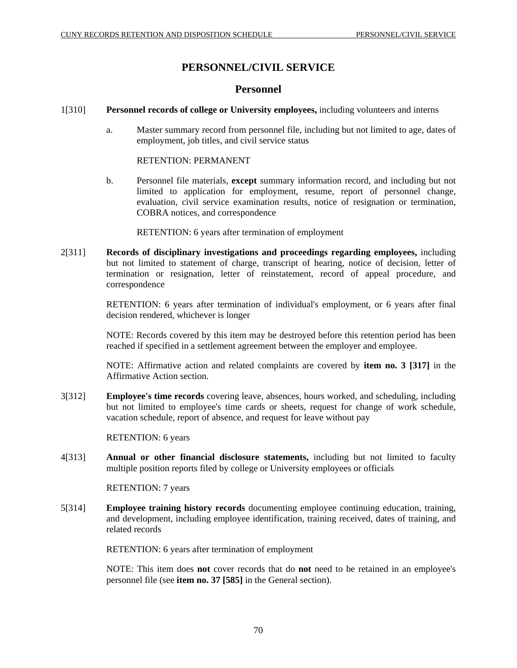# **PERSONNEL/CIVIL SERVICE**

# **Personnel**

#### 1[310] **Personnel records of college or University employees,** including volunteers and interns

a. Master summary record from personnel file, including but not limited to age, dates of employment, job titles, and civil service status

#### RETENTION: PERMANENT

b. Personnel file materials, **except** summary information record, and including but not limited to application for employment, resume, report of personnel change, evaluation, civil service examination results, notice of resignation or termination, COBRA notices, and correspondence

RETENTION: 6 years after termination of employment

2[311] **Records of disciplinary investigations and proceedings regarding employees,** including but not limited to statement of charge, transcript of hearing, notice of decision, letter of termination or resignation, letter of reinstatement, record of appeal procedure, and correspondence

> RETENTION: 6 years after termination of individual's employment, or 6 years after final decision rendered, whichever is longer

> NOTE: Records covered by this item may be destroyed before this retention period has been reached if specified in a settlement agreement between the employer and employee.

> NOTE: Affirmative action and related complaints are covered by **item no. 3 [317]** in the Affirmative Action section.

3[312] **Employee's time records** covering leave, absences, hours worked, and scheduling, including but not limited to employee's time cards or sheets, request for change of work schedule, vacation schedule, report of absence, and request for leave without pay

RETENTION: 6 years

4[313] **Annual or other financial disclosure statements,** including but not limited to faculty multiple position reports filed by college or University employees or officials

RETENTION: 7 years

5[314] **Employee training history records** documenting employee continuing education, training, and development, including employee identification, training received, dates of training, and related records

RETENTION: 6 years after termination of employment

NOTE: This item does **not** cover records that do **not** need to be retained in an employee's personnel file (see **item no. 37 [585]** in the General section).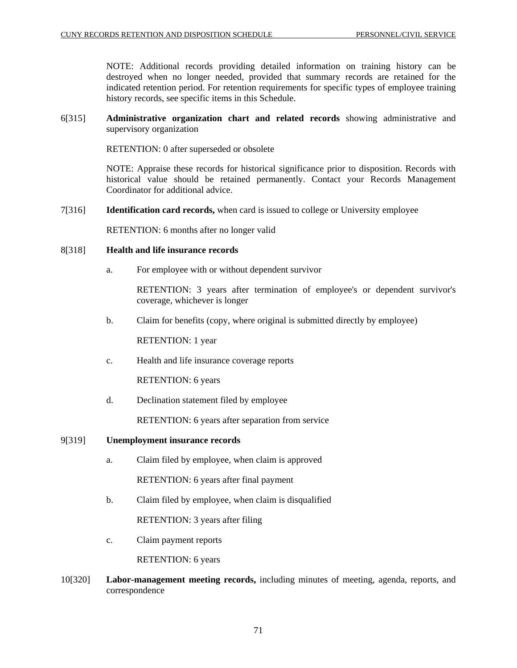NOTE: Additional records providing detailed information on training history can be destroyed when no longer needed, provided that summary records are retained for the indicated retention period. For retention requirements for specific types of employee training history records, see specific items in this Schedule.

# 6[315] **Administrative organization chart and related records** showing administrative and supervisory organization

RETENTION: 0 after superseded or obsolete

NOTE: Appraise these records for historical significance prior to disposition. Records with historical value should be retained permanently. Contact your Records Management Coordinator for additional advice.

7[316] **Identification card records,** when card is issued to college or University employee

RETENTION: 6 months after no longer valid

## 8[318] **Health and life insurance records**

a. For employee with or without dependent survivor

RETENTION: 3 years after termination of employee's or dependent survivor's coverage, whichever is longer

b. Claim for benefits (copy, where original is submitted directly by employee)

RETENTION: 1 year

c. Health and life insurance coverage reports

RETENTION: 6 years

d. Declination statement filed by employee

RETENTION: 6 years after separation from service

# 9[319] **Unemployment insurance records**

- a. Claim filed by employee, when claim is approved RETENTION: 6 years after final payment
- b. Claim filed by employee, when claim is disqualified

RETENTION: 3 years after filing

c. Claim payment reports

RETENTION: 6 years

10[320] **Labor-management meeting records,** including minutes of meeting, agenda, reports, and correspondence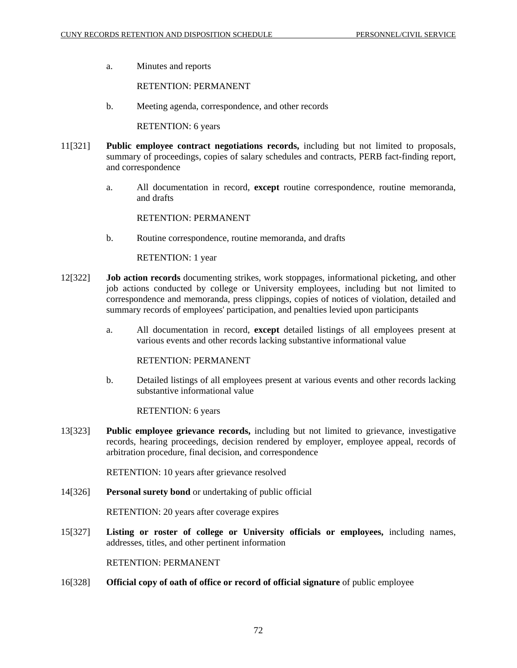a. Minutes and reports

RETENTION: PERMANENT

b. Meeting agenda, correspondence, and other records

RETENTION: 6 years

- 11[321] **Public employee contract negotiations records,** including but not limited to proposals, summary of proceedings, copies of salary schedules and contracts, PERB fact-finding report, and correspondence
	- a. All documentation in record, **except** routine correspondence, routine memoranda, and drafts

RETENTION: PERMANENT

b. Routine correspondence, routine memoranda, and drafts

RETENTION: 1 year

- 12[322] **Job action records** documenting strikes, work stoppages, informational picketing, and other job actions conducted by college or University employees, including but not limited to correspondence and memoranda, press clippings, copies of notices of violation, detailed and summary records of employees' participation, and penalties levied upon participants
	- a. All documentation in record, **except** detailed listings of all employees present at various events and other records lacking substantive informational value

RETENTION: PERMANENT

b. Detailed listings of all employees present at various events and other records lacking substantive informational value

RETENTION: 6 years

13[323] **Public employee grievance records,** including but not limited to grievance, investigative records, hearing proceedings, decision rendered by employer, employee appeal, records of arbitration procedure, final decision, and correspondence

RETENTION: 10 years after grievance resolved

14[326] **Personal surety bond** or undertaking of public official

RETENTION: 20 years after coverage expires

15[327] **Listing or roster of college or University officials or employees,** including names, addresses, titles, and other pertinent information

RETENTION: PERMANENT

16[328] **Official copy of oath of office or record of official signature** of public employee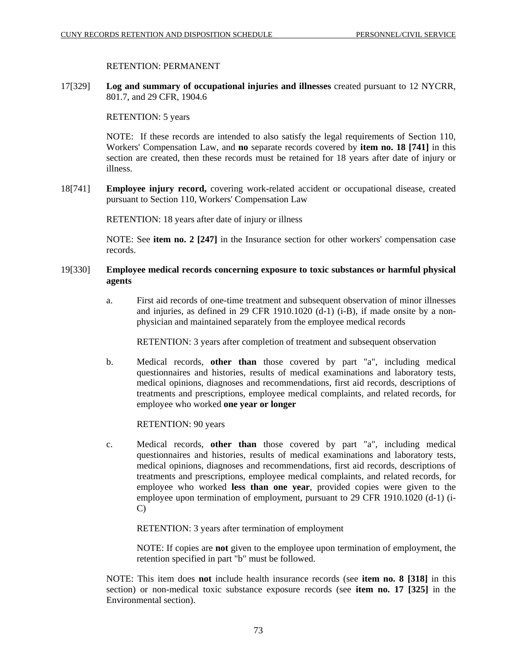### RETENTION: PERMANENT

17[329] **Log and summary of occupational injuries and illnesses** created pursuant to 12 NYCRR, 801.7, and 29 CFR, 1904.6

RETENTION: 5 years

NOTE: If these records are intended to also satisfy the legal requirements of Section 110, Workers' Compensation Law, and **no** separate records covered by **item no. 18 [741]** in this section are created, then these records must be retained for 18 years after date of injury or illness.

18[741] **Employee injury record,** covering work-related accident or occupational disease, created pursuant to Section 110, Workers' Compensation Law

RETENTION: 18 years after date of injury or illness

NOTE: See **item no. 2 [247]** in the Insurance section for other workers' compensation case records.

# 19[330] **Employee medical records concerning exposure to toxic substances or harmful physical agents**

a. First aid records of one-time treatment and subsequent observation of minor illnesses and injuries, as defined in 29 CFR 1910.1020 (d-1) (i-B), if made onsite by a nonphysician and maintained separately from the employee medical records

RETENTION: 3 years after completion of treatment and subsequent observation

b. Medical records, **other than** those covered by part "a", including medical questionnaires and histories, results of medical examinations and laboratory tests, medical opinions, diagnoses and recommendations, first aid records, descriptions of treatments and prescriptions, employee medical complaints, and related records, for employee who worked **one year or longer**

RETENTION: 90 years

c. Medical records, **other than** those covered by part "a", including medical questionnaires and histories, results of medical examinations and laboratory tests, medical opinions, diagnoses and recommendations, first aid records, descriptions of treatments and prescriptions, employee medical complaints, and related records, for employee who worked **less than one year**, provided copies were given to the employee upon termination of employment, pursuant to 29 CFR 1910.1020 (d-1) (i-C)

RETENTION: 3 years after termination of employment

NOTE: If copies are **not** given to the employee upon termination of employment, the retention specified in part "b" must be followed.

NOTE: This item does **not** include health insurance records (see **item no. 8 [318]** in this section) or non-medical toxic substance exposure records (see **item no. 17 [325]** in the Environmental section).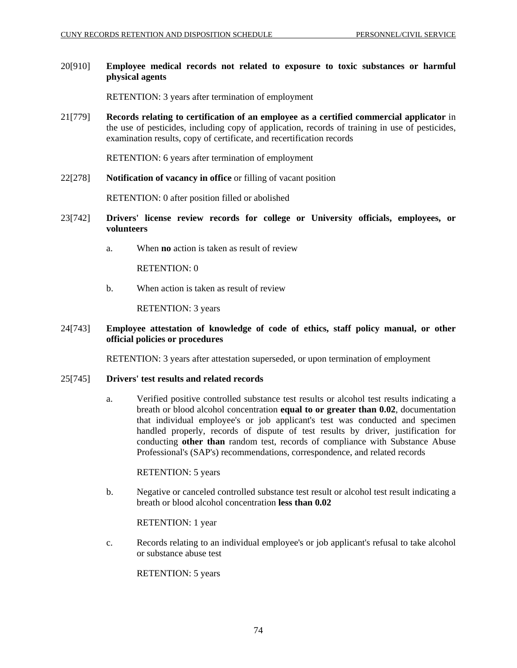# 20[910] **Employee medical records not related to exposure to toxic substances or harmful physical agents**

RETENTION: 3 years after termination of employment

21[779] **Records relating to certification of an employee as a certified commercial applicator** in the use of pesticides, including copy of application, records of training in use of pesticides, examination results, copy of certificate, and recertification records

RETENTION: 6 years after termination of employment

22[278] **Notification of vacancy in office** or filling of vacant position

RETENTION: 0 after position filled or abolished

- 23[742] **Drivers' license review records for college or University officials, employees, or volunteers** 
	- a. When **no** action is taken as result of review

RETENTION: 0

b. When action is taken as result of review

RETENTION: 3 years

### 24[743] **Employee attestation of knowledge of code of ethics, staff policy manual, or other official policies or procedures**

RETENTION: 3 years after attestation superseded, or upon termination of employment

#### 25[745] **Drivers' test results and related records**

a. Verified positive controlled substance test results or alcohol test results indicating a breath or blood alcohol concentration **equal to or greater than 0.02**, documentation that individual employee's or job applicant's test was conducted and specimen handled properly, records of dispute of test results by driver, justification for conducting **other than** random test, records of compliance with Substance Abuse Professional's (SAP's) recommendations, correspondence, and related records

#### RETENTION: 5 years

b. Negative or canceled controlled substance test result or alcohol test result indicating a breath or blood alcohol concentration **less than 0.02**

RETENTION: 1 year

c. Records relating to an individual employee's or job applicant's refusal to take alcohol or substance abuse test

RETENTION: 5 years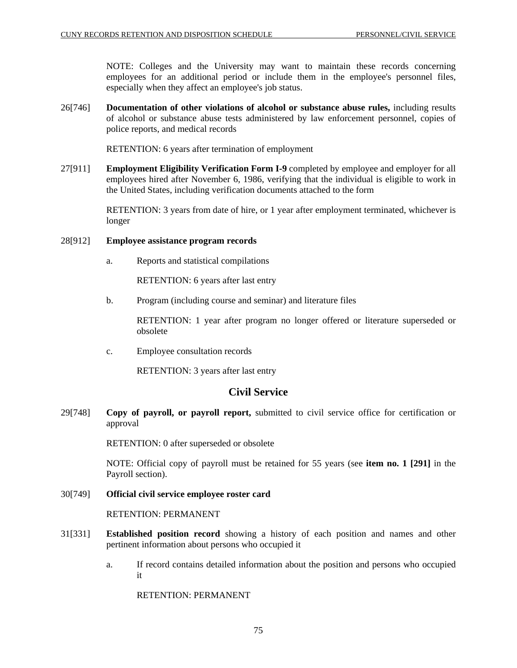NOTE: Colleges and the University may want to maintain these records concerning employees for an additional period or include them in the employee's personnel files, especially when they affect an employee's job status.

26[746] **Documentation of other violations of alcohol or substance abuse rules,** including results of alcohol or substance abuse tests administered by law enforcement personnel, copies of police reports, and medical records

RETENTION: 6 years after termination of employment

27[911] **Employment Eligibility Verification Form I-9** completed by employee and employer for all employees hired after November 6, 1986, verifying that the individual is eligible to work in the United States, including verification documents attached to the form

> RETENTION: 3 years from date of hire, or 1 year after employment terminated, whichever is longer

## 28[912] **Employee assistance program records**

a. Reports and statistical compilations

RETENTION: 6 years after last entry

b. Program (including course and seminar) and literature files

RETENTION: 1 year after program no longer offered or literature superseded or obsolete

c. Employee consultation records

RETENTION: 3 years after last entry

# **Civil Service**

29[748] **Copy of payroll, or payroll report,** submitted to civil service office for certification or approval

RETENTION: 0 after superseded or obsolete

NOTE: Official copy of payroll must be retained for 55 years (see **item no. 1 [291]** in the Payroll section).

#### 30[749] **Official civil service employee roster card**

RETENTION: PERMANENT

- 31[331] **Established position record** showing a history of each position and names and other pertinent information about persons who occupied it
	- a. If record contains detailed information about the position and persons who occupied it

RETENTION: PERMANENT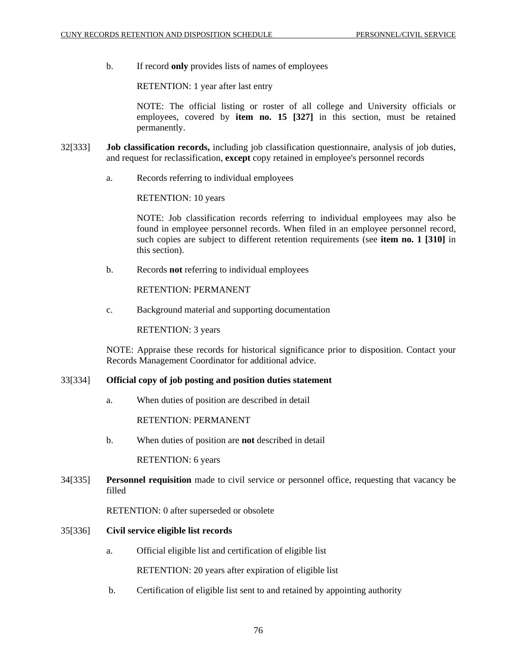b. If record **only** provides lists of names of employees

RETENTION: 1 year after last entry

NOTE: The official listing or roster of all college and University officials or employees, covered by **item no. 15 [327]** in this section, must be retained permanently.

- 32[333] **Job classification records,** including job classification questionnaire, analysis of job duties, and request for reclassification, **except** copy retained in employee's personnel records
	- a. Records referring to individual employees

RETENTION: 10 years

NOTE: Job classification records referring to individual employees may also be found in employee personnel records. When filed in an employee personnel record, such copies are subject to different retention requirements (see **item no. 1 [310]** in this section).

b. Records **not** referring to individual employees

RETENTION: PERMANENT

c. Background material and supporting documentation

RETENTION: 3 years

NOTE: Appraise these records for historical significance prior to disposition. Contact your Records Management Coordinator for additional advice.

#### 33[334] **Official copy of job posting and position duties statement**

a. When duties of position are described in detail

RETENTION: PERMANENT

b. When duties of position are **not** described in detail

RETENTION: 6 years

34[335] **Personnel requisition** made to civil service or personnel office, requesting that vacancy be filled

RETENTION: 0 after superseded or obsolete

#### 35[336] **Civil service eligible list records**

a. Official eligible list and certification of eligible list

RETENTION: 20 years after expiration of eligible list

b. Certification of eligible list sent to and retained by appointing authority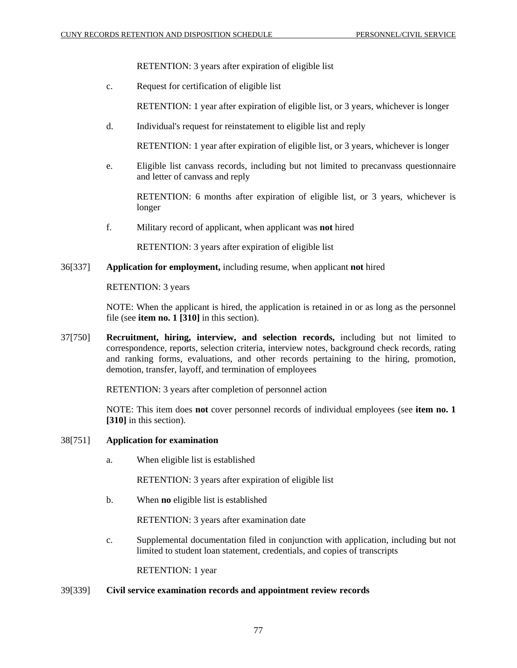RETENTION: 3 years after expiration of eligible list

c. Request for certification of eligible list

RETENTION: 1 year after expiration of eligible list, or 3 years, whichever is longer

d. Individual's request for reinstatement to eligible list and reply

RETENTION: 1 year after expiration of eligible list, or 3 years, whichever is longer

e. Eligible list canvass records, including but not limited to precanvass questionnaire and letter of canvass and reply

RETENTION: 6 months after expiration of eligible list, or 3 years, whichever is longer

f. Military record of applicant, when applicant was **not** hired

RETENTION: 3 years after expiration of eligible list

# 36[337] **Application for employment,** including resume, when applicant **not** hired

RETENTION: 3 years

NOTE: When the applicant is hired, the application is retained in or as long as the personnel file (see **item no. 1 [310]** in this section).

37[750] **Recruitment, hiring, interview, and selection records,** including but not limited to correspondence, reports, selection criteria, interview notes, background check records, rating and ranking forms, evaluations, and other records pertaining to the hiring, promotion, demotion, transfer, layoff, and termination of employees

RETENTION: 3 years after completion of personnel action

NOTE: This item does **not** cover personnel records of individual employees (see **item no. 1 [310]** in this section).

#### 38[751] **Application for examination**

a. When eligible list is established

RETENTION: 3 years after expiration of eligible list

b. When **no** eligible list is established

RETENTION: 3 years after examination date

c. Supplemental documentation filed in conjunction with application, including but not limited to student loan statement, credentials, and copies of transcripts

RETENTION: 1 year

#### 39[339] **Civil service examination records and appointment review records**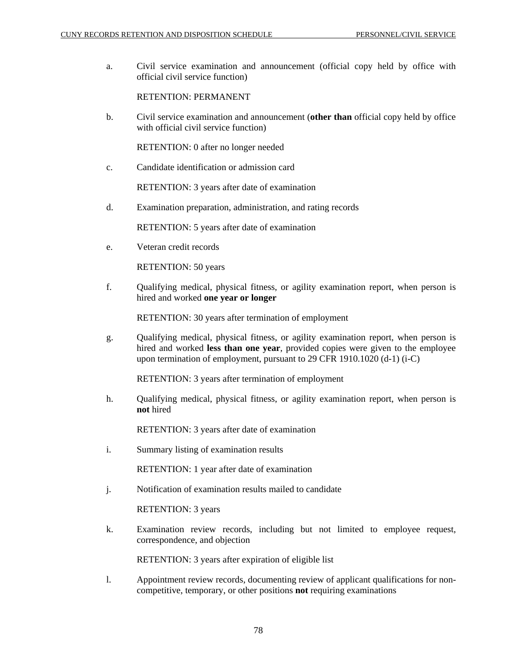a. Civil service examination and announcement (official copy held by office with official civil service function)

# RETENTION: PERMANENT

b. Civil service examination and announcement (**other than** official copy held by office with official civil service function)

RETENTION: 0 after no longer needed

c. Candidate identification or admission card

RETENTION: 3 years after date of examination

d. Examination preparation, administration, and rating records

RETENTION: 5 years after date of examination

e. Veteran credit records

RETENTION: 50 years

f. Qualifying medical, physical fitness, or agility examination report, when person is hired and worked **one year or longer**

RETENTION: 30 years after termination of employment

g. Qualifying medical, physical fitness, or agility examination report, when person is hired and worked **less than one year**, provided copies were given to the employee upon termination of employment, pursuant to 29 CFR 1910.1020 (d-1) (i-C)

RETENTION: 3 years after termination of employment

h. Qualifying medical, physical fitness, or agility examination report, when person is **not** hired

RETENTION: 3 years after date of examination

i. Summary listing of examination results

RETENTION: 1 year after date of examination

j. Notification of examination results mailed to candidate

RETENTION: 3 years

k. Examination review records, including but not limited to employee request, correspondence, and objection

RETENTION: 3 years after expiration of eligible list

l. Appointment review records, documenting review of applicant qualifications for noncompetitive, temporary, or other positions **not** requiring examinations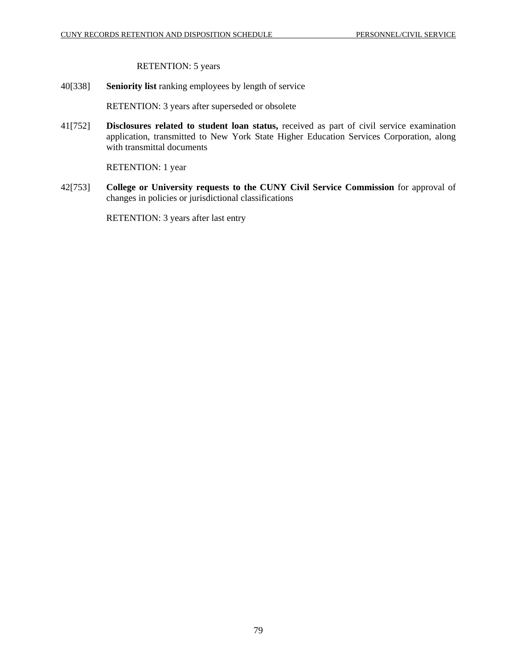RETENTION: 5 years

40[338] **Seniority list** ranking employees by length of service

RETENTION: 3 years after superseded or obsolete

41[752] **Disclosures related to student loan status,** received as part of civil service examination application, transmitted to New York State Higher Education Services Corporation, along with transmittal documents

RETENTION: 1 year

42[753] **College or University requests to the CUNY Civil Service Commission** for approval of changes in policies or jurisdictional classifications

RETENTION: 3 years after last entry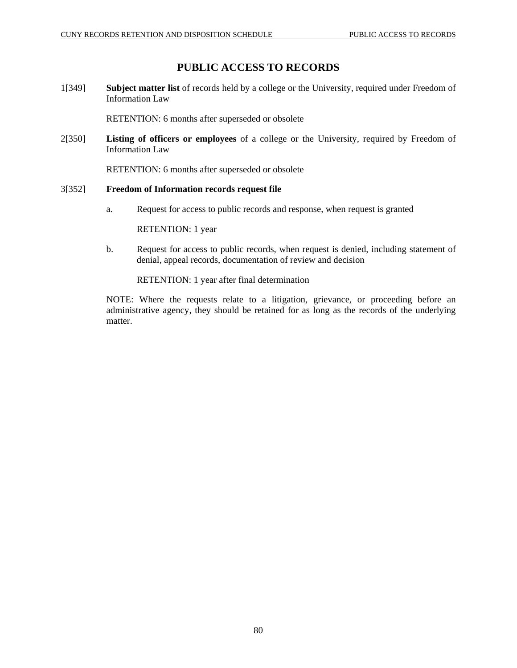# **PUBLIC ACCESS TO RECORDS**

1[349] **Subject matter list** of records held by a college or the University, required under Freedom of Information Law

RETENTION: 6 months after superseded or obsolete

2[350] **Listing of officers or employees** of a college or the University, required by Freedom of Information Law

RETENTION: 6 months after superseded or obsolete

## 3[352] **Freedom of Information records request file**

a. Request for access to public records and response, when request is granted

RETENTION: 1 year

b. Request for access to public records, when request is denied, including statement of denial, appeal records, documentation of review and decision

RETENTION: 1 year after final determination

NOTE: Where the requests relate to a litigation, grievance, or proceeding before an administrative agency, they should be retained for as long as the records of the underlying matter.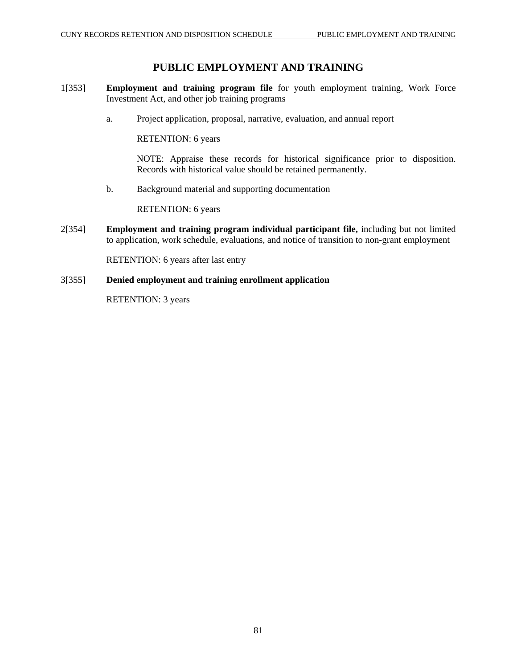# **PUBLIC EMPLOYMENT AND TRAINING**

- 1[353] **Employment and training program file** for youth employment training, Work Force Investment Act, and other job training programs
	- a. Project application, proposal, narrative, evaluation, and annual report

RETENTION: 6 years

NOTE: Appraise these records for historical significance prior to disposition. Records with historical value should be retained permanently.

b. Background material and supporting documentation

RETENTION: 6 years

2[354] **Employment and training program individual participant file,** including but not limited to application, work schedule, evaluations, and notice of transition to non-grant employment

RETENTION: 6 years after last entry

# 3[355] **Denied employment and training enrollment application**

RETENTION: 3 years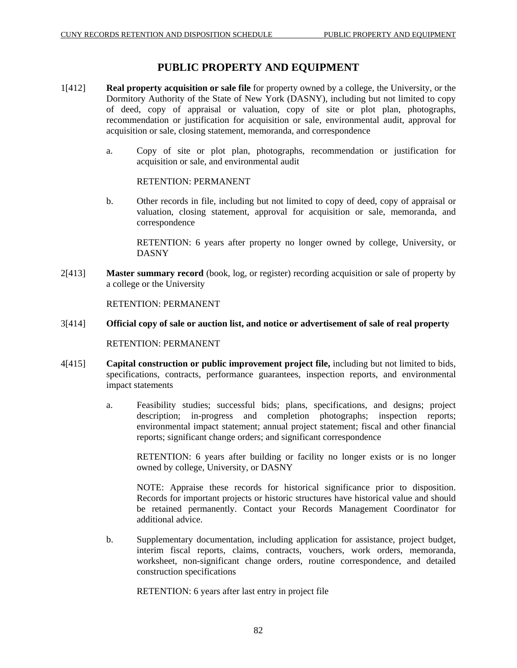# **PUBLIC PROPERTY AND EQUIPMENT**

- 1[412] **Real property acquisition or sale file** for property owned by a college, the University, or the Dormitory Authority of the State of New York (DASNY), including but not limited to copy of deed, copy of appraisal or valuation, copy of site or plot plan, photographs, recommendation or justification for acquisition or sale, environmental audit, approval for acquisition or sale, closing statement, memoranda, and correspondence
	- a. Copy of site or plot plan, photographs, recommendation or justification for acquisition or sale, and environmental audit

RETENTION: PERMANENT

b. Other records in file, including but not limited to copy of deed, copy of appraisal or valuation, closing statement, approval for acquisition or sale, memoranda, and correspondence

RETENTION: 6 years after property no longer owned by college, University, or DASNY

2[413] **Master summary record** (book, log, or register) recording acquisition or sale of property by a college or the University

RETENTION: PERMANENT

# 3[414] **Official copy of sale or auction list, and notice or advertisement of sale of real property**

RETENTION: PERMANENT

- 4[415] **Capital construction or public improvement project file,** including but not limited to bids, specifications, contracts, performance guarantees, inspection reports, and environmental impact statements
	- a. Feasibility studies; successful bids; plans, specifications, and designs; project description; in-progress and completion photographs; inspection reports; environmental impact statement; annual project statement; fiscal and other financial reports; significant change orders; and significant correspondence

RETENTION: 6 years after building or facility no longer exists or is no longer owned by college, University, or DASNY

NOTE: Appraise these records for historical significance prior to disposition. Records for important projects or historic structures have historical value and should be retained permanently. Contact your Records Management Coordinator for additional advice.

b. Supplementary documentation, including application for assistance, project budget, interim fiscal reports, claims, contracts, vouchers, work orders, memoranda, worksheet, non-significant change orders, routine correspondence, and detailed construction specifications

RETENTION: 6 years after last entry in project file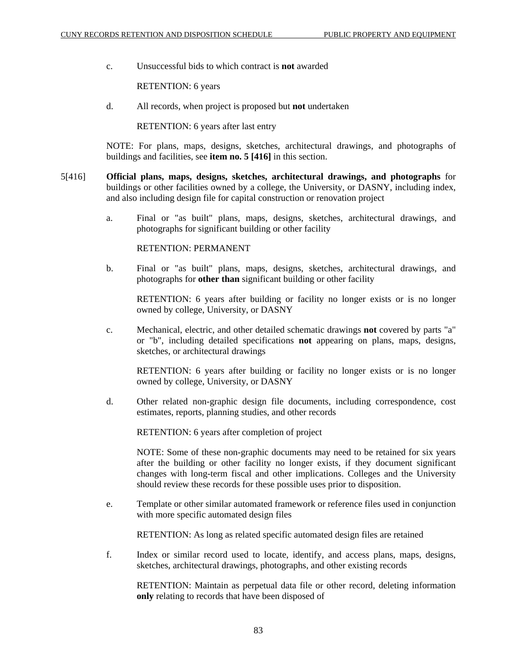c. Unsuccessful bids to which contract is **not** awarded

RETENTION: 6 years

d. All records, when project is proposed but **not** undertaken

RETENTION: 6 years after last entry

NOTE: For plans, maps, designs, sketches, architectural drawings, and photographs of buildings and facilities, see **item no. 5 [416]** in this section.

- 5[416] **Official plans, maps, designs, sketches, architectural drawings, and photographs** for buildings or other facilities owned by a college, the University, or DASNY, including index, and also including design file for capital construction or renovation project
	- a. Final or "as built" plans, maps, designs, sketches, architectural drawings, and photographs for significant building or other facility

RETENTION: PERMANENT

b. Final or "as built" plans, maps, designs, sketches, architectural drawings, and photographs for **other than** significant building or other facility

RETENTION: 6 years after building or facility no longer exists or is no longer owned by college, University, or DASNY

c. Mechanical, electric, and other detailed schematic drawings **not** covered by parts "a" or "b", including detailed specifications **not** appearing on plans, maps, designs, sketches, or architectural drawings

RETENTION: 6 years after building or facility no longer exists or is no longer owned by college, University, or DASNY

d. Other related non-graphic design file documents, including correspondence, cost estimates, reports, planning studies, and other records

RETENTION: 6 years after completion of project

NOTE: Some of these non-graphic documents may need to be retained for six years after the building or other facility no longer exists, if they document significant changes with long-term fiscal and other implications. Colleges and the University should review these records for these possible uses prior to disposition.

e. Template or other similar automated framework or reference files used in conjunction with more specific automated design files

RETENTION: As long as related specific automated design files are retained

f. Index or similar record used to locate, identify, and access plans, maps, designs, sketches, architectural drawings, photographs, and other existing records

RETENTION: Maintain as perpetual data file or other record, deleting information **only** relating to records that have been disposed of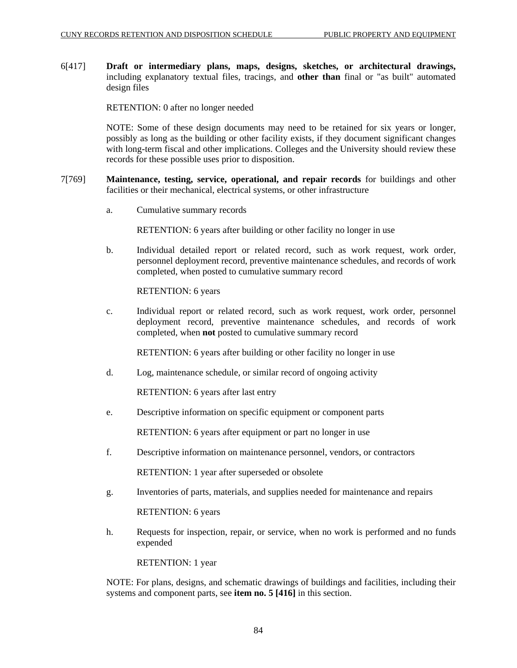6[417] **Draft or intermediary plans, maps, designs, sketches, or architectural drawings,**  including explanatory textual files, tracings, and **other than** final or "as built" automated design files

RETENTION: 0 after no longer needed

NOTE: Some of these design documents may need to be retained for six years or longer, possibly as long as the building or other facility exists, if they document significant changes with long-term fiscal and other implications. Colleges and the University should review these records for these possible uses prior to disposition.

- 7[769] **Maintenance, testing, service, operational, and repair records** for buildings and other facilities or their mechanical, electrical systems, or other infrastructure
	- a. Cumulative summary records

RETENTION: 6 years after building or other facility no longer in use

b. Individual detailed report or related record, such as work request, work order, personnel deployment record, preventive maintenance schedules, and records of work completed, when posted to cumulative summary record

RETENTION: 6 years

c. Individual report or related record, such as work request, work order, personnel deployment record, preventive maintenance schedules, and records of work completed, when **not** posted to cumulative summary record

RETENTION: 6 years after building or other facility no longer in use

d. Log, maintenance schedule, or similar record of ongoing activity

RETENTION: 6 years after last entry

e. Descriptive information on specific equipment or component parts

RETENTION: 6 years after equipment or part no longer in use

f. Descriptive information on maintenance personnel, vendors, or contractors

RETENTION: 1 year after superseded or obsolete

g. Inventories of parts, materials, and supplies needed for maintenance and repairs

RETENTION: 6 years

h. Requests for inspection, repair, or service, when no work is performed and no funds expended

RETENTION: 1 year

NOTE: For plans, designs, and schematic drawings of buildings and facilities, including their systems and component parts, see **item no. 5 [416]** in this section.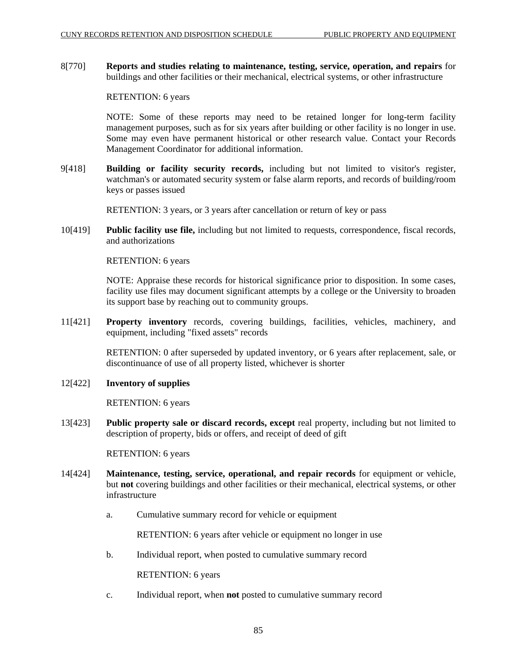8[770] **Reports and studies relating to maintenance, testing, service, operation, and repairs** for buildings and other facilities or their mechanical, electrical systems, or other infrastructure

## RETENTION: 6 years

NOTE: Some of these reports may need to be retained longer for long-term facility management purposes, such as for six years after building or other facility is no longer in use. Some may even have permanent historical or other research value. Contact your Records Management Coordinator for additional information.

9[418] **Building or facility security records,** including but not limited to visitor's register, watchman's or automated security system or false alarm reports, and records of building/room keys or passes issued

RETENTION: 3 years, or 3 years after cancellation or return of key or pass

10[419] **Public facility use file,** including but not limited to requests, correspondence, fiscal records, and authorizations

RETENTION: 6 years

NOTE: Appraise these records for historical significance prior to disposition. In some cases, facility use files may document significant attempts by a college or the University to broaden its support base by reaching out to community groups.

11[421] **Property inventory** records, covering buildings, facilities, vehicles, machinery, and equipment, including "fixed assets" records

> RETENTION: 0 after superseded by updated inventory, or 6 years after replacement, sale, or discontinuance of use of all property listed, whichever is shorter

#### 12[422] **Inventory of supplies**

RETENTION: 6 years

13[423] **Public property sale or discard records, except** real property, including but not limited to description of property, bids or offers, and receipt of deed of gift

#### RETENTION: 6 years

- 14[424] **Maintenance, testing, service, operational, and repair records** for equipment or vehicle, but **not** covering buildings and other facilities or their mechanical, electrical systems, or other infrastructure
	- a. Cumulative summary record for vehicle or equipment

RETENTION: 6 years after vehicle or equipment no longer in use

b. Individual report, when posted to cumulative summary record

RETENTION: 6 years

c. Individual report, when **not** posted to cumulative summary record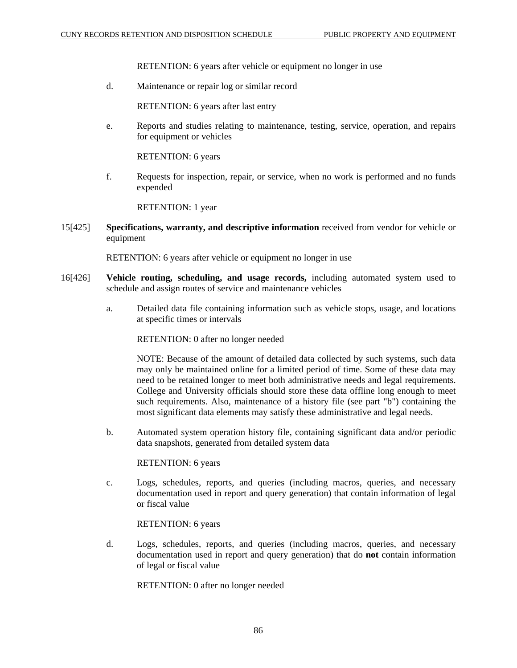RETENTION: 6 years after vehicle or equipment no longer in use

d. Maintenance or repair log or similar record

RETENTION: 6 years after last entry

e. Reports and studies relating to maintenance, testing, service, operation, and repairs for equipment or vehicles

RETENTION: 6 years

f. Requests for inspection, repair, or service, when no work is performed and no funds expended

RETENTION: 1 year

15[425] **Specifications, warranty, and descriptive information** received from vendor for vehicle or equipment

RETENTION: 6 years after vehicle or equipment no longer in use

- 16[426] **Vehicle routing, scheduling, and usage records,** including automated system used to schedule and assign routes of service and maintenance vehicles
	- a. Detailed data file containing information such as vehicle stops, usage, and locations at specific times or intervals

RETENTION: 0 after no longer needed

NOTE: Because of the amount of detailed data collected by such systems, such data may only be maintained online for a limited period of time. Some of these data may need to be retained longer to meet both administrative needs and legal requirements. College and University officials should store these data offline long enough to meet such requirements. Also, maintenance of a history file (see part "b") containing the most significant data elements may satisfy these administrative and legal needs.

b. Automated system operation history file, containing significant data and/or periodic data snapshots, generated from detailed system data

RETENTION: 6 years

c. Logs, schedules, reports, and queries (including macros, queries, and necessary documentation used in report and query generation) that contain information of legal or fiscal value

RETENTION: 6 years

d. Logs, schedules, reports, and queries (including macros, queries, and necessary documentation used in report and query generation) that do **not** contain information of legal or fiscal value

RETENTION: 0 after no longer needed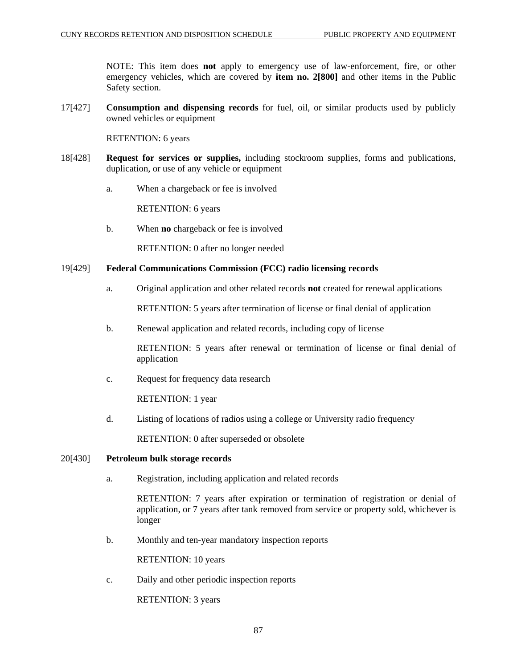NOTE: This item does **not** apply to emergency use of law-enforcement, fire, or other emergency vehicles, which are covered by **item no. 2[800]** and other items in the Public Safety section.

17[427] **Consumption and dispensing records** for fuel, oil, or similar products used by publicly owned vehicles or equipment

RETENTION: 6 years

- 18[428] **Request for services or supplies,** including stockroom supplies, forms and publications, duplication, or use of any vehicle or equipment
	- a. When a chargeback or fee is involved

RETENTION: 6 years

b. When **no** chargeback or fee is involved

RETENTION: 0 after no longer needed

#### 19[429] **Federal Communications Commission (FCC) radio licensing records**

a. Original application and other related records **not** created for renewal applications

RETENTION: 5 years after termination of license or final denial of application

b. Renewal application and related records, including copy of license

RETENTION: 5 years after renewal or termination of license or final denial of application

c. Request for frequency data research

RETENTION: 1 year

d. Listing of locations of radios using a college or University radio frequency

RETENTION: 0 after superseded or obsolete

#### 20[430] **Petroleum bulk storage records**

a. Registration, including application and related records

RETENTION: 7 years after expiration or termination of registration or denial of application, or 7 years after tank removed from service or property sold, whichever is longer

b. Monthly and ten-year mandatory inspection reports

RETENTION: 10 years

c. Daily and other periodic inspection reports

RETENTION: 3 years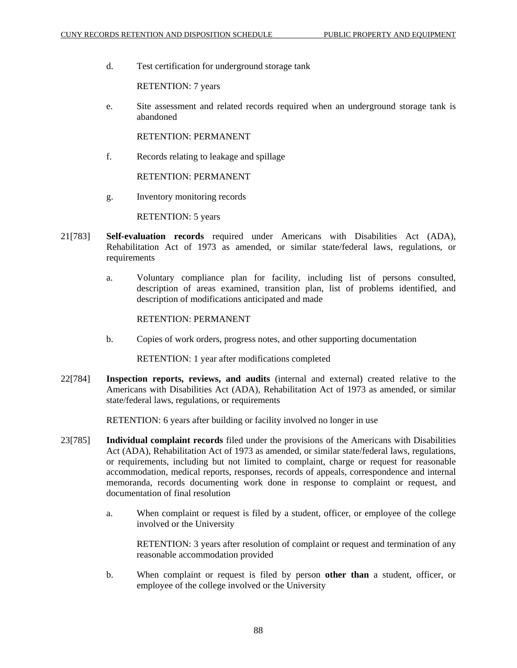d. Test certification for underground storage tank

RETENTION: 7 years

e. Site assessment and related records required when an underground storage tank is abandoned

RETENTION: PERMANENT

f. Records relating to leakage and spillage

RETENTION: PERMANENT

g. Inventory monitoring records

RETENTION: 5 years

- 21[783] **Self-evaluation records** required under Americans with Disabilities Act (ADA), Rehabilitation Act of 1973 as amended, or similar state/federal laws, regulations, or requirements
	- a. Voluntary compliance plan for facility, including list of persons consulted, description of areas examined, transition plan, list of problems identified, and description of modifications anticipated and made

## RETENTION: PERMANENT

b. Copies of work orders, progress notes, and other supporting documentation

RETENTION: 1 year after modifications completed

22[784] **Inspection reports, reviews, and audits** (internal and external) created relative to the Americans with Disabilities Act (ADA), Rehabilitation Act of 1973 as amended, or similar state/federal laws, regulations, or requirements

RETENTION: 6 years after building or facility involved no longer in use

- 23[785] **Individual complaint records** filed under the provisions of the Americans with Disabilities Act (ADA), Rehabilitation Act of 1973 as amended, or similar state/federal laws, regulations, or requirements, including but not limited to complaint, charge or request for reasonable accommodation, medical reports, responses, records of appeals, correspondence and internal memoranda, records documenting work done in response to complaint or request, and documentation of final resolution
	- a. When complaint or request is filed by a student, officer, or employee of the college involved or the University

RETENTION: 3 years after resolution of complaint or request and termination of any reasonable accommodation provided

b. When complaint or request is filed by person **other than** a student, officer, or employee of the college involved or the University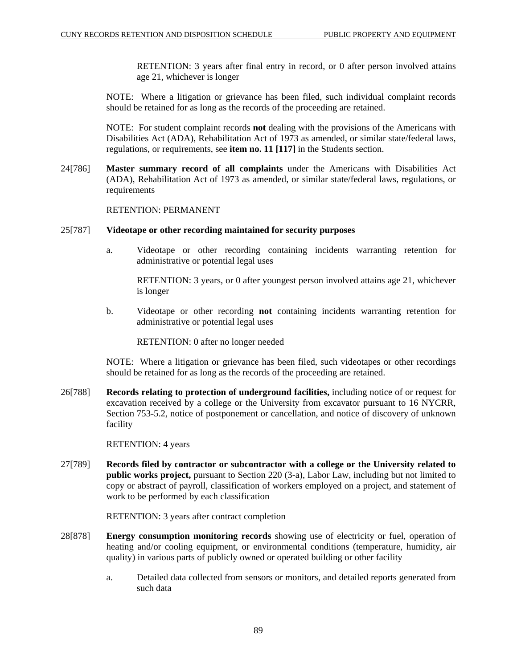RETENTION: 3 years after final entry in record, or 0 after person involved attains age 21, whichever is longer

NOTE: Where a litigation or grievance has been filed, such individual complaint records should be retained for as long as the records of the proceeding are retained.

NOTE: For student complaint records **not** dealing with the provisions of the Americans with Disabilities Act (ADA), Rehabilitation Act of 1973 as amended, or similar state/federal laws, regulations, or requirements, see **item no. 11 [117]** in the Students section.

24[786] **Master summary record of all complaints** under the Americans with Disabilities Act (ADA), Rehabilitation Act of 1973 as amended, or similar state/federal laws, regulations, or requirements

#### RETENTION: PERMANENT

#### 25[787] **Videotape or other recording maintained for security purposes**

a. Videotape or other recording containing incidents warranting retention for administrative or potential legal uses

RETENTION: 3 years, or 0 after youngest person involved attains age 21, whichever is longer

b. Videotape or other recording **not** containing incidents warranting retention for administrative or potential legal uses

RETENTION: 0 after no longer needed

NOTE: Where a litigation or grievance has been filed, such videotapes or other recordings should be retained for as long as the records of the proceeding are retained.

26[788] **Records relating to protection of underground facilities,** including notice of or request for excavation received by a college or the University from excavator pursuant to 16 NYCRR, Section 753-5.2, notice of postponement or cancellation, and notice of discovery of unknown facility

RETENTION: 4 years

27[789] **Records filed by contractor or subcontractor with a college or the University related to public works project,** pursuant to Section 220 (3-a), Labor Law, including but not limited to copy or abstract of payroll, classification of workers employed on a project, and statement of work to be performed by each classification

RETENTION: 3 years after contract completion

- 28[878] **Energy consumption monitoring records** showing use of electricity or fuel, operation of heating and/or cooling equipment, or environmental conditions (temperature, humidity, air quality) in various parts of publicly owned or operated building or other facility
	- a. Detailed data collected from sensors or monitors, and detailed reports generated from such data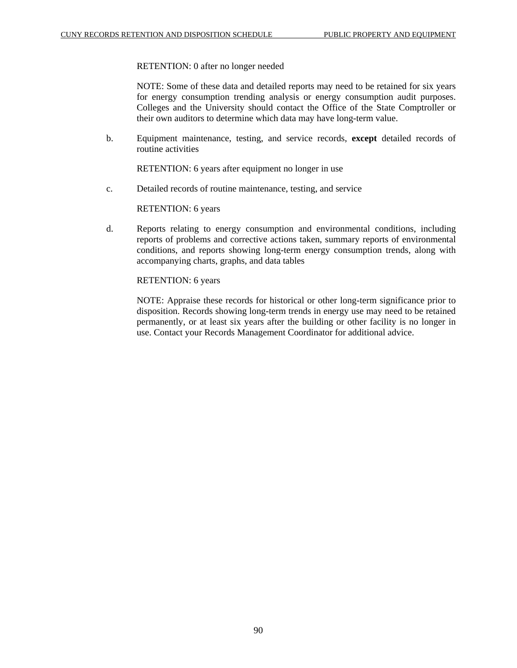RETENTION: 0 after no longer needed

NOTE: Some of these data and detailed reports may need to be retained for six years for energy consumption trending analysis or energy consumption audit purposes. Colleges and the University should contact the Office of the State Comptroller or their own auditors to determine which data may have long-term value.

b. Equipment maintenance, testing, and service records, **except** detailed records of routine activities

RETENTION: 6 years after equipment no longer in use

c. Detailed records of routine maintenance, testing, and service

RETENTION: 6 years

d. Reports relating to energy consumption and environmental conditions, including reports of problems and corrective actions taken, summary reports of environmental conditions, and reports showing long-term energy consumption trends, along with accompanying charts, graphs, and data tables

RETENTION: 6 years

NOTE: Appraise these records for historical or other long-term significance prior to disposition. Records showing long-term trends in energy use may need to be retained permanently, or at least six years after the building or other facility is no longer in use. Contact your Records Management Coordinator for additional advice.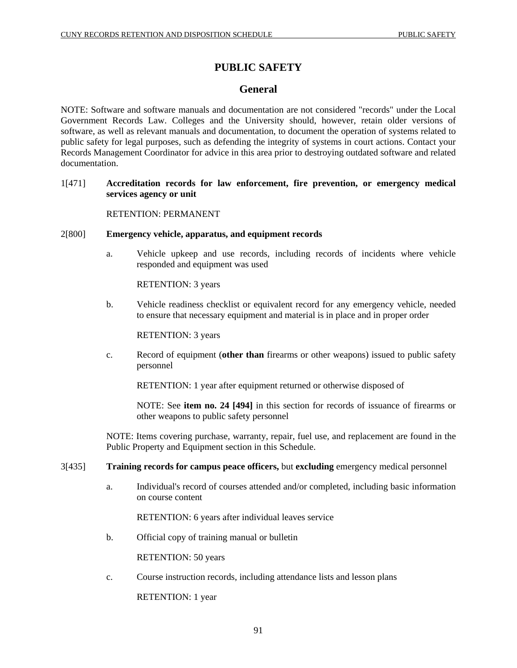# **PUBLIC SAFETY**

# **General**

NOTE: Software and software manuals and documentation are not considered "records" under the Local Government Records Law. Colleges and the University should, however, retain older versions of software, as well as relevant manuals and documentation, to document the operation of systems related to public safety for legal purposes, such as defending the integrity of systems in court actions. Contact your Records Management Coordinator for advice in this area prior to destroying outdated software and related documentation.

# 1[471] **Accreditation records for law enforcement, fire prevention, or emergency medical services agency or unit**

## RETENTION: PERMANENT

## 2[800] **Emergency vehicle, apparatus, and equipment records**

a. Vehicle upkeep and use records, including records of incidents where vehicle responded and equipment was used

RETENTION: 3 years

b. Vehicle readiness checklist or equivalent record for any emergency vehicle, needed to ensure that necessary equipment and material is in place and in proper order

RETENTION: 3 years

c. Record of equipment (**other than** firearms or other weapons) issued to public safety personnel

RETENTION: 1 year after equipment returned or otherwise disposed of

NOTE: See **item no. 24 [494]** in this section for records of issuance of firearms or other weapons to public safety personnel

NOTE: Items covering purchase, warranty, repair, fuel use, and replacement are found in the Public Property and Equipment section in this Schedule.

#### 3[435] **Training records for campus peace officers,** but **excluding** emergency medical personnel

a. Individual's record of courses attended and/or completed, including basic information on course content

RETENTION: 6 years after individual leaves service

b. Official copy of training manual or bulletin

RETENTION: 50 years

c. Course instruction records, including attendance lists and lesson plans

RETENTION: 1 year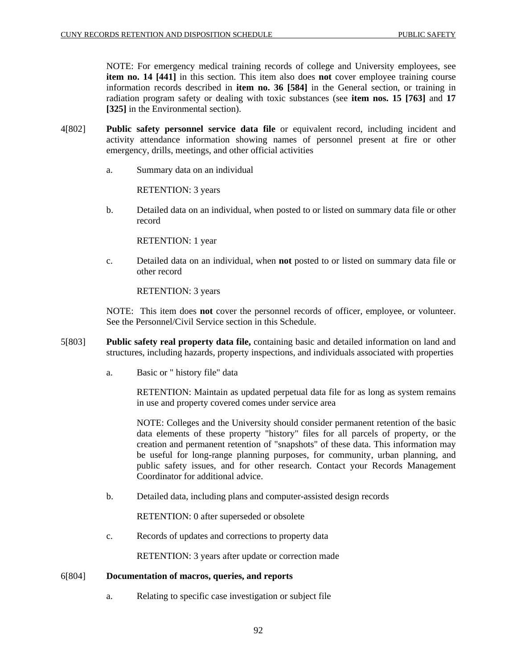NOTE: For emergency medical training records of college and University employees, see **item no. 14 [441]** in this section. This item also does **not** cover employee training course information records described in **item no. 36 [584]** in the General section, or training in radiation program safety or dealing with toxic substances (see **item nos. 15 [763]** and **17 [325]** in the Environmental section).

- 4[802] **Public safety personnel service data file** or equivalent record, including incident and activity attendance information showing names of personnel present at fire or other emergency, drills, meetings, and other official activities
	- a. Summary data on an individual

RETENTION: 3 years

b. Detailed data on an individual, when posted to or listed on summary data file or other record

RETENTION: 1 year

c. Detailed data on an individual, when **not** posted to or listed on summary data file or other record

RETENTION: 3 years

NOTE: This item does **not** cover the personnel records of officer, employee, or volunteer. See the Personnel/Civil Service section in this Schedule.

- 5[803] **Public safety real property data file,** containing basic and detailed information on land and structures, including hazards, property inspections, and individuals associated with properties
	- a. Basic or " history file" data

RETENTION: Maintain as updated perpetual data file for as long as system remains in use and property covered comes under service area

NOTE: Colleges and the University should consider permanent retention of the basic data elements of these property "history" files for all parcels of property, or the creation and permanent retention of "snapshots" of these data. This information may be useful for long-range planning purposes, for community, urban planning, and public safety issues, and for other research. Contact your Records Management Coordinator for additional advice.

b. Detailed data, including plans and computer-assisted design records

RETENTION: 0 after superseded or obsolete

c. Records of updates and corrections to property data

RETENTION: 3 years after update or correction made

#### 6[804] **Documentation of macros, queries, and reports**

a. Relating to specific case investigation or subject file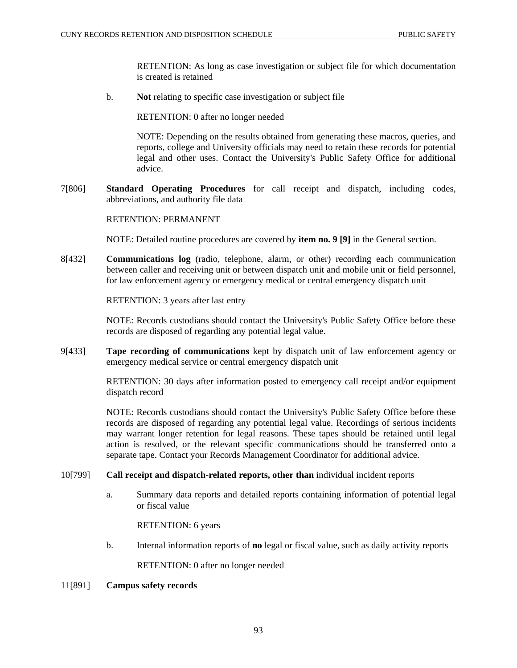RETENTION: As long as case investigation or subject file for which documentation is created is retained

b. **Not** relating to specific case investigation or subject file

RETENTION: 0 after no longer needed

NOTE: Depending on the results obtained from generating these macros, queries, and reports, college and University officials may need to retain these records for potential legal and other uses. Contact the University's Public Safety Office for additional advice.

7[806] **Standard Operating Procedures** for call receipt and dispatch, including codes, abbreviations, and authority file data

#### RETENTION: PERMANENT

NOTE: Detailed routine procedures are covered by **item no. 9 [9]** in the General section.

8[432] **Communications log** (radio, telephone, alarm, or other) recording each communication between caller and receiving unit or between dispatch unit and mobile unit or field personnel, for law enforcement agency or emergency medical or central emergency dispatch unit

RETENTION: 3 years after last entry

NOTE: Records custodians should contact the University's Public Safety Office before these records are disposed of regarding any potential legal value.

9[433] **Tape recording of communications** kept by dispatch unit of law enforcement agency or emergency medical service or central emergency dispatch unit

> RETENTION: 30 days after information posted to emergency call receipt and/or equipment dispatch record

> NOTE: Records custodians should contact the University's Public Safety Office before these records are disposed of regarding any potential legal value. Recordings of serious incidents may warrant longer retention for legal reasons. These tapes should be retained until legal action is resolved, or the relevant specific communications should be transferred onto a separate tape. Contact your Records Management Coordinator for additional advice.

## 10[799] **Call receipt and dispatch-related reports, other than** individual incident reports

a. Summary data reports and detailed reports containing information of potential legal or fiscal value

RETENTION: 6 years

b. Internal information reports of **no** legal or fiscal value, such as daily activity reports

RETENTION: 0 after no longer needed

### 11[891] **Campus safety records**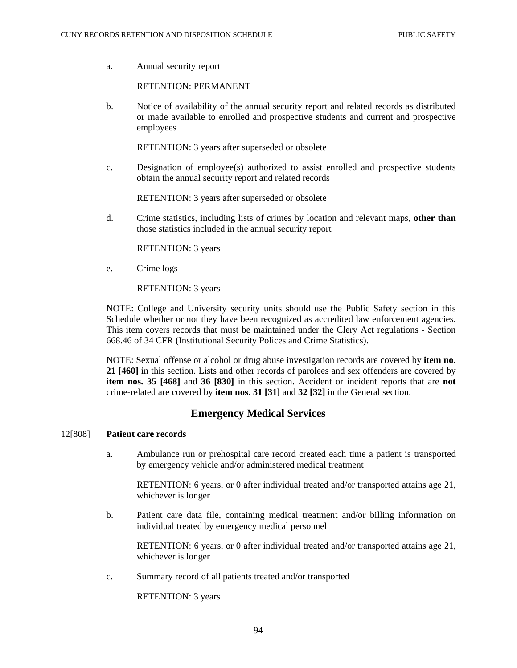a. Annual security report

#### RETENTION: PERMANENT

b. Notice of availability of the annual security report and related records as distributed or made available to enrolled and prospective students and current and prospective employees

RETENTION: 3 years after superseded or obsolete

c. Designation of employee(s) authorized to assist enrolled and prospective students obtain the annual security report and related records

RETENTION: 3 years after superseded or obsolete

d. Crime statistics, including lists of crimes by location and relevant maps, **other than** those statistics included in the annual security report

RETENTION: 3 years

e. Crime logs

RETENTION: 3 years

NOTE: College and University security units should use the Public Safety section in this Schedule whether or not they have been recognized as accredited law enforcement agencies. This item covers records that must be maintained under the Clery Act regulations - Section 668.46 of 34 CFR (Institutional Security Polices and Crime Statistics).

NOTE: Sexual offense or alcohol or drug abuse investigation records are covered by **item no. 21 [460]** in this section. Lists and other records of parolees and sex offenders are covered by **item nos. 35 [468]** and **36 [830]** in this section. Accident or incident reports that are **not** crime-related are covered by **item nos. 31 [31]** and **32 [32]** in the General section.

# **Emergency Medical Services**

#### 12[808] **Patient care records**

a. Ambulance run or prehospital care record created each time a patient is transported by emergency vehicle and/or administered medical treatment

RETENTION: 6 years, or 0 after individual treated and/or transported attains age 21, whichever is longer

b. Patient care data file, containing medical treatment and/or billing information on individual treated by emergency medical personnel

RETENTION: 6 years, or 0 after individual treated and/or transported attains age 21, whichever is longer

c. Summary record of all patients treated and/or transported

RETENTION: 3 years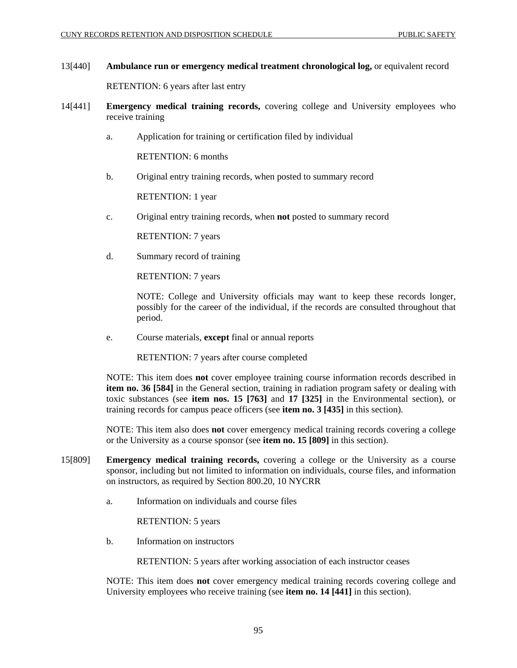# 13[440] **Ambulance run or emergency medical treatment chronological log,** or equivalent record

RETENTION: 6 years after last entry

- 14[441] **Emergency medical training records,** covering college and University employees who receive training
	- a. Application for training or certification filed by individual

RETENTION: 6 months

b. Original entry training records, when posted to summary record

RETENTION: 1 year

c. Original entry training records, when **not** posted to summary record

RETENTION: 7 years

d. Summary record of training

RETENTION: 7 years

NOTE: College and University officials may want to keep these records longer, possibly for the career of the individual, if the records are consulted throughout that period.

e. Course materials, **except** final or annual reports

RETENTION: 7 years after course completed

NOTE: This item does **not** cover employee training course information records described in **item no. 36 [584]** in the General section, training in radiation program safety or dealing with toxic substances (see **item nos. 15 [763]** and **17 [325]** in the Environmental section), or training records for campus peace officers (see **item no. 3 [435]** in this section).

NOTE: This item also does **not** cover emergency medical training records covering a college or the University as a course sponsor (see **item no. 15 [809]** in this section).

- 15[809] **Emergency medical training records,** covering a college or the University as a course sponsor, including but not limited to information on individuals, course files, and information on instructors, as required by Section 800.20, 10 NYCRR
	- a. Information on individuals and course files

RETENTION: 5 years

b. Information on instructors

RETENTION: 5 years after working association of each instructor ceases

NOTE: This item does **not** cover emergency medical training records covering college and University employees who receive training (see **item no. 14 [441]** in this section).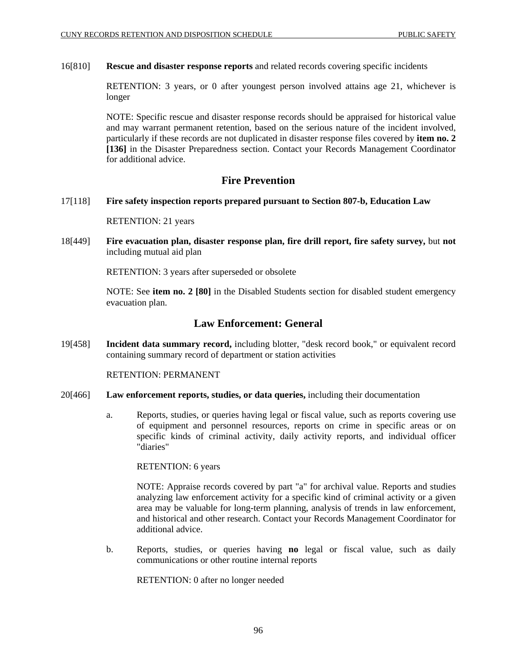### 16[810] **Rescue and disaster response reports** and related records covering specific incidents

RETENTION: 3 years, or 0 after youngest person involved attains age 21, whichever is longer

NOTE: Specific rescue and disaster response records should be appraised for historical value and may warrant permanent retention, based on the serious nature of the incident involved, particularly if these records are not duplicated in disaster response files covered by **item no. 2 [136]** in the Disaster Preparedness section. Contact your Records Management Coordinator for additional advice.

# **Fire Prevention**

17[118] **Fire safety inspection reports prepared pursuant to Section 807-b, Education Law**

RETENTION: 21 years

18[449] **Fire evacuation plan, disaster response plan, fire drill report, fire safety survey,** but **not** including mutual aid plan

RETENTION: 3 years after superseded or obsolete

NOTE: See **item no. 2 [80]** in the Disabled Students section for disabled student emergency evacuation plan.

# **Law Enforcement: General**

19[458] **Incident data summary record,** including blotter, "desk record book," or equivalent record containing summary record of department or station activities

RETENTION: PERMANENT

- 20[466] **Law enforcement reports, studies, or data queries,** including their documentation
	- a. Reports, studies, or queries having legal or fiscal value, such as reports covering use of equipment and personnel resources, reports on crime in specific areas or on specific kinds of criminal activity, daily activity reports, and individual officer "diaries"

RETENTION: 6 years

NOTE: Appraise records covered by part "a" for archival value. Reports and studies analyzing law enforcement activity for a specific kind of criminal activity or a given area may be valuable for long-term planning, analysis of trends in law enforcement, and historical and other research. Contact your Records Management Coordinator for additional advice.

b. Reports, studies, or queries having **no** legal or fiscal value, such as daily communications or other routine internal reports

RETENTION: 0 after no longer needed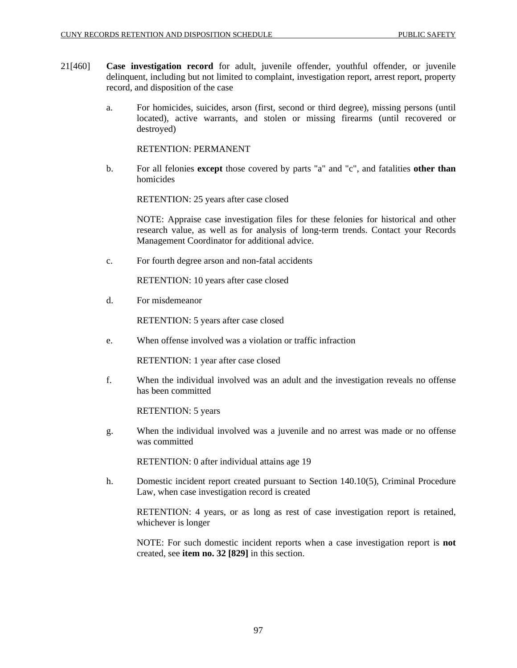- 21[460] **Case investigation record** for adult, juvenile offender, youthful offender, or juvenile delinquent, including but not limited to complaint, investigation report, arrest report, property record, and disposition of the case
	- a. For homicides, suicides, arson (first, second or third degree), missing persons (until located), active warrants, and stolen or missing firearms (until recovered or destroyed)

RETENTION: PERMANENT

b. For all felonies **except** those covered by parts "a" and "c", and fatalities **other than** homicides

RETENTION: 25 years after case closed

NOTE: Appraise case investigation files for these felonies for historical and other research value, as well as for analysis of long-term trends. Contact your Records Management Coordinator for additional advice.

c. For fourth degree arson and non-fatal accidents

RETENTION: 10 years after case closed

d. For misdemeanor

RETENTION: 5 years after case closed

e. When offense involved was a violation or traffic infraction

RETENTION: 1 year after case closed

f. When the individual involved was an adult and the investigation reveals no offense has been committed

RETENTION: 5 years

g. When the individual involved was a juvenile and no arrest was made or no offense was committed

RETENTION: 0 after individual attains age 19

h. Domestic incident report created pursuant to Section 140.10(5), Criminal Procedure Law, when case investigation record is created

RETENTION: 4 years, or as long as rest of case investigation report is retained, whichever is longer

NOTE: For such domestic incident reports when a case investigation report is **not** created, see **item no. 32 [829]** in this section.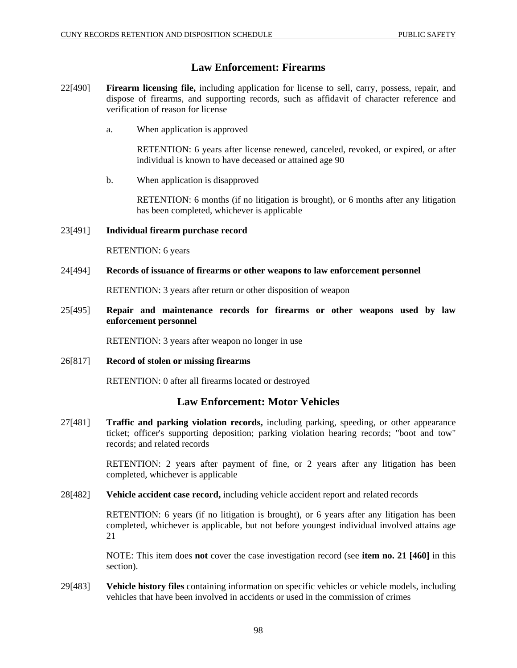# **Law Enforcement: Firearms**

- 22[490] **Firearm licensing file,** including application for license to sell, carry, possess, repair, and dispose of firearms, and supporting records, such as affidavit of character reference and verification of reason for license
	- a. When application is approved

RETENTION: 6 years after license renewed, canceled, revoked, or expired, or after individual is known to have deceased or attained age 90

b. When application is disapproved

RETENTION: 6 months (if no litigation is brought), or 6 months after any litigation has been completed, whichever is applicable

## 23[491] **Individual firearm purchase record**

RETENTION: 6 years

## 24[494] **Records of issuance of firearms or other weapons to law enforcement personnel**

RETENTION: 3 years after return or other disposition of weapon

25[495] **Repair and maintenance records for firearms or other weapons used by law enforcement personnel**

RETENTION: 3 years after weapon no longer in use

26[817] **Record of stolen or missing firearms**

RETENTION: 0 after all firearms located or destroyed

# **Law Enforcement: Motor Vehicles**

27[481] **Traffic and parking violation records,** including parking, speeding, or other appearance ticket; officer's supporting deposition; parking violation hearing records; "boot and tow" records; and related records

> RETENTION: 2 years after payment of fine, or 2 years after any litigation has been completed, whichever is applicable

28[482] **Vehicle accident case record,** including vehicle accident report and related records

RETENTION: 6 years (if no litigation is brought), or 6 years after any litigation has been completed, whichever is applicable, but not before youngest individual involved attains age 21

NOTE: This item does **not** cover the case investigation record (see **item no. 21 [460]** in this section).

29[483] **Vehicle history files** containing information on specific vehicles or vehicle models, including vehicles that have been involved in accidents or used in the commission of crimes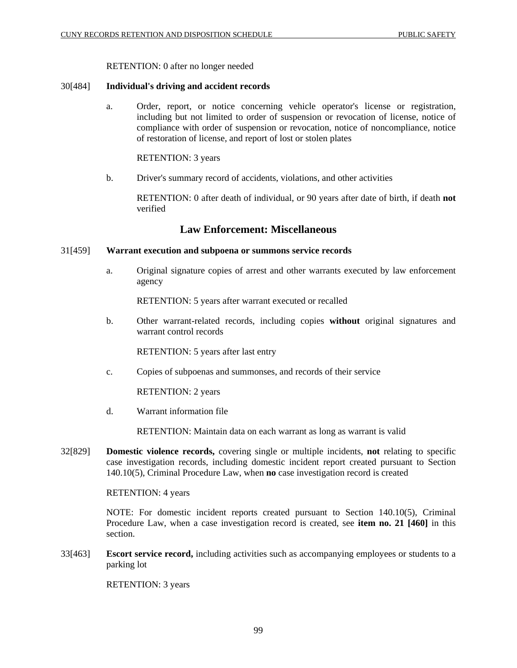### RETENTION: 0 after no longer needed

### 30[484] **Individual's driving and accident records**

a. Order, report, or notice concerning vehicle operator's license or registration, including but not limited to order of suspension or revocation of license, notice of compliance with order of suspension or revocation, notice of noncompliance, notice of restoration of license, and report of lost or stolen plates

RETENTION: 3 years

b. Driver's summary record of accidents, violations, and other activities

RETENTION: 0 after death of individual, or 90 years after date of birth, if death **not** verified

# **Law Enforcement: Miscellaneous**

# 31[459] **Warrant execution and subpoena or summons service records**

a. Original signature copies of arrest and other warrants executed by law enforcement agency

RETENTION: 5 years after warrant executed or recalled

b. Other warrant-related records, including copies **without** original signatures and warrant control records

RETENTION: 5 years after last entry

c. Copies of subpoenas and summonses, and records of their service

RETENTION: 2 years

d. Warrant information file

RETENTION: Maintain data on each warrant as long as warrant is valid

32[829] **Domestic violence records,** covering single or multiple incidents, **not** relating to specific case investigation records, including domestic incident report created pursuant to Section 140.10(5), Criminal Procedure Law, when **no** case investigation record is created

### RETENTION: 4 years

NOTE: For domestic incident reports created pursuant to Section 140.10(5), Criminal Procedure Law, when a case investigation record is created, see **item no. 21 [460]** in this section.

33[463] **Escort service record,** including activities such as accompanying employees or students to a parking lot

RETENTION: 3 years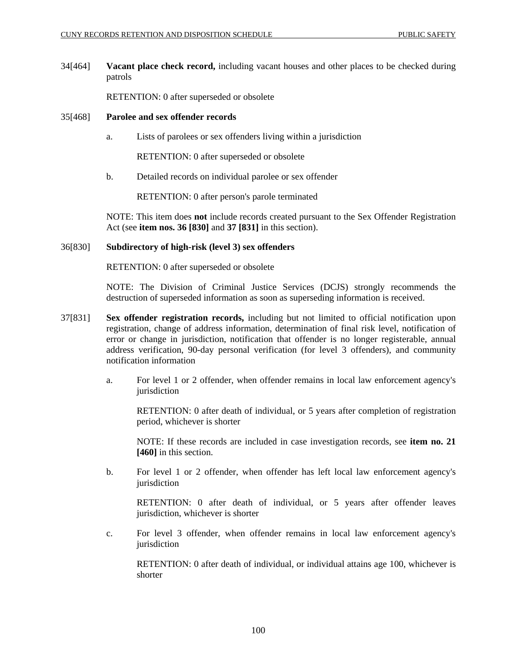34[464] **Vacant place check record,** including vacant houses and other places to be checked during patrols

RETENTION: 0 after superseded or obsolete

### 35[468] **Parolee and sex offender records**

a. Lists of parolees or sex offenders living within a jurisdiction

RETENTION: 0 after superseded or obsolete

b. Detailed records on individual parolee or sex offender

RETENTION: 0 after person's parole terminated

NOTE: This item does **not** include records created pursuant to the Sex Offender Registration Act (see **item nos. 36 [830]** and **37 [831]** in this section).

## 36[830] **Subdirectory of high-risk (level 3) sex offenders**

RETENTION: 0 after superseded or obsolete

NOTE: The Division of Criminal Justice Services (DCJS) strongly recommends the destruction of superseded information as soon as superseding information is received.

- 37[831] **Sex offender registration records,** including but not limited to official notification upon registration, change of address information, determination of final risk level, notification of error or change in jurisdiction, notification that offender is no longer registerable, annual address verification, 90-day personal verification (for level 3 offenders), and community notification information
	- a. For level 1 or 2 offender, when offender remains in local law enforcement agency's jurisdiction

RETENTION: 0 after death of individual, or 5 years after completion of registration period, whichever is shorter

NOTE: If these records are included in case investigation records, see **item no. 21 [460]** in this section.

b. For level 1 or 2 offender, when offender has left local law enforcement agency's jurisdiction

RETENTION: 0 after death of individual, or 5 years after offender leaves jurisdiction, whichever is shorter

c. For level 3 offender, when offender remains in local law enforcement agency's iurisdiction

RETENTION: 0 after death of individual, or individual attains age 100, whichever is shorter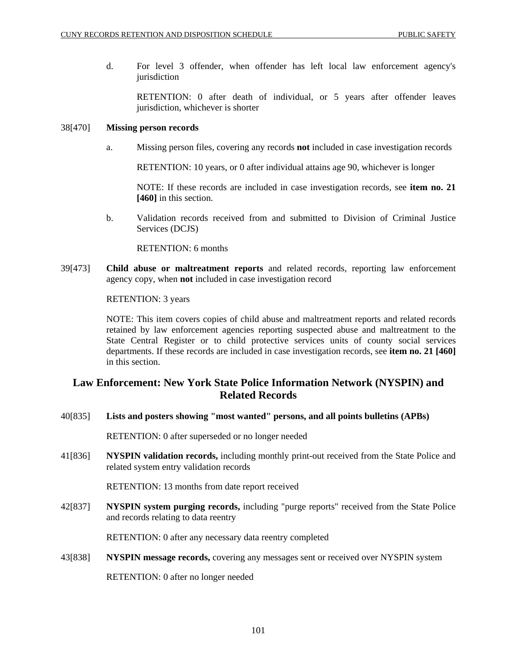d. For level 3 offender, when offender has left local law enforcement agency's jurisdiction

RETENTION: 0 after death of individual, or 5 years after offender leaves jurisdiction, whichever is shorter

### 38[470] **Missing person records**

a. Missing person files, covering any records **not** included in case investigation records

RETENTION: 10 years, or 0 after individual attains age 90, whichever is longer

NOTE: If these records are included in case investigation records, see **item no. 21 [460]** in this section.

b. Validation records received from and submitted to Division of Criminal Justice Services (DCJS)

RETENTION: 6 months

39[473] **Child abuse or maltreatment reports** and related records, reporting law enforcement agency copy, when **not** included in case investigation record

RETENTION: 3 years

NOTE: This item covers copies of child abuse and maltreatment reports and related records retained by law enforcement agencies reporting suspected abuse and maltreatment to the State Central Register or to child protective services units of county social services departments. If these records are included in case investigation records, see **item no. 21 [460]**  in this section.

# **Law Enforcement: New York State Police Information Network (NYSPIN) and Related Records**

40[835] **Lists and posters showing "most wanted" persons, and all points bulletins (APBs)**

RETENTION: 0 after superseded or no longer needed

41[836] **NYSPIN validation records,** including monthly print-out received from the State Police and related system entry validation records

RETENTION: 13 months from date report received

42[837] **NYSPIN system purging records,** including "purge reports" received from the State Police and records relating to data reentry

RETENTION: 0 after any necessary data reentry completed

43[838] **NYSPIN message records,** covering any messages sent or received over NYSPIN system

RETENTION: 0 after no longer needed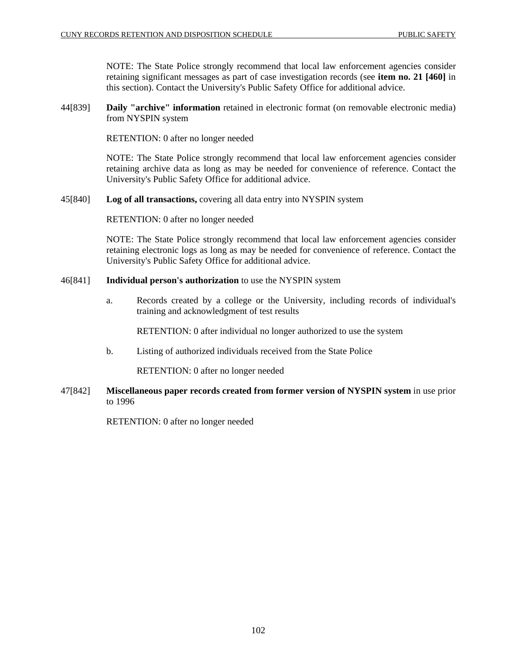NOTE: The State Police strongly recommend that local law enforcement agencies consider retaining significant messages as part of case investigation records (see **item no. 21 [460]** in this section). Contact the University's Public Safety Office for additional advice.

44[839] **Daily "archive" information** retained in electronic format (on removable electronic media) from NYSPIN system

RETENTION: 0 after no longer needed

NOTE: The State Police strongly recommend that local law enforcement agencies consider retaining archive data as long as may be needed for convenience of reference. Contact the University's Public Safety Office for additional advice.

45[840] **Log of all transactions,** covering all data entry into NYSPIN system

RETENTION: 0 after no longer needed

NOTE: The State Police strongly recommend that local law enforcement agencies consider retaining electronic logs as long as may be needed for convenience of reference. Contact the University's Public Safety Office for additional advice.

## 46[841] **Individual person's authorization** to use the NYSPIN system

a. Records created by a college or the University, including records of individual's training and acknowledgment of test results

RETENTION: 0 after individual no longer authorized to use the system

b. Listing of authorized individuals received from the State Police

RETENTION: 0 after no longer needed

47[842] **Miscellaneous paper records created from former version of NYSPIN system** in use prior to 1996

RETENTION: 0 after no longer needed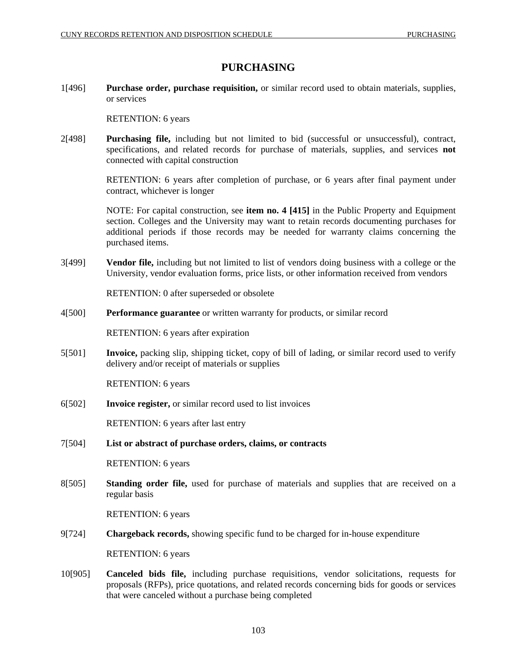# **PURCHASING**

1[496] **Purchase order, purchase requisition,** or similar record used to obtain materials, supplies, or services

RETENTION: 6 years

2[498] **Purchasing file,** including but not limited to bid (successful or unsuccessful), contract, specifications, and related records for purchase of materials, supplies, and services **not** connected with capital construction

> RETENTION: 6 years after completion of purchase, or 6 years after final payment under contract, whichever is longer

> NOTE: For capital construction, see **item no. 4 [415]** in the Public Property and Equipment section. Colleges and the University may want to retain records documenting purchases for additional periods if those records may be needed for warranty claims concerning the purchased items.

3[499] **Vendor file,** including but not limited to list of vendors doing business with a college or the University, vendor evaluation forms, price lists, or other information received from vendors

RETENTION: 0 after superseded or obsolete

4[500] **Performance guarantee** or written warranty for products, or similar record

RETENTION: 6 years after expiration

5[501] **Invoice,** packing slip, shipping ticket, copy of bill of lading, or similar record used to verify delivery and/or receipt of materials or supplies

RETENTION: 6 years

6[502] **Invoice register,** or similar record used to list invoices

RETENTION: 6 years after last entry

7[504] **List or abstract of purchase orders, claims, or contracts**

RETENTION: 6 years

8[505] **Standing order file,** used for purchase of materials and supplies that are received on a regular basis

RETENTION: 6 years

9[724] **Chargeback records,** showing specific fund to be charged for in-house expenditure

RETENTION: 6 years

10[905] **Canceled bids file,** including purchase requisitions, vendor solicitations, requests for proposals (RFPs), price quotations, and related records concerning bids for goods or services that were canceled without a purchase being completed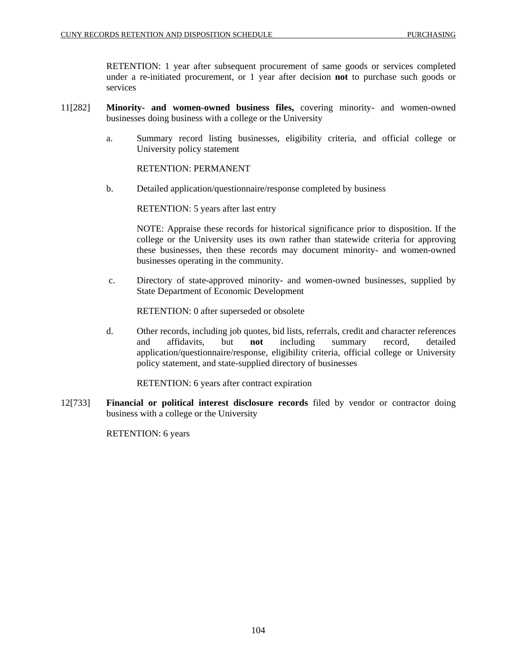RETENTION: 1 year after subsequent procurement of same goods or services completed under a re-initiated procurement, or 1 year after decision **not** to purchase such goods or services

- 11[282] **Minority- and women-owned business files,** covering minority- and women-owned businesses doing business with a college or the University
	- a. Summary record listing businesses, eligibility criteria, and official college or University policy statement

RETENTION: PERMANENT

b. Detailed application/questionnaire/response completed by business

RETENTION: 5 years after last entry

NOTE: Appraise these records for historical significance prior to disposition. If the college or the University uses its own rather than statewide criteria for approving these businesses, then these records may document minority- and women-owned businesses operating in the community.

 c. Directory of state-approved minority- and women-owned businesses, supplied by State Department of Economic Development

RETENTION: 0 after superseded or obsolete

d. Other records, including job quotes, bid lists, referrals, credit and character references and affidavits, but **not** including summary record, detailed application/questionnaire/response, eligibility criteria, official college or University policy statement, and state-supplied directory of businesses

RETENTION: 6 years after contract expiration

12[733] **Financial or political interest disclosure records** filed by vendor or contractor doing business with a college or the University

RETENTION: 6 years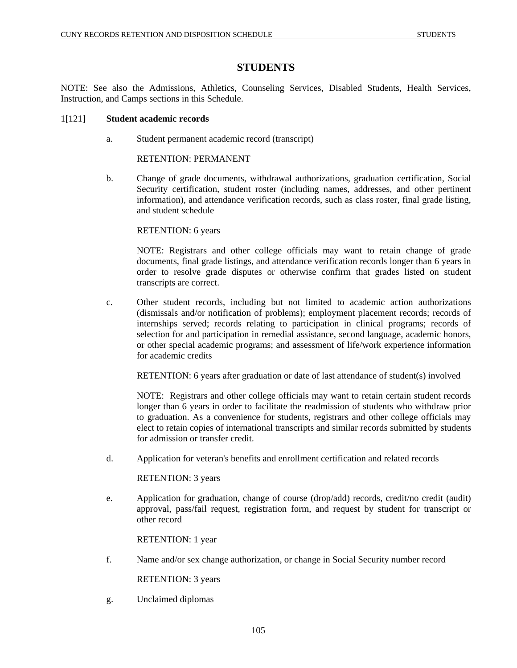# **STUDENTS**

NOTE: See also the Admissions, Athletics, Counseling Services, Disabled Students, Health Services, Instruction, and Camps sections in this Schedule.

## 1[121] **Student academic records**

a. Student permanent academic record (transcript)

## RETENTION: PERMANENT

b. Change of grade documents, withdrawal authorizations, graduation certification, Social Security certification, student roster (including names, addresses, and other pertinent information), and attendance verification records, such as class roster, final grade listing, and student schedule

## RETENTION: 6 years

NOTE: Registrars and other college officials may want to retain change of grade documents, final grade listings, and attendance verification records longer than 6 years in order to resolve grade disputes or otherwise confirm that grades listed on student transcripts are correct.

c. Other student records, including but not limited to academic action authorizations (dismissals and/or notification of problems); employment placement records; records of internships served; records relating to participation in clinical programs; records of selection for and participation in remedial assistance, second language, academic honors, or other special academic programs; and assessment of life/work experience information for academic credits

RETENTION: 6 years after graduation or date of last attendance of student(s) involved

NOTE: Registrars and other college officials may want to retain certain student records longer than 6 years in order to facilitate the readmission of students who withdraw prior to graduation. As a convenience for students, registrars and other college officials may elect to retain copies of international transcripts and similar records submitted by students for admission or transfer credit.

d. Application for veteran's benefits and enrollment certification and related records

RETENTION: 3 years

e. Application for graduation, change of course (drop/add) records, credit/no credit (audit) approval, pass/fail request, registration form, and request by student for transcript or other record

RETENTION: 1 year

f. Name and/or sex change authorization, or change in Social Security number record

RETENTION: 3 years

g. Unclaimed diplomas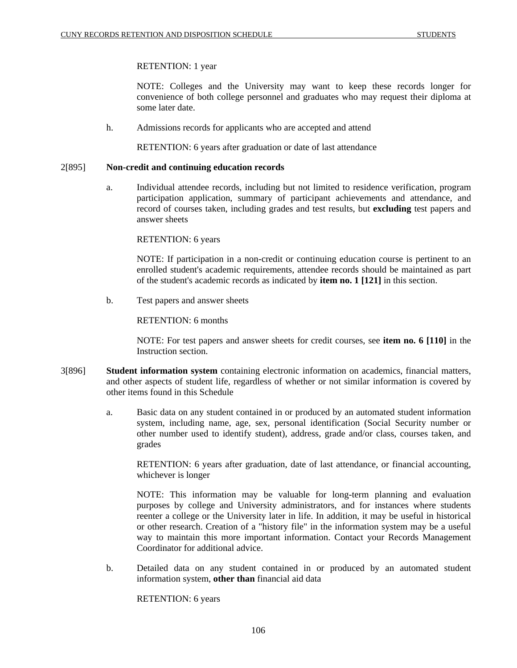RETENTION: 1 year

NOTE: Colleges and the University may want to keep these records longer for convenience of both college personnel and graduates who may request their diploma at some later date.

h. Admissions records for applicants who are accepted and attend

RETENTION: 6 years after graduation or date of last attendance

## 2[895] **Non-credit and continuing education records**

a. Individual attendee records, including but not limited to residence verification, program participation application, summary of participant achievements and attendance, and record of courses taken, including grades and test results, but **excluding** test papers and answer sheets

RETENTION: 6 years

NOTE: If participation in a non-credit or continuing education course is pertinent to an enrolled student's academic requirements, attendee records should be maintained as part of the student's academic records as indicated by **item no. 1 [121]** in this section.

b. Test papers and answer sheets

RETENTION: 6 months

NOTE: For test papers and answer sheets for credit courses, see **item no. 6 [110]** in the Instruction section.

- 3[896] **Student information system** containing electronic information on academics, financial matters, and other aspects of student life, regardless of whether or not similar information is covered by other items found in this Schedule
	- a. Basic data on any student contained in or produced by an automated student information system, including name, age, sex, personal identification (Social Security number or other number used to identify student), address, grade and/or class, courses taken, and grades

RETENTION: 6 years after graduation, date of last attendance, or financial accounting, whichever is longer

NOTE: This information may be valuable for long-term planning and evaluation purposes by college and University administrators, and for instances where students reenter a college or the University later in life. In addition, it may be useful in historical or other research. Creation of a "history file" in the information system may be a useful way to maintain this more important information. Contact your Records Management Coordinator for additional advice.

b. Detailed data on any student contained in or produced by an automated student information system, **other than** financial aid data

RETENTION: 6 years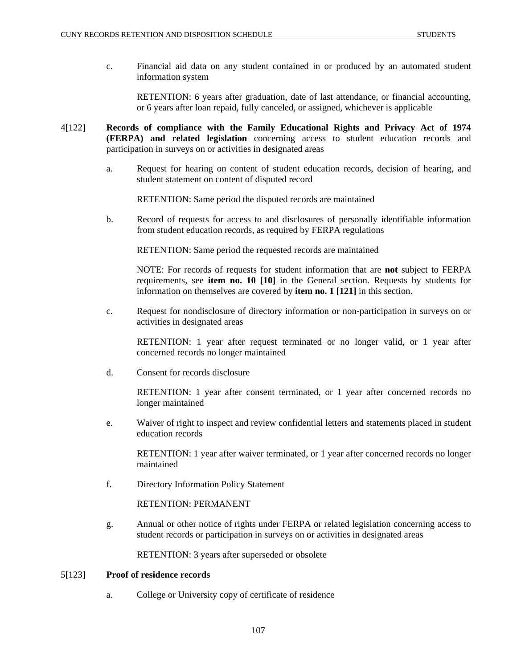c. Financial aid data on any student contained in or produced by an automated student information system

RETENTION: 6 years after graduation, date of last attendance, or financial accounting, or 6 years after loan repaid, fully canceled, or assigned, whichever is applicable

- 4[122] **Records of compliance with the Family Educational Rights and Privacy Act of 1974 (FERPA) and related legislation** concerning access to student education records and participation in surveys on or activities in designated areas
	- a. Request for hearing on content of student education records, decision of hearing, and student statement on content of disputed record

RETENTION: Same period the disputed records are maintained

b. Record of requests for access to and disclosures of personally identifiable information from student education records, as required by FERPA regulations

RETENTION: Same period the requested records are maintained

NOTE: For records of requests for student information that are **not** subject to FERPA requirements, see **item no. 10 [10]** in the General section. Requests by students for information on themselves are covered by **item no. 1 [121]** in this section.

c. Request for nondisclosure of directory information or non-participation in surveys on or activities in designated areas

RETENTION: 1 year after request terminated or no longer valid, or 1 year after concerned records no longer maintained

d. Consent for records disclosure

RETENTION: 1 year after consent terminated, or 1 year after concerned records no longer maintained

e. Waiver of right to inspect and review confidential letters and statements placed in student education records

RETENTION: 1 year after waiver terminated, or 1 year after concerned records no longer maintained

f. Directory Information Policy Statement

RETENTION: PERMANENT

g. Annual or other notice of rights under FERPA or related legislation concerning access to student records or participation in surveys on or activities in designated areas

RETENTION: 3 years after superseded or obsolete

### 5[123] **Proof of residence records**

a. College or University copy of certificate of residence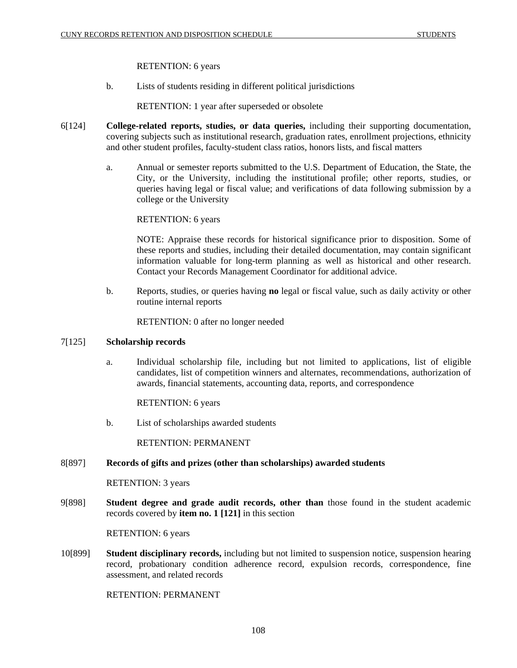RETENTION: 6 years

b. Lists of students residing in different political jurisdictions

RETENTION: 1 year after superseded or obsolete

- 6[124] **College-related reports, studies, or data queries,** including their supporting documentation, covering subjects such as institutional research, graduation rates, enrollment projections, ethnicity and other student profiles, faculty-student class ratios, honors lists, and fiscal matters
	- a. Annual or semester reports submitted to the U.S. Department of Education, the State, the City, or the University, including the institutional profile; other reports, studies, or queries having legal or fiscal value; and verifications of data following submission by a college or the University

# RETENTION: 6 years

NOTE: Appraise these records for historical significance prior to disposition. Some of these reports and studies, including their detailed documentation, may contain significant information valuable for long-term planning as well as historical and other research. Contact your Records Management Coordinator for additional advice.

b. Reports, studies, or queries having **no** legal or fiscal value, such as daily activity or other routine internal reports

RETENTION: 0 after no longer needed

### 7[125] **Scholarship records**

a. Individual scholarship file, including but not limited to applications, list of eligible candidates, list of competition winners and alternates, recommendations, authorization of awards, financial statements, accounting data, reports, and correspondence

RETENTION: 6 years

b. List of scholarships awarded students

RETENTION: PERMANENT

### 8[897] **Records of gifts and prizes (other than scholarships) awarded students**

RETENTION: 3 years

9[898] **Student degree and grade audit records, other than** those found in the student academic records covered by **item no. 1 [121]** in this section

RETENTION: 6 years

10[899] **Student disciplinary records,** including but not limited to suspension notice, suspension hearing record, probationary condition adherence record, expulsion records, correspondence, fine assessment, and related records

RETENTION: PERMANENT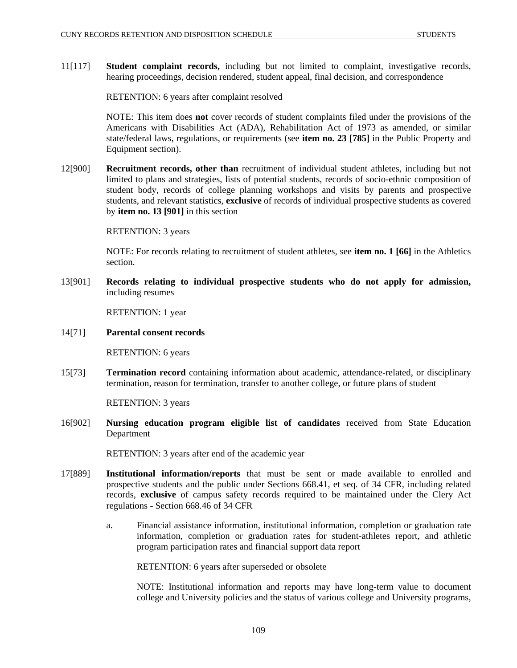11[117] **Student complaint records,** including but not limited to complaint, investigative records, hearing proceedings, decision rendered, student appeal, final decision, and correspondence

RETENTION: 6 years after complaint resolved

NOTE: This item does **not** cover records of student complaints filed under the provisions of the Americans with Disabilities Act (ADA), Rehabilitation Act of 1973 as amended, or similar state/federal laws, regulations, or requirements (see **item no. 23 [785]** in the Public Property and Equipment section).

12[900] **Recruitment records, other than** recruitment of individual student athletes, including but not limited to plans and strategies, lists of potential students, records of socio-ethnic composition of student body, records of college planning workshops and visits by parents and prospective students, and relevant statistics, **exclusive** of records of individual prospective students as covered by **item no. 13 [901]** in this section

RETENTION: 3 years

NOTE: For records relating to recruitment of student athletes, see **item no. 1 [66]** in the Athletics section.

13[901] **Records relating to individual prospective students who do not apply for admission,** including resumes

RETENTION: 1 year

14[71] **Parental consent records** 

RETENTION: 6 years

15[73] **Termination record** containing information about academic, attendance-related, or disciplinary termination, reason for termination, transfer to another college, or future plans of student

RETENTION: 3 years

16[902] **Nursing education program eligible list of candidates** received from State Education Department

RETENTION: 3 years after end of the academic year

- 17[889] **Institutional information/reports** that must be sent or made available to enrolled and prospective students and the public under Sections 668.41, et seq. of 34 CFR, including related records, **exclusive** of campus safety records required to be maintained under the Clery Act regulations - Section 668.46 of 34 CFR
	- a. Financial assistance information, institutional information, completion or graduation rate information, completion or graduation rates for student-athletes report, and athletic program participation rates and financial support data report

RETENTION: 6 years after superseded or obsolete

NOTE: Institutional information and reports may have long-term value to document college and University policies and the status of various college and University programs,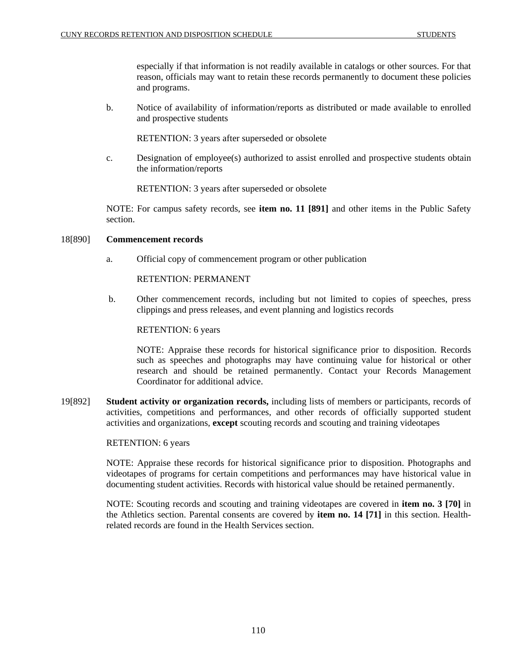especially if that information is not readily available in catalogs or other sources. For that reason, officials may want to retain these records permanently to document these policies and programs.

b. Notice of availability of information/reports as distributed or made available to enrolled and prospective students

RETENTION: 3 years after superseded or obsolete

c. Designation of employee(s) authorized to assist enrolled and prospective students obtain the information/reports

RETENTION: 3 years after superseded or obsolete

NOTE: For campus safety records, see **item no. 11 [891]** and other items in the Public Safety section.

# 18[890] **Commencement records**

a. Official copy of commencement program or other publication

RETENTION: PERMANENT

 b. Other commencement records, including but not limited to copies of speeches, press clippings and press releases, and event planning and logistics records

# RETENTION: 6 years

NOTE: Appraise these records for historical significance prior to disposition. Records such as speeches and photographs may have continuing value for historical or other research and should be retained permanently. Contact your Records Management Coordinator for additional advice.

19[892] **Student activity or organization records,** including lists of members or participants, records of activities, competitions and performances, and other records of officially supported student activities and organizations, **except** scouting records and scouting and training videotapes

### RETENTION: 6 years

NOTE: Appraise these records for historical significance prior to disposition. Photographs and videotapes of programs for certain competitions and performances may have historical value in documenting student activities. Records with historical value should be retained permanently.

NOTE: Scouting records and scouting and training videotapes are covered in **item no. 3 [70]** in the Athletics section. Parental consents are covered by **item no. 14 [71]** in this section. Healthrelated records are found in the Health Services section.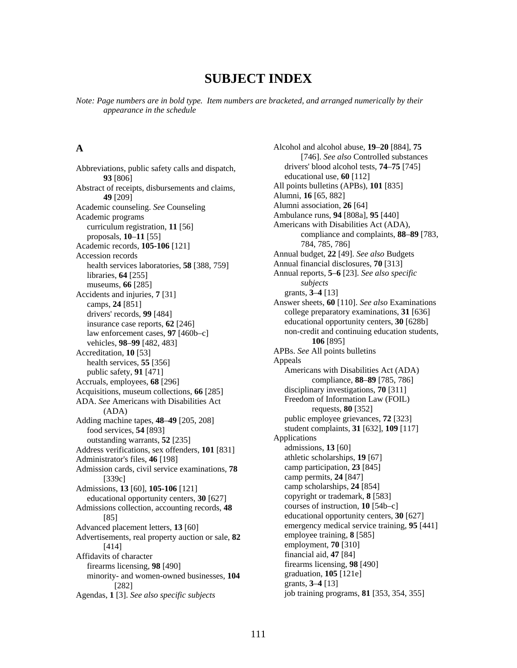# **SUBJECT INDEX**

*Note: Page numbers are in bold type. Item numbers are bracketed, and arranged numerically by their appearance in the schedule* 

**93** [806] educational use, **60** [112]<br>t of receipts dishursements and claims All points bulletins (APBs), **101** [835] Abstract of receipts, disbursements and claims, **49** [209]<br> **49** [209] **Alumni, <b>16** [65, 882]<br> **Alumni** association, **26** [64] Academic counseling. *See* Counseling Academic programs **Ambulance runs, 94** [808a], 95 [440] curriculum registration, **11** [56] proposals, **10**–**11** [55] Academic records, **105-106** [121] Accession records<br>health services laboratories. **58** [388, 759] **Annual financial disclosures, 70** [313] health services laboratories, **58** [388, 759] libraries, **64** [255] museums, **66** [285] Accidents and injuries, **7** [31] grants, **3–4** [13] educational opportunity centers, **30** [628b] insurance case reports, **62** [246] law enforcement cases, **97** [460b–c] vehicles, **98**–**99** [482, 483] Accreditation, **10** [53] **APBs.** *See* All points bulletins health services **55** [356] **Appeals** health services,  $55$  [356] public safety, **91** [471] Accruals, employees, **68** [296] Acquisitions, museum collections, 66 [285] disciplinary investigations, 70 [311] ADA. *See* Americans with Disabilities Act (ADA) Adding machine tapes, 48–49 [205, 208] public employee grievances, 72 [323] food services, **54** [893] student complaints, **31** [632], **109** [117] outstanding warrants **52** [235] Applications outstanding warrants, **52** [235] **1236** Applications<br>dress verifications sex offenders **101** [831] **236** admissions, **13** [60] Address verifications, sex offenders, **101** [831] admissions, **13** [60] <br>Administrator's files **46** [1981] athletic scholarships, **19** [67] Administrator's files, 46 [198] athletic scholarships, 19 [67]<br>Admission cards, civil service examinations, 78 camp participation, 23 [845] Admission cards, civil service examinations, 78 [339c] camp permits, **24** [847]<br>
ions. **13** [60]. **105-106** [121] camp scholarships, **24** [854] Admissions, **13** [60], **105-106** [121] camp scholarships, **24** [854]<br>educational opportunity centers **30** [627] copyright or trademark, **8** [583] educational opportunity centers, **30** [627] copyright or trademark, **8** [583] equations collection accounting records **48** courses of instruction, **10** [54b–c] Admissions collection, accounting records, 48 Advanced placement letters, **13** [60] emergency medical service training, **95** [441] <br>Advertisements real property auction or sale 82 employee training, **8** [585] Advertisements, real property auction or sale, 82 [414] employment, **70** [310]<br>
its of character financial aid, **47** [84] Affidavits of character<br>
financial aid, **47** [84]<br>
financial aid, **47** [84]<br>
financial aid, **47** [84] firearms licensing, **98** [490] **firearms licensing, <b>98** [490] **firearms** licensing, **98** [121e] **firearms** licensing, **98** [490] minority- and women-owned businesses,  $104$ Agendas, **1** [3]. *See also specific subjects* 

**A** Alcohol and alcohol abuse, **19**–**20** [884], **75** [746]. *See also* Controlled substances Abbreviations, public safety calls and dispatch, drivers' blood alcohol tests, **74**–**75** [745] Americans with Disabilities Act (ADA), compliance and complaints, **88**–**89** [783, 784, 785, 786] Annual reports, **5**–**6** [23]. *See also specific subjects* Answer sheets, **60** [110]. *See also* Examinations camps, **24** [851] drivers' records, 99 [484] college preparatory examinations, 31 [636] non-credit and continuing education students, **106** [895] Americans with Disabilities Act (ADA) compliance, **88**–**89** [785, 786] Freedom of Information Law (FOIL) requests, **80** [352] [85] educational opportunity centers, **30** [627] [282]<br>[282] grants, **3–4** [13]<br>[31 *See also specific subjects* iob training programs, **81** [353, 354, 355]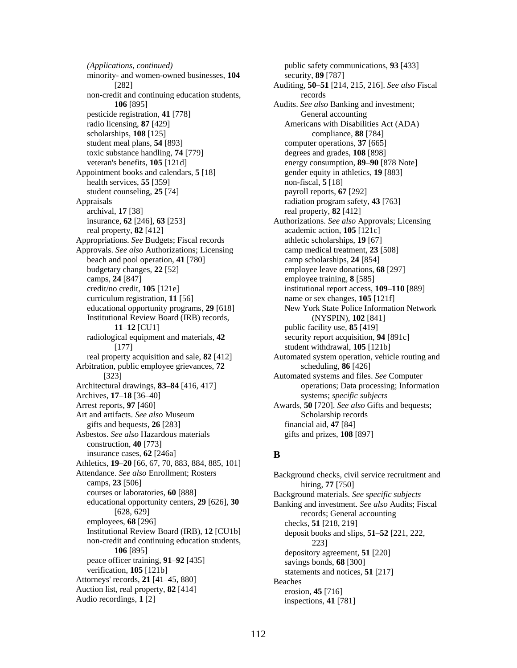minority- and women-owned businesses, **104** security, **89** [787] non-credit and continuing education students, records pesticide registration, **41** [778] General accounting radio licensing, **87** [429] **Americans with Disabilities Act (ADA)** scholarships, **108** [125] compliance, **88** [784] student meal plans, **54** [893] computer operations, **37** [665] toxic substance handling, **74** [779] degrees and grades, **108** [898] veteran's benefits, **105** [121d] energy consumption, **89**–**90** [878 Note] Appointment books and calendars, **5** [18] gender equity in athletics, **19** [883] health services, **55** [359] non-fiscal, **5** [18] student counseling, 25<sup>[74]</sup> payroll reports, **67** [292] Appraisals radiation program safety, **43** [763] archival, **17** [38] real property, **82** [412] insurance, **62** [246], **63** [253] Authorizations. *See also* Approvals; Licensing real property, **82** [412] academic action, **105** [121c] Appropriations. *See* Budgets; Fiscal records athletic scholarships, **19** [67] Approvals. See also Authorizations; Licensing camp medical treatment, 23 [508] beach and pool operation, **41** [780] camp scholarships, **24** [854] budgetary changes, **22** [52] employee leave donations, **68** [297] camps, **24** [847] employee training, **8** [585] credit/no credit, **105** [121e] institutional report access, **109**–**110** [889] curriculum registration, **11** [56] name or sex changes, **105** [121f] Institutional Review Board (IRB) records, (NYSPIN), **102** [841] **11–12** [CU1] public facility use, **85** [419] radiological equipment and materials, **42** [177] Arbitration, public employee grievances, **72** scheduling, **86** [426] Architectural drawings, **83**–**84** [416, 417] Archives, **17**–**18** [36–40] Arrest reports, **97** [460] Awards, **50** [720]. *See also* Gifts and bequests; Art and artifacts. *See also* Museum Scholarship records gifts and bequests, **26** [283] financial aid, **47** [84] Asbestos. *See also* Hazardous materials gifts and prizes, **108** [897] construction, **40** [773] **insurance cases,**  $62$  **[246a] <b>B** Athletics, **19**–**20** [66, 67, 70, 883, 884, 885, 101] Attendance. *See also* Enrollment; Rosters Background checks, civil service recruitment and camps, **23** [506] courses or laboratories, **60** [888] courses or laboratories, **60** [888] educational opportunity centers, **29** [626], **30** [628, 629] employees, **68** [296] checks, **51** [218, 219] Institutional Review Board (IRB), **12** [CU1b] denosit books and slip non-credit and continuing education students, 223]<br>106 [895] denository as peace officer training, **91–92** [435] savings bonds, **68** [300] verification, **105** [121b] statements and notices is Attorneys' records, 21 [41–45, 880] Beaches Auction list, real property, **82** [414] erosion, **45** [716] Audio recordings, **1** [2] inspections, **41** [781]

*(Applications, continued)* public safety communications, **93** [433] [282] Auditing, **50**–**51** [214, 215, 216]. *See also* Fiscal **106** [895] Audits. *See also* Banking and investment; educational opportunity programs, **29** [618] New York State Police Information Network security report acquisition, **94** [891c] student withdrawal, **105** [121b] real property acquisition and sale, **82** [412] Automated system operation, vehicle routing and [323] Automated systems and files. *See* Computer operations; Data processing; Information systems; *specific subjects*

Background materials. See *specific subjects* Banking and investment. *See also* Audits; Fiscal records; General accounting deposit books and slips,  $\overline{51-52}$  [221, 222, depository agreement, **51** [220] statements and notices, **51** [217]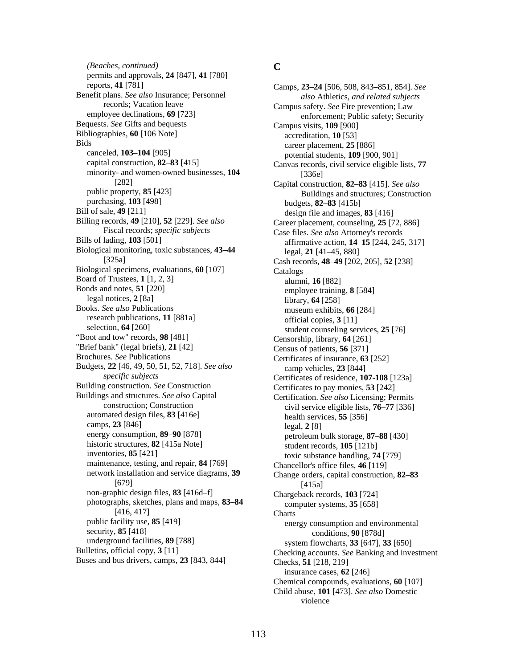**C** *(Beaches, continued)*  permits and approvals, **24** [847], **41** [780] reports, **41** [781] Camps, **23**–**24** [506, 508, 843–851, 854]. *See*  Benefit plans. *See also* Insurance; Personnel also Athletics, *and related subjects* Integrated Subjects Insurance; Personnel and *also* Athletics, *and related subjects* records; Vacation leave Campus safety. *See* Fire prevention; Law<br>employee declinations, **69** [723] enforcement: Public safety: Secu Bequests. *See* Gifts and bequests Campus visits, **109** [900] Bibliographies, **60** [106 Note] accreditation, **10** [53]<br>Bids accreditation, **10** [53] ds<br>
career placement, **25** [886]<br>
career placement, **25** [886]<br>
potential students **109** [90] canceled, **103–104** [905] potential students, **109** [900, 901] capital construction, **82–83** [415] Canvas records civil service eligible minority- and women-owned businesses, **104** [336e]<br>[282] **Canital construct** [282] Capital construction, **82**–**83** [415]. *See also* purchasing, **103** [498] budgets, **82–83** [415b]<br>Bill of sale, **49** [211] design file and images Billing records, **49** [210], **52** [229]. *See also* Fiscal records; *specific subjects* Bills of lading, **103** [501] affirmative action, **14**–**15** [244, 245, 317] Biological monitoring, toxic substances, **43**–**44** [325a] Biological specimens, evaluations, **60** [107] Catalogs Board of Trustees, **1** [1, 2, 3] alumni, **16** [882] alumni, **16** [882] alumni, **16** [882] and notes, **51** [220] legal notices, **2** [8a] library, **64** [258] library, **64** [258] library, **64** [258] library, **64** [258] research publications, **11** [881a] official copies, **3** [11] selection, **64** [260] official counseling set "Boot and tow" records, **98** [481] Censorship, library,  $\vec{64}$  [261] "Brief bank" (legal briefs), **21** [42] Census of patients, **56** [371] Brochures. *See* Publications Census of patients, **56** [371] Budgets, **22** [46, 49, 50, 51, 52, 718]. *See also specific subjects* Building construction. *See* Construction Certificates to pay monies, **53** [242] Buildings and structures. *See also* Capital construction; Construction automated design files, **83** [416e] health services, **55** [356] camps, **23** [846] legal, **2** [8] legal, **2** [8] energy consumption, **89–90** [878] legal, **2** [8] historic structures, **82** [415a Note]<br>inventories, **85** [421] student records, **105** [121b]<br>toxic substance handling 74 maintenance, testing, and repair, **84** [769] Chancellor's office files, **46** [119] network installation and service diagrams, **39** [679] non-graphic design files, **83** [416d–f] Chargeback records, **103** [724] photographs, sketches, plans and maps, **83**–**84** [416, 417] public facility use, **85** [419] energy consumption and environmental security, **85** [418] energy consumption and environmental conditions **90** [878d] conditions, **90** [878d]<br>underground facilities, **89** [788] sextem flowcharts **33** [647] underground facilities, **89** [788] system flowcharts, **33** [647], **33** [650] <br>Bulletins, official copy, **3** [11] Checking accounts, See Banking and inve Buses and bus drivers, camps, **23** [843, 844] Checks, **51** [218, 219]

enforcement; Public safety; Security Canvas records, civil service eligible lists, **77** public property, **85** [423] **Buildings and structures; Construction** [423] **Buildings and structures**; Construction [423] **Buildings and structures** [423] design file and images, 83 [416] Career placement, counseling, **25** [72, 886] Case files. *See also* Attorney's records legal, **21** [41–45, 880] Cash records, **48**–**49** [202, 205], **52** [238] employee training, **8** [584] museum exhibits, 66<sup>[284]</sup> student counseling services, 25 [76] Certificates of insurance, **63** [252] camp vehicles, **23** [844] Certificates of residence, **107-108** [123a] Certification. *See also* Licensing; Permits civil service eligible lists, **76**–**77** [336] petroleum bulk storage, **87–88** [430] toxic substance handling, **74** [779] Change orders, capital construction, **82**–**83** [415a] computer systems, **35** [658] **Charts** Checking accounts. See Banking and investment insurance cases, **62** [246] Chemical compounds, evaluations, **60** [107] Child abuse, **101** [473]. *See also* Domestic violence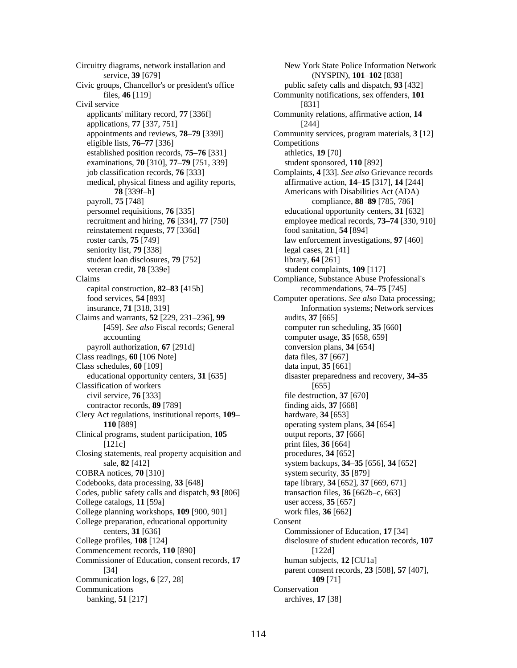Circuitry diagrams, network installation and service, **39** [679] Civic groups, Chancellor's or president's office public safety calls and dispatch, **93** [432] Civil service [831] applicants' military record, **77** [336f] applications, **77** [337, 751] eligible lists, **76**–**77** [336] Competitions established position records, **75**–**76** [331] athletics, **19** [70] examinations, **70** [310], **77**–**79** [751, 339] student sponsored, **110** [892] medical, physical fitness and agility reports, affirmative action, **14**–**15** [317], **14** [244] payroll, **75** [748] compliance, **88**–**89** [785, 786] personnel requisitions, **76** [335] educational opportunity centers, **31** [632] reinstatement requests, **77** [336d] food sanitation, **54** [894] roster cards, **75** [749] law enforcement investigations, **97** [460] seniority list, **79** [338] legal cases, **21** [41] student loan disclosures, **79** [752] library, **64** [261] veteran credit, **78** [339e] student complaints, **109** [117] Claims Compliance, Substance Abuse Professional's capital construction, **82**–**83** [415b] recommendations, **74**–**75** [745] Claims and warrants, **52** [229, 231–236], **99** [459]. *See also* Fiscal records; General accounting payroll authorization, **67** [291d] conversion plans, **34** [654] Class readings, **60** [106 Note] data files, **37** [667] Class schedules, **60** [109] data input, **35** [661] educational opportunity centers, **31** [635] Classification of workers civil service, **76** [333] file destruction, **37** [670] contractor records, **89** [789] finding aids, **37** [668] Clery Act regulations, institutional reports, **109**– hardware, **34** [653] **110** [889] operating system plans, **34** [654] Clinical programs, student participation, **105** output reports, **37** [666] [121c] print files, **36** [664] Closing statements, real property acquisition and procedures, 34 [652] COBRA notices, **70** [310] system security, **35** [879] Codebooks, data processing, **33** [648] tape library, **34** [652], **37** [669, 671] Codes, public safety calls and dispatch, **93** [806] transaction files, **36** [662b–c, 663] College catalogs, **11** [59a] user access, **35** [657] College planning workshops, **109** [900, 901] work files, **36** [662] College preparation, educational opportunity centers, **31** [636] College profiles, **108** [124] disclosure of student education records, **107** Commencement records, **110** [890] [122d] Commissioner of Education, consent records, **17** [34] Communication logs, **6** [27, 28] **109** [71] Communications Conservation banking, **51** [217] archives, **17** [38]

New York State Police Information Network (NYSPIN), **101**–**102** [838] files, **46** [119] Community notifications, sex offenders, **101** Community relations, affirmative action, **14** [244] appointments and reviews, **78**–**79** [339l] Community services, program materials, **3** [12] job classification records, **76** [333] Complaints, **4** [33]. *See also* Grievance records **78** [339f-h] **Americans with Disabilities Act (ADA)** recruitment and hiring, **76** [334], **77** [750] employee medical records, **73**–**74** [330, 910] food services, **54** [893] Computer operations. *See also* Data processing; insurance, **71** [318, 319] Information systems; Network services audits, **37** [665] computer run scheduling, **35** [660] computer usage, **35** [658, 659] disaster preparedness and recovery, **34**–**35** [655] sale, **82** [412] system backups, **34**–**35** [656], **34** [652] Consent Commissioner of Education, **17** [34] human subjects, **12** [CU1a] parent consent records, **23** [508], **57** [407],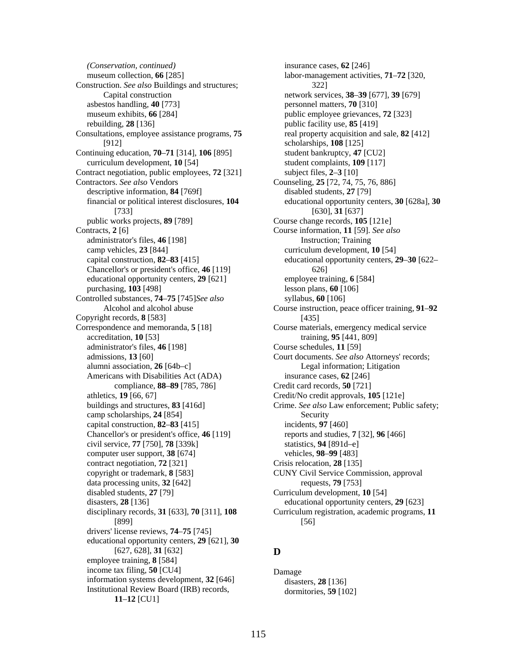*(Conservation, continued)* insurance cases, **62** [246] museum collection, **66** [285] Construction. *See also* Buildings and structures; asbestos handling, **40** [773] personnel matters, **70** [310] museum exhibits, **66** [284] public employee grievances, **72** [323] rebuilding, **28** [136] public facility use, **85** [419] Consultations, employee assistance programs, **75** [912] Continuing education, **70**–**71** [314], **106** [895] student bankruptcy, **47** [CU2] curriculum development, **10** [54] student complaints, **109** [117] Contract negotiation, public employees, **72** [321] subject files, **2**–**3** [10] Contractors. *See also* Vendors Counseling, **25** [72, 74, 75, 76, 886] descriptive information, **84** [769f] disabled students, **27** [79] financial or political interest disclosures, **104** [733] public works projects, **89** [789] Course change records, **105** [121e] Contracts, **2** [6] Course information, **11** [59]. *See also* administrator's files, **46** [198] Instruction; Training camp vehicles, **23** [844] curriculum development, **10** [54] Chancellor's or president's office, **46** [119] 626] educational opportunity centers, **29** [621] employee training, **6** [584] purchasing, **103** [498] lesson plans, **60** [106] Controlled substances, **74**–**75** [745]*See also* Alcohol and alcohol abuse Copyright records, **8** [583] [435] Correspondence and memoranda, **5** [18] Course materials, emergency medical service accreditation, **10** [53] training, **95** [441, 809] administrator's files, **46** [198] Course schedules, **11** [59] admissions, **13** [60] Court documents. *See also* Attorneys' records; alumni association, 26 [64b–c] Legal information; Litigation Americans with Disabilities Act (ADA) insurance cases, **62** [246] compliance, **88**–**89** [785, 786] Credit card records, **50** [721] athletics, **19** [66, 67] Credit/No credit approvals, **105** [121e] camp scholarships, 24 [854] Security capital construction, **82**–**83** [415] incidents, **97** [460] Chancellor's or president's office, **46** [119] reports and studies, **7** [32], **96** [466] civil service, **77** [750], **78** [339k] statistics, **94** [891d–e] computer user support, **38** [674] vehicles, **98**–**99** [483] contract negotiation, **72** [321] Crisis relocation, **28** [135] copyright or trademark, **8** [583] CUNY Civil Service Commission, approval data processing units, **32** [642] requests, **79** [753] disabled students, **27** [79] Curriculum development, **10** [54] disasters, **28** [136] educational opportunity centers, **29** [623] disciplinary records, **31** [633], **70** [311], **108** [899] drivers' license reviews, **74**–**75** [745] educational opportunity centers, **29** [621], **30** [627, 628], **31** [632] **D**  employee training, **8** [584] income tax filing, **50** [CU4] Damage information systems development, **32** [646] disasters, **28** [136] Institutional Review Board (IRB) records, **11**–**12** [CU1]

labor-management activities, **71**–**72** [320, 322] Capital construction network services, **38**–**39** [677], **39** [679] real property acquisition and sale, **82** [412] scholarships, **108** [125] educational opportunity centers, **30** [628a], **30** [630], **31** [637] capital construction, **82**–**83** [415] educational opportunity centers, **29**–**30** [622– syllabus, **60** [106] Course instruction, peace officer training, **91**–**92** buildings and structures, **83** [416d] Crime. *See also* Law enforcement; Public safety; Curriculum registration, academic programs, **11** [56]

dormitories, **59** [102]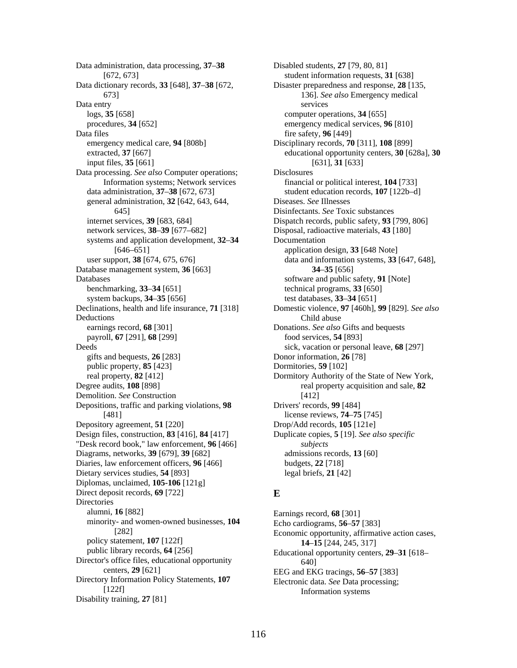Data administration, data processing, **37**–**38** Disabled students, **27** [79, 80, 81] [672, 673] student information requests, **31** [638] Data dictionary records, **33** [648], **37**–**38** [672, 673] Data entry logs, **35** [658] computer operations, **34** [655] procedures, **34** [652] emergency medical services, **96** [810] Data files fire safety, **96** [449] emergency medical care, **94** [808b] Disciplinary records, **70** [311], **108** [899] extracted, **37** [667] input files, **35** [661] Data processing. *See also* Computer operations; Information systems; Network services data administration, **37**–**38** [672, 673] student education records, **107** [122b–d] general administration, **32** [642, 643, 644, 645] internet services, **39** [683, 684] Dispatch records, public safety, **93** [799, 806] network services, **38**–**39** [677–682] Disposal, radioactive materials, **43** [180] systems and application development, **32**–**34** [646–651] Database management system, **36** [663] **34**–**35** [656] Databases software and public safety, **91** [Note] benchmarking, **33**–**34** [651] technical programs, **33** [650] system backups, **34**–**35** [656] test databases, **33**–**34** [651] Declinations, health and life insurance, **71** [318] Domestic violence, **97** [460h], **99** [829]. *See also* Deductions Child abuse earnings record, **68** [301] Donations. *See also* Gifts and bequests payroll, **67** [291], **68** [299] food services, **54** [893] Deeds sick, vacation or personal leave, **68** [297] gifts and bequests, **26** [283] Donor information, **26** [78] public property, **85** [423] Dormitories, **59** [102] Degree audits, **108** [898] Demolition. *See* Construction Depositions, traffic and parking violations, **98** Drivers' records, **99** [484] [481] license reviews, **74**–**75** [745] Depository agreement, **51** [220] Drop/Add records, **105** [121e] Design files, construction, **83** [416], **84** [417] "Desk record book," law enforcement, **96** [466] Diagrams, networks, **39** [679], **39** [682] admissions records, **13** [60] Diaries, law enforcement officers, **96** [466] budgets, **22** [718] Dietary services studies, **54** [893] legal briefs, **21** [42] Diplomas, unclaimed, **105-106** [121g] Direct deposit records, **69** [722] **E Directories** alumni, **16** [882] Earnings record, **68** [301] minority- and women-owned businesses, **104** [282] policy statement, **107** [122f] **14–15** [244, 245, 317] public library records, **64** [256] **15 14–15** [244, 245, 317] Director's office files, educational opportunity 640]<br>centers, 29 [621] EEG and EK Directory Information Policy Statements, **107**  $[122f]$ Disability training, **27** [81]

Disaster preparedness and response, **28** [135, 136]. *See also* Emergency medical services educational opportunity centers, **30** [628a], **30** [631], **31** [633] Disclosures financial or political interest, **104** [733] Diseases. *See* Illnesses Disinfectants. *See* Toxic substances Documentation application design, **33** [648 Note] user support, **38** [674, 675, 676] data and information systems, **33** [647, 648], real property, **82** [412] Dormitory Authority of the State of New York, real property acquisition and sale, **82** [412] Duplicate copies, **5** [19]. *See also specific subjects*

Echo cardiograms, **56**–**57** [383] Economic opportunity, affirmative action cases, Educational opportunity centers,  $29-31$  [618– **EEG** and **EKG** tracings, **56–57** [383] Electronic data. *See* Data processing; Information systems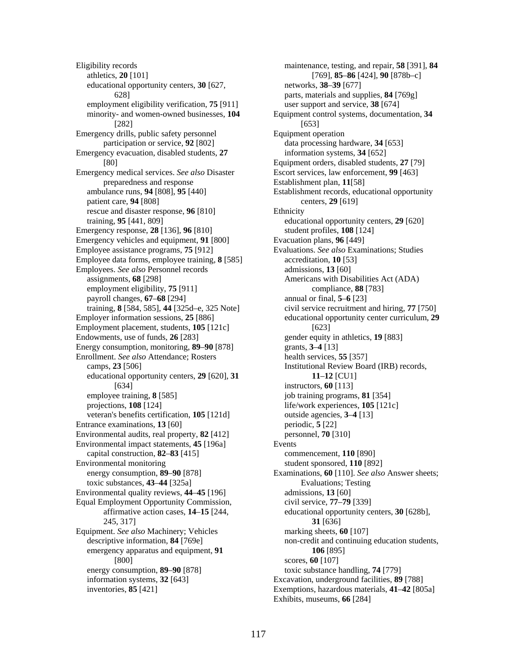Eligibility records athletics, **20** [101] educational opportunity centers, **30** [627, networks, **38**–**39** [677] employment eligibility verification, **75** [911] user support and service, **38** [674] minority- and women-owned businesses, **104** [282] Emergency drills, public safety personnel Equipment operation participation or service, 92 [802] data processing hardware, 34 [653] Emergency evacuation, disabled students, 27 information systems, 34 [652] Emergency medical services. *See also* Disaster Escort services, law enforcement, **99** [463] preparedness and response Establishment plan, **11**[58] patient care, **94** [808] centers, **29** [619] rescue and disaster response, **96** [810] Ethnicity training, **95** [441, 809] educational opportunity centers, **29** [620] Emergency response, **28** [136], **96** [810] student profiles, **108** [124] Emergency vehicles and equipment, **91** [800] Evacuation plans, **96** [449] Employee assistance programs, **75** [912] Evaluations. *See also* Examinations; Studies Employee data forms, employee training, **8** [585] accreditation, **10** [53] Employees. *See also* Personnel records admissions, 13 [60] assignments, **68** [298] **Americans with Disabilities Act (ADA)** employment eligibility, **75** [911] compliance, **88** [783] payroll changes, **67**–**68** [294] annual or final, **5**–**6** [23] Employment placement, students, **105** [121c] [623] Endowments, use of funds, 26 [283] gender equity in athletics, 19 [883] Energy consumption, monitoring, **89**–**90** [878] grants, **3**–**4** [13] Enrollment. *See also* Attendance; Rosters health services, **55** [357] camps, **23** [506] Institutional Review Board (IRB) records, educational opportunity centers, **29** [620], **31 11**–**12** [CU1] [634] instructors, **60** [113] employee training, **8** [585] job training programs, **81** [354] projections, **108** [124] life/work experiences, **105** [121c] veteran's benefits certification, **105** [121d] outside agencies, **3**–**4** [13] Entrance examinations, **13** [60] periodic, **5** [22] Environmental audits, real property, **82** [412] personnel, **70** [310] Environmental impact statements, 45 [196a] Events capital construction, **82**–**83** [415] commencement, **110** [890] Environmental monitoring student sponsored, **110** [892] energy consumption, **89**–**90** [878] toxic substances, **43**–**44** [325a] Environmental quality reviews, **44**–**45** [196] admissions, **13** [60] Equal Employment Opportunity Commission, civil service, **77**–**79** [339] affirmative action cases, **14**–**15** [244, 245, 317] Equipment. *See also* Machinery; Vehicles marking sheets, **60** [107] emergency apparatus and equipment, **91 106** [895] [800] scores, **60** [107] energy consumption, **89–90** [878] toxic substance handling, **74** [779] information systems, **32** [643] Excavation, underground facilities, **89** [788]

maintenance, testing, and repair, **58** [391], **84** [769], **85**–**86** [424], **90** [878b–c] 628] parts, materials and supplies, **84** [769g] Equipment control systems, documentation, **34** [653] [80] Equipment orders, disabled students, **27** [79] ambulance runs, **94** [808], **95** [440] Establishment records, educational opportunity training, **8** [584, 585], **44** [325d–e, 325 Note] civil service recruitment and hiring, **77** [750] Employer information sessions, **25** [886] educational opportunity center curriculum, **29** Examinations, **60** [110]. *See also* Answer sheets; Evaluations; Testing educational opportunity centers, **30** [628b], **31** [636] descriptive information, **84** [769e] non-credit and continuing education students, inventories, **85** [421] Exemptions, hazardous materials, **41**–**42** [805a] Exhibits, museums, **66** [284]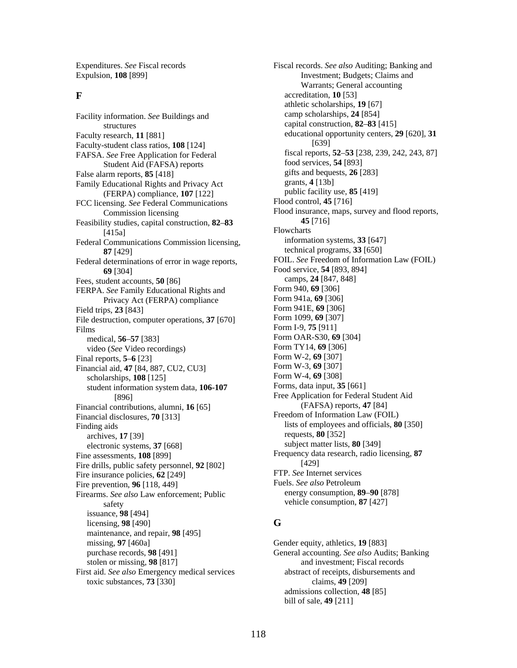Expenditures. *See* Fiscal records Expulsion, **108** [899]

structures capital construction, **82–83** [415] Faculty research, **11** [881] Faculty-student class ratios, **108** [124] Student Aid (FAFSA) reports food services, **54** [893]<br>arm reports **85** [418] gifts and bequests, **26** [283] False alarm reports, **85** [418] [283] gifts and bequest and bequests, **26** [283] [283] **Example 18 Example 18 Example 18 Example 18 Example 18 Example 18 Example 18 Example 18 Example 18 Example 18 Exam** Family Educational Rights and Privacy Act grants, **4** [13b]<br>(FERPA) compliance **107** [122] public facility use, **85** [419] (FERPA) compliance, **107** [122] public facility use, **8**<br>ensing See Federal Communications Flood control, **45** [716] FCC licensing. See Federal Communications Feasibility studies, capital construction, 82–83 [415a] Flowcharts<br>
Flowcharts<br>
Flowcharts<br>
Flowcharts<br>
information systems, 33 [647] Federal Communications Commission licensing, Federal determinations of error in wage reports, **69** [304] Food service, **54** [893, 894] **Food service, <b>54** [893, 894] **camps**, **24** [847, 848] Fees, student accounts, **50** [86] camps, **24** [847,<br>FERPA, *See* Family Educational Rights and **Form 940, 69** [306] FERPA. *See* Family Educational Rights and Form 940, **69** [306]<br>Privacy Act (FERPA) compliance Form 941a, **69** [306] Privacy Act (FERPA) compliance Form 941a, **69** [306]<br>
Form 941E, **69** [306] Field trips, **23** [843] **Example 18 Form 941E, <b>69** [306] **Example 18 Form 1099, <b>69** [307] **Example 18 Form 1099, <b>69** [307] File destruction, computer operations, 37 [670] Films Form I-9, **75** [911] medical, **56**–**57** Form OAR-S30, **69** [304] [383] video (*See* Video recordings) Final reports, **5**–**6** Form W-2, **69** [307] [23] Financial aid, **47** [84, 887, CU2, CU3] [84, 887, Form W-3, **69** [307]<br>[308] [308] [308] [86] Form W-4, **69** [308] scholarships, **108** [125]<br>student information system data **106-107** Forms, data input, **35** [661] student information system data, 106-107 Financial contributions, alumni, 16<sup>[65]</sup> Financial disclosures, **70** [313] **Example 18 Freedom of Information Law (FOIL)** Finding aids lists of employees and officials, **80** [350] archives, **17** [39] **archives, <b>17** [39] **archives, <b>17** [39] **archives, <b>37** [668] **archives archives**, **80** [349] electronic systems, 37 [668] Fine assessments, **108** [899] Fire drills, public safety personnel, **92** [802] Fire insurance policies, **62** [249]<br>Fire prevention **96** [118 449] Fuels. *See also* Petroleum Fire prevention, **96** [118, 449]<br>Fire prevention, **96** Fuels. *See also* Petroleum [118, 449] Fire prevention, **89–90** [878] Firearms. See also Law enforcement; Public safety vehicle consumption, **87** [427] issuance, **98** [494] licensing, **98** [490] **G**  maintenance, and repair, **98** [495] missing, **97** [460a] Gender equity, athletics, **19** [883] purchase records, **98** [491] General accounting. *See also* Aud stolen or missing, **98** [817] and investment; Fiscal records First aid. *See also* Emergency medical services abstract of receipts, disbursements and toxic substances, **73** [330] claims, **49** [209]

Fiscal records. *See also* Auditing; Banking and Investment; Budgets; Claims and Warrants; General accounting **F**  $\alpha$  accreditation, **10** [53] athletic scholarships, **19** [67] Facility information. *See* Buildings and camp scholarships, 24 [854] educational opportunity centers, **29** [620], **31** [639] FAFSA. See Free Application for Federal fiscal reports, 52–53 [238, 239, 242, 243, 87]<br>Student Aid (FAFSA) reports food services, 54 [893] Commission licensing Flood insurance, maps, survey and flood reports,<br>ity studies capital construction  $\frac{82-83}{45}$   $\frac{45}{716}$ **87** [429] technical programs, **33** [650]<br>determinations of error in wage reports. FOIL. See Freedom of Information Law (FOIL) [896] Free Application for Federal Student Aid<br>
(FAFSA) reports, 47 [84] Frequency data research, radio licensing, **87** [429]

General accounting. See also Audits; Banking admissions collection, **48** [85] bill of sale, **49** [211]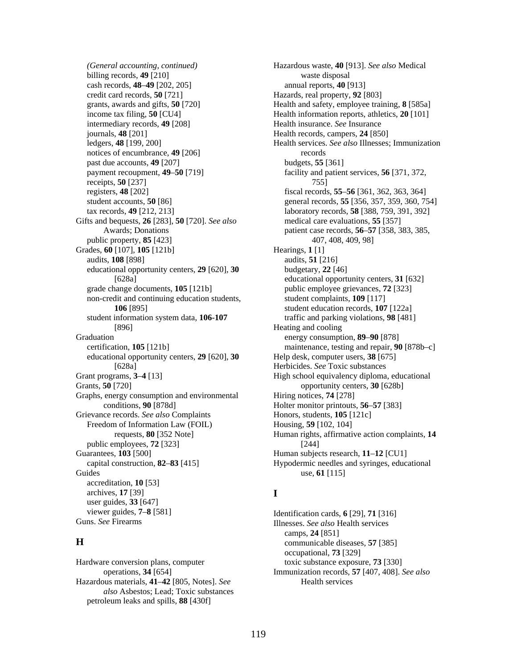*(General accounting, continued)*  billing records, **49** [210] cash records, **48**–**49** [202, 205] annual reports, **40** [913] credit card records, **50** [721] Hazards, real property, **92** [803] grants, awards and gifts, **50** [720] Health and safety, employee training, **8** [585a] income tax filing, **50** [CU4] Health information reports, athletics, **20** [101] intermediary records, **49** [208] Health insurance. *See* Insurance journals, **48** [201] **Health records, campers, 24** [850] notices of encumbrance, **49** [206] records past due accounts, **49** [207] budgets, **55** [361] payment recoupment, **49**–**50** [719] receipts, **50** [237] registers, **48** [202] fiscal records, **55**–**56** [361, 362, 363, 364] tax records, **49** [212, 213] laboratory records, **58** [388, 759, 391, 392] Gifts and bequests, **26** [283], **50** [720]. *See also* medical care evaluations, **55** [357] public property, **85** [423] 407, 408, 409, 98] Grades, **60** [107], **105** [121b] Hearings, **1** [1] audits, **108** [898] audits, **51** [216] educational opportunity centers, **29** [620], **30** budgetary, **22** [46] grade change documents, **105** [121b] public employee grievances, **72** [323] non-credit and continuing education students, student complaints, **109** [117] student information system data, **106-107** traffic and parking violations, **98** [481] [896] Heating and cooling Graduation energy consumption, **89–90** [878] educational opportunity centers, **29** [620], **30** [628a] Grant programs, **3–4** [13] High school equivalency diploma, educational Grants, **50** [720] **opportunity centers, <b>30** [628b] Graphs, energy consumption and environmental Hiring notices, **74** [278] conditions, **90** [878d] Holter monitor printouts, **56**–**57** [383] Grievance records. *See also* Complaints Honors, students, **105** [121c] Freedom of Information Law (FOIL) Housing, **59** [102, 104] public employees, **72** [323] [244] Guarantees, **103** [500] Human subjects research, **11**–**12** [CU1] Guides use, **61** [115] accreditation, **10** [53] archives, **17 I** [39] user guides, **33** [647] viewer guides, **7–8** [581] Identification cards, **6** [29], **71** [316] <br>Guns. See Firearms Illnesses See also Health services

Hardware conversion plans, computer toxic substance exposure, **73** [330] Hazardous materials, 41–42 [805, Notes]. *See* Health services *also* Asbestos; Lead; Toxic substances petroleum leaks and spills, **88** [430f]

Hazardous waste, **40** [913]. *See also* Medical waste disposal ledgers, **48** [199, 200] Health services. *See also* Illnesses; Immunization facility and patient services, **56** [371, 372, 755] student accounts, **50** [86] general records, **55** [356, 357, 359, 360, 754] Awards; Donations patient case records, **56**–**57** [358, 383, 385, [628a] educational opportunity centers, **31** [632] **106** [895] student education records, **107** [122a] certification, **105** [121b] maintenance, testing and repair, **90** [878b–c] Help desk, computer users, **38** [675] Herbicides. *See* Toxic substances requests, **80** [352 Note] Human rights, affirmative action complaints, **14** capital construction, **82–83** [415] Hypodermic needles and syringes, educational

Illnesses. See also Health services camps, **24** [851] **H** communicable diseases, **57** [385] occupational, **73** [329] operations, **34** [654] Immunization records, **57** [407, 408]. *See also*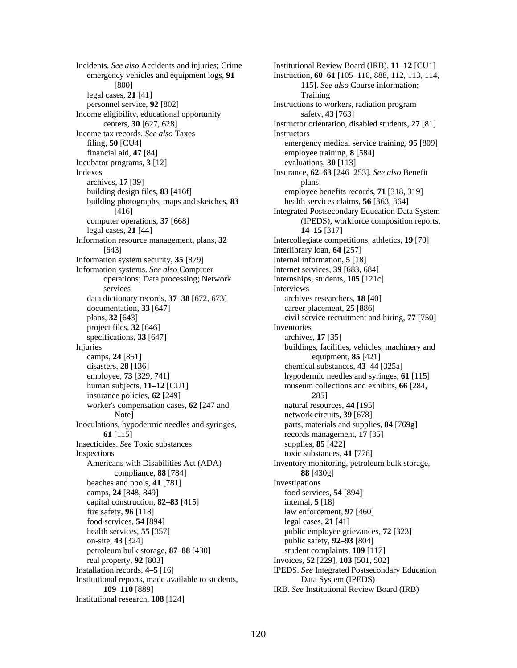emergency vehicles and equipment logs, **91** [800] legal cases, **21** [41] personnel service, **92** [802] Instructions to workers, radiation program Income eligibility, educational opportunity safety, **43** [763] Income tax records. *See also* Taxes Instructors financial aid, **47** [84] employee training, **8** [584] Incubator programs, **3** [12] evaluations, **30** [113] Indexes archives, **17** [39] building design files, **83** [416f] employee benefits records, **71** [318, 319] building photographs, maps and sketches, **83** health services claims, **56** [363, 364] computer operations, **37** [668] legal cases, **21** [44] Information resource management, plans, **32** [643] Information system security, **35** [879] Internal information, **5** [18] Information systems. *See also* Computer Internet services, **39** [683, 684] operations; Data processing; Network services data dictionary records, **37**–**38** [672, 673] archives researchers, **18** [40] documentation, **33** [647] career placement, **25** [886] project files, **32** [646] Inventories specifications, **33** [647] archives, **17** [35] Injuries buildings, facilities, vehicles, machinery and camps, **24** [851] equipment, **85** [421] disasters, **28** [136] chemical substances, **43**–**44** [325a] human subjects, **11–12** [CU1] museum collections and exhibits, **66** [284, insurance policies, **62** [249] 285] worker's compensation cases, **62** [247 and Note] Inoculations, hypodermic needles and syringes, parts, materials and supplies, **84** [769g] **61** [115] records management, **17** [35] Insecticides. *See* Toxic substances supplies, 85 [422] Inspections toxic substances, **41** [776] Americans with Disabilities Act (ADA) compliance, **88** [784] beaches and pools, **41** [781] Investigations camps, **24** [848, 849] food services, **54** [894] capital construction, **82**–**83** [415] internal, **5** [18] fire safety, **96** [118] law enforcement, **97** [460] food services, **54** [894] legal cases, **21** [41] health services, **55** [357] public employee grievances, **72** [323] on-site, **43** [324] public safety, **92**–**93** [804] petroleum bulk storage, **87**–**88** [430] student complaints, **109** [117] real property, **92** [803] Invoices, **52** [229], **103** [501, 502] Installation records, **4**–**5** [16] IPEDS. *See* Integrated Postsecondary Education Institutional reports, made available to students, Data System (IPEDS) Institutional research, **108** [124]

Incidents. *See also* Accidents and injuries; Crime Institutional Review Board (IRB), **11**–**12** [CU1] Instruction, **60**–**61** [105–110, 888, 112, 113, 114, 115]. *See also* Course information; Training centers, **30** [627, 628] Instructor orientation, disabled students, **27** [81] filing, **50** [CU4] emergency medical service training, **95** [809] Insurance, **62**–**63** [246–253]. *See also* Benefit plans [416] Integrated Postsecondary Education Data System (IPEDS), workforce composition reports, **14**–**15** [317] Intercollegiate competitions, athletics, **19** [70] Interlibrary loan, **64** [257] Internships, students, **105** [121c] Interviews plans, **32** [643] civil service recruitment and hiring, **77** [750] employee, **73** [329, 741] hypodermic needles and syringes, **61** [115] natural resources, **44** [195] network circuits, **39** [678] Inventory monitoring, petroleum bulk storage, **88** [430g] **109**–**110** [889] IRB. *See* Institutional Review Board (IRB)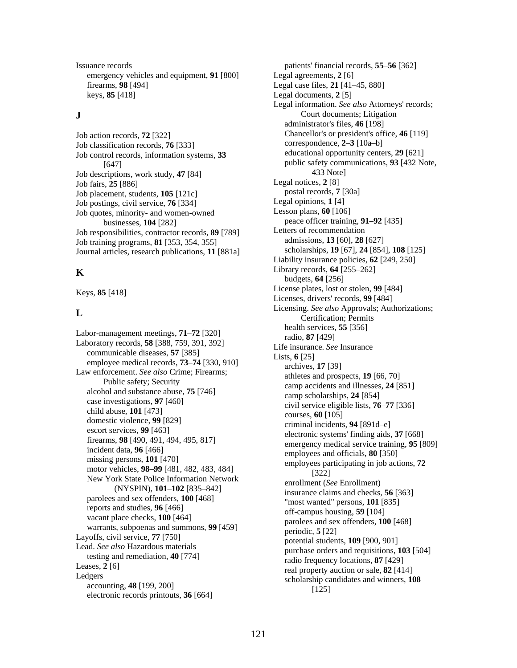Issuance records patients' financial records, **55**–**56** [362] emergency vehicles and equipment, **91** [800] Legal agreements, **2** [6] firearms, **98** [494] Legal case files, **21** [41–45, 880] keys, **85** [418] Legal documents, **2** [5]

Job classification records, **76** [333] correspondence, **2–3** [10a–b]<br>Job control records, information systems, **33** educational opportunity centers, **29** [621] Job control records, information systems, 33 Job descriptions, work study, **47** [84] Units,  $25 [886]$ <br>
Legal notices,  $2 [8]$ <br>
Legal notices,  $2 [8]$ <br>
postal records,  $7 [30a]$ **b** Job placement, students, **105** [121c] **postal records, 7** [304] **Dependent** Legal opinions, **1** [4] Legal opinions, **1** [4] Job postings, civil service, **76** [334] Job quotes, minority- and women-owned businesses, **104** [282] peace officer training, **91–92** [435] peace officer training, **91–92** [435] Job responsibilities, contractor records, **89** [789] Letters of recommendation<br>
Iob training programs **81** [353, 354, 355] admissions, **13** [60], **28** [627] admissions, **13** [60], **28** [627] Job training programs, **81** [353, 354, 355] **Journal articles, research publications, 11 [881a]** 

Labor-management meetings, 71–72 [320] health services, 55 [356]<br>
Laboratory records, 58 [388, 759, 391, 392]<br>
communicable diseases, 57 [385] Life insurance. See Insurance<br>
employee medical records, 73–74 [330, 910] Lists Law enforcement. See also Crime; Firearms;<br>
Public safety; Security<br>
earn accidents and prospects, **19** [66, 70]<br>
camp accidents and illnesses, **24** [851] mussing persons,  $\overline{101}$  [470]<br>motor vehicles, **98–99** [481, 482, 483, 484]<br>[322] New York State Police Information Network (EXECUTIV), 101-102 [033-642]<br>
parolees and sex offenders, 100 [468]<br>
vacant place checks, 100 [468]<br>
vacant place checks, 100 [464]<br>
warrants, subpoenas and summons, 99 [459]<br>
Layoffs, civil service, 77 [750]<br>
Lead. *See* gers<br>accounting, 48 [199, 200]<br>**EXECTE** Scholarship candidates and winners, 108<br>[125] electronic records printouts, **36** [664]

Legal information. *See also* Attorneys' records; **J Court documents; Litigation** administrator's files, **46** [198] Job action records, **72** [322] Chancellor's or president's office, **46** [119] Job classification records, **76** [333] Correspondence, **2**-3 [10a-b] FILE 1997)<br>
Finding work study **47** [841]<br>
public safety communications, **93** [432 Note,<br>
433 Note] Liability insurance policies, **62** [249, 250] **K** Library records, **64** [255–262] budgets, **64** [256] License plates, lost or stolen, **99** [484] Keys, **85** [418] Licenses, drivers' records, **99** [484] Licensing. *See also* Approvals; Authorizations; Lectising, see also Approvals<br>Certification; Permits Profit salety; Security<br>
alcohol and substance abuse, 75 [746]<br>
case investigations, 97 [460]<br>
child abuse, 101 [473]<br>
domestic violence, 99 [829]<br>
escort services, 99 [463]<br>
firearms, 98 [490, 491, 494, 495, 817]<br>
inciden (NYSPIN), **101–102** [835–842] enrollment (*See* Enrollment)<br>
insurance claims and checks, **56** [363]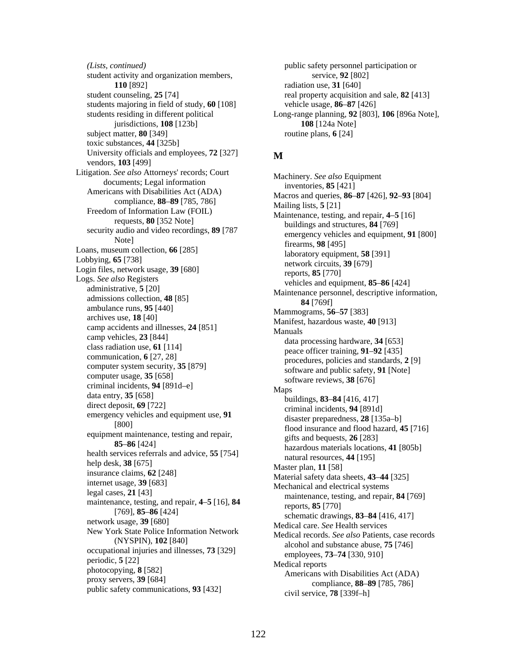student activity and organization members, service, **92** [802] **110** [892] radiation use, **31** [640] student counseling, **25** [74] real property acquisition and sale, **82** [413] students majoring in field of study, **60** [108] vehicle usage, **86**–**87** [426] students residing in different political jurisdictions, **108** [123b] subject matter, **80** [349] routine plans, **6** [24] toxic substances, **44** [325b] University officials and employees, **72** [327] **M**  vendors, **103** [499] Litigation. *See also* Attorneys' records; Court on. *See also* Altonieys records; Court Machinery. *See also* Equipment documents; Legal information inventories, **85** [421] Americans with Disabilities Act (ADA) Freedom of Information Law (FOIL) buildings and structures, **84** [769] security audio and video recordings, **89** [787 ambulance runs, 95 [440]<br>
archives use, 18 [40]<br>
camp accidents and illnesses, 24 [851]<br>
camp vehicles, 23 [844]<br>
camp vehicles, 23 [844]<br>
class radiation use, 61 [114]<br>
class radiation use, 61 [114]<br>
computer versue of t emergency vehicles and equipment use, 91<br>
[800] disaster preparedness, 28 [135a–b]<br>
flood insurance and flood hazard, 45 [716] equipment maintenance, testing and repair, **b**ealth services referrals and advice, 55 [754]<br>
health services referrals and advice, 55 [754]<br>
help desk, 38 [675]<br>
insurance claims, 62 [248]<br>
internet usage, 39 [683]<br>
legal cases, 21 [43]<br>
maintenance, testing, and maintenance, testing, and repair, 4–5 [16], 84<br>
[769], 85–86 [424]<br>
reports, 85 [770]<br>
schematic drawings, 83–84 [416, 417] network usage, **39** [680] **1946** Medical care. *See Health services* New York State Police Information Network Medical care. *See* Health services (NYSPIN), **102** [840] (INTERIV), **102** [840]<br>
occupational injuries and illnesses, **73** [329]<br>
periodic, **5** [22]<br>
photocopying, **8** [582]<br>
photocopying, **8** [582]<br>
Americans with Disabilities Act (ADA) protocopying, **6** [382] **compliance**, **88–89** [785, 786] **compliance**, **88–89** [785, 786] public safety communications, **93** [432] civil service, **78** [339f–h]

*(Lists, continued)* **public safety personnel participation or** Long-range planning, **92** [803], **106** [896a Note], **108** [124a Note]

compliance, **88**–**89** [785, 786] Macros and queries, **86**–**87** [426], **92**–**93** [804] requests, **80** [352 Note] Maintenance, testing, and repair, **4–5** [16] requests, **80** [352 Note] buildings and structures, **84** [769] audio and video recordings,  $\frac{\partial^2}{\partial \theta^2}$  emergency vehicles and equipment, **91** [800]<br>Note] firearms, **98** [495] Loans, museum collection, 66 [285]<br>
Loans, museum collection, 66 [285]<br>
Loans, museum collection, 66 [285]<br>
Login files, network usage, 39 [680]<br>
Login files, network usage, 39 [680]<br>
Login files, network usage, 39 [680]<br> administrative, 5 [20]<br>
admissions collection, 48 [85]<br>
ambulance runs, 95 [440]<br> **84** [769f]<br> **84** [769f]<br> **84** [769f] **<sup>85</sup>**–**86** [424] gifts and bequests, **26** [283] Medical records. *See also* Patients, case records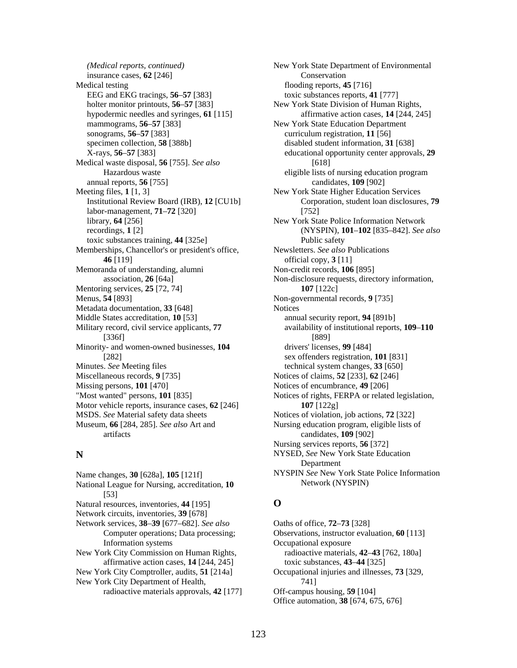insurance cases, **62** [246] Conservation Medical testing flooding reports, **45** [716] EEG and EKG tracings, **56**–**57** [383] toxic substances reports, **41** [777] holter monitor printouts, **56**–**57** [383] New York State Division of Human Rights, mammograms, **56–57** [383] New York State Education Department sonograms, **56**–**57** [383] curriculum registration, **11** [56] specimen collection, **58** [388b] disabled student information, **31** [638] X-rays, **56**–**57** [383] Medical waste disposal, **56** [755]. *See also* annual reports, **56** [755] candidates, **109** [902] Meeting files, **1** [1, 3] New York State Higher Education Services Institutional Review Board (IRB), **12** [CU1b] labor-management, **71**–**72** [320] library, **64** [256] New York State Police Information Network recordings, **1** [2] toxic substances training, **44** [325e] Memberships, Chancellor's or president's office, Newsletters. *See also* Publications **46** [119] official copy, **3** [11] Memoranda of understanding, alumni Non-credit records, **106** [895] Mentoring services, **25** [72, 74] **107** [122c] Menus, **54** [893] Non-governmental records, **9** [735] Metadata documentation, 33 [648] Notices Middle States accreditation, **10** [53] annual security report, **94** [891b] Military record, civil service applicants, **77** [336f] Minority- and women-owned businesses, **104** [282] Minutes. *See* Meeting files technical system changes, 33 [650] Miscellaneous records, **9** [735] Notices of claims, **52** [233], **62** [246] Missing persons, **101** [470] Notices of encumbrance, **49** [206] "Most wanted" persons, **101** [835] Notices of rights, FERPA or related legislation, Motor vehicle reports, insurance cases, **62** [246] **107** [122g] MSDS. *See* Material safety data sheets Notices of violation, job actions, **72** [322] Museum, **66** [284, 285]. *See also* Art and artifacts

Name changes, **30** [628a], **105** [121f] National League for Nursing, accreditation, **10** [53] Natural resources, inventories, **44** [195] **O**  Network circuits, inventories, **39** [678] Network services, **38**–**39** [677–682]. *See also* Computer operations; Data processing; Information systems New York City Commission on Human Rights, radioactive materials, **42**–**43** [762, 180a] affirmative action cases, **14** [244, 245] toxic substances, **43**–**44** [325] New York City Comptroller, audits, **51** [214a] Occupational injuries and illnesses, **73** [329, New York City Department of Health, 741] radioactive materials approvals, **42** [177] Off-campus housing, **59** [104]

*(Medical reports, continued)* New York State Department of Environmental hypodermic needles and syringes, **61** [115] affirmative action cases, **14** [244, 245] educational opportunity center approvals, **29** [618] Hazardous waste eligible lists of nursing education program Corporation, student loan disclosures, **79** [752] (NYSPIN), **101**–**102** [835–842]. *See also* Public safety association, **26** [64a] Non-disclosure requests, directory information, availability of institutional reports, **109**–**110** [889] drivers' licenses, **99** [484] sex offenders registration, **101** [831] Nursing education program, eligible lists of candidates, **109** [902] Nursing services reports, **56** [372] **N NYSED**, *See* New York State Education Department NYSPIN *See* New York State Police Information Network (NYSPIN)

Oaths of office, **72**–**73** [328] Observations, instructor evaluation, **60** [113] Occupational exposure Office automation, **38** [674, 675, 676]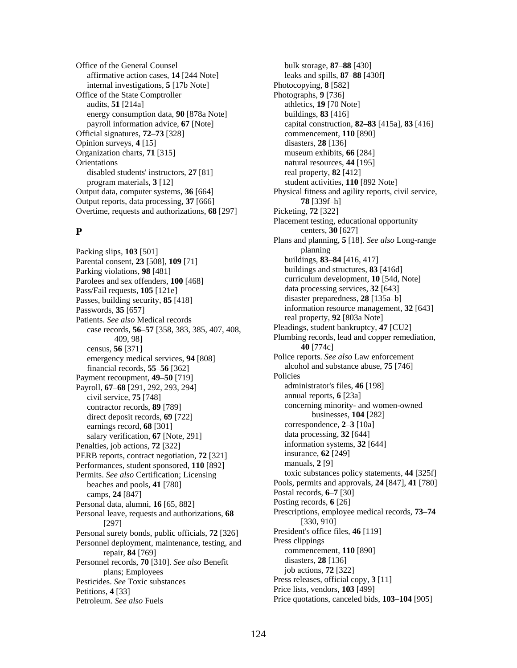Office of the General Counsel bulk storage, **87–88** [430] affirmative action cases, **14** [244 Note] leaks and spills, **87**–**88** [430f] internal investigations, **5** [17b Note] Photocopying, **8** [582] Office of the State Comptroller Photographs, 9 [736] audits, **51** [214a] athletics, **19** [70 Note] energy consumption data, **90** [878a Note] buildings, **83** [416] Official signatures, **72**–**73** [328] commencement, **110** [890] Opinion surveys, **4** [15] disasters, **28** [136] Organization charts, **71** [315] museum exhibits, **66** [284] Orientations natural resources, **44** [195] disabled students' instructors, 27 [81] real property, 82 [412] program materials, **3** [12] student activities, **110** [892 Note] Output reports, data processing, **37** [666] **78** [339f–h] Overtime, requests and authorizations, **68** [297] Picketing, **72** [322]

Packing slips, **103** [501] planning<br>
Parental consent. **23** [508]. **109** [71] buildings, **83–84** [416, 417] Parental consent, 23<sup>[508]</sup>, 109<sup>[71]</sup> Parking violations, **98** [481] **Example 28** buildings and structures, **83** [416d] Parolees and sex offenders, **100** [468] curriculum development, **10** [54d, Note] Pass/Fail requests, **105** [121e] data processing services, **32** [643] data processing services, **32** [643]  $\frac{135a-b}{}$ Passes, building security, 85<sup>[418]</sup> Passwords, **35** [657] **information resource management, <b>32** [643] **Patients** See also Medical records **information** resource management, **32** [643] **Patients** See also Medical records Patients. *See also* Medical records<br>
case records **56–57** [358–383–385–407–408 Pleadings, student bankruptcy, **47** [CU2] case records, 56–57 [358, 383, 385, 407, 408, **40** [774c] census, **56** [371] emergency medical services, **94** [808] Police reports. *See also* Law enforcement financial records, **55–56** [362] alcohol and substance abuse, **75** [746] <br>given trecoupment **49–50** [719] Policies Payment recoupment, **49–50** [719] Policies<br>Payroll **67–68** [291–292–293–2941 **Policies** administrator's files, **46** [198] Payroll, **67–68** [291, 292, 293, 294] annual reports, **6** [23a] civil service, **75** [748] contractor records, **89** [789] direct deposit records, **69** [722] earnings record, **68** [301] correspondence, 2–3 [10a] calary verification **67** [Note 291] data processing, 32 [644] salary verification, **67** [Note, 291] data processing, **32** [644] data processing, **32** [644] salties iob actions **72** [322] Penalties, job actions, **72** [322] **111** information systems<br>PERB reports contract negotiation **72** [321] **1244** insurance, **62** [249] PERB reports, contract negotiation, **72** [321] **Insurance, <b>62** [<br>Performances student sponsored **110** [892] **IDEN** manuals, **2** [9] Performances, student sponsored, **110** [892] Permits. See also Certification; Licensing toxic substances policy statements, 44 [325f] **Examps, 24** [847] **Postal records, 6–7** [30] **Postal records, 6–7** [30] **Postal records, 6–7** [30] Personal data, alumni, **16** [65, 882] Personal leave, requests and authorizations, **68** [297] Personal surety bonds, public officials, **72** [326] President's office files, **46** [119] **Personnel deployment** maintenance testing and **Press clippings** Personnel deployment, maintenance, testing, and repair, **84** [769] commencement, **110** [890] commencement, **110** [890] el records **70** [310] See also Benefit disasters, **28** [136] Personnel records, **70** [310]. *See also* Benefit plans; Employees job actions, **72** [322] Pesticides. See Toxic substances Press releases, official copy, 3 [11] Petitions, **4** [33] **Price lists, vendors, <b>103** [499] Petroleum. *See also* Fuels **Fuels Price quotations, canceled bids, 103–104** [905]

payroll information advice, **67** [Note] capital construction, **82**–**83** [415a], **83** [416] Output data, computer systems, **36** [664] Physical fitness and agility reports, civil service, Placement testing, educational opportunity **P** centers, **30** [627] Plans and planning, **5** [18]. *See also* Long-range 409, 98] Plumbing records, lead and copper remediation, concerning minority- and women-owned businesses, **104** [282] beaches and pools, **41** [780] **Exercise 24** [847], **41** [780] **Exercise 24** [847], **41** [780] Prescriptions, employee medical records, **73**–**74** [330, 910]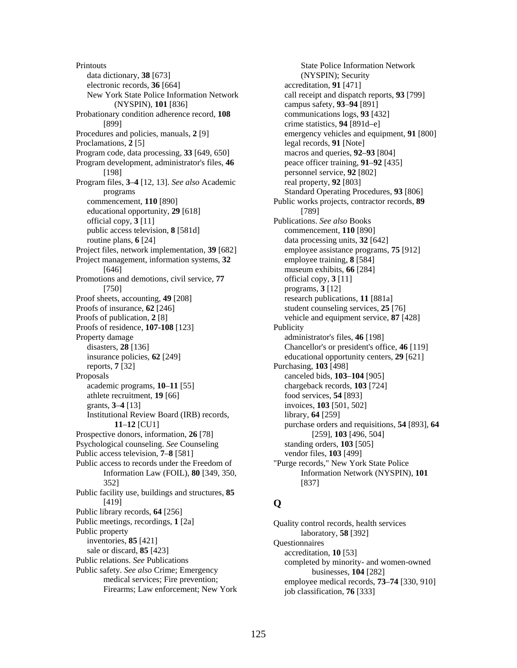**Printouts** data dictionary, **38** [673] electronic records, **36** [664] New York State Police Information Network (NYSPIN), **101** [836] Probationary condition adherence record, **108** [899] Procedures and policies, manuals, **2** [9] Proclamations, **2** [5] Program code, data processing, **33** [649, 650] Program development, administrator's files, **46** [198] Program files, **3**–**4** [12, 13]. *See also* Academic programs commencement, **110** [890] educational opportunity, **29** [618] official copy, **3** [11] public access television, **8** [581d] routine plans, **6** [24] Project files, network implementation, **39** [682] Project management, information systems, **32** [646] Promotions and demotions, civil service, **77** [750] Proof sheets, accounting, **49** [208] Proofs of insurance, **62** [246] Proofs of publication, **2** [8] Proofs of residence, **107-108** [123] Property damage disasters, **28** [136] insurance policies, **62** [249] reports, **7** [32] Proposals academic programs, **10**–**11** [55] athlete recruitment, **19** [66] grants, **3**–**4** [13] Institutional Review Board (IRB) records, **11**–**12** [CU1] Prospective donors, information, **26** [78] Psychological counseling. *See* Counseling Public access television, **7**–**8** [581] Public access to records under the Freedom of Information Law (FOIL), **80** [349, 350, 352] Public facility use, buildings and structures, **85** [419] Public library records, **64** [256] Public meetings, recordings, **1** [2a] Public property inventories, **85** [421] sale or discard, **85** [423] Public relations. *See* Publications Public safety. *See also* Crime; Emergency medical services; Fire prevention; Firearms; Law enforcement; New York

State Police Information Network (NYSPIN); Security accreditation, **91** [471] call receipt and dispatch reports, **93** [799] campus safety, **93**–**94** [891] communications logs, **93** [432] crime statistics, **94** [891d–e] emergency vehicles and equipment, **91** [800] legal records, **91** [Note] macros and queries, **92**–**93** [804] peace officer training, **91**–**92** [435] personnel service, **92** [802] real property, **92** [803] Standard Operating Procedures, **93** [806] Public works projects, contractor records, **89** [789] Publications. *See also* Books commencement, **110** [890] data processing units, **32** [642] employee assistance programs, **75** [912] employee training, **8** [584] museum exhibits, **66** [284] official copy, **3** [11] programs, **3** [12] research publications, **11** [881a] student counseling services, **25** [76] vehicle and equipment service, **87** [428] Publicity administrator's files, **46** [198] Chancellor's or president's office, **46** [119] educational opportunity centers, **29** [621] Purchasing, **103** [498] canceled bids, **103**–**104** [905] chargeback records, **103** [724] food services, **54** [893] invoices, **103** [501, 502] library, **64** [259] purchase orders and requisitions, **54** [893], **64** [259], **103** [496, 504] standing orders, **103** [505] vendor files, **103** [499] "Purge records," New York State Police Information Network (NYSPIN), **101** [837]

# **Q**

Quality control records, health services laboratory, **58** [392] Questionnaires accreditation, **10** [53] completed by minority- and women-owned businesses, **104** [282] employee medical records, **73**–**74** [330, 910] job classification, **76** [333]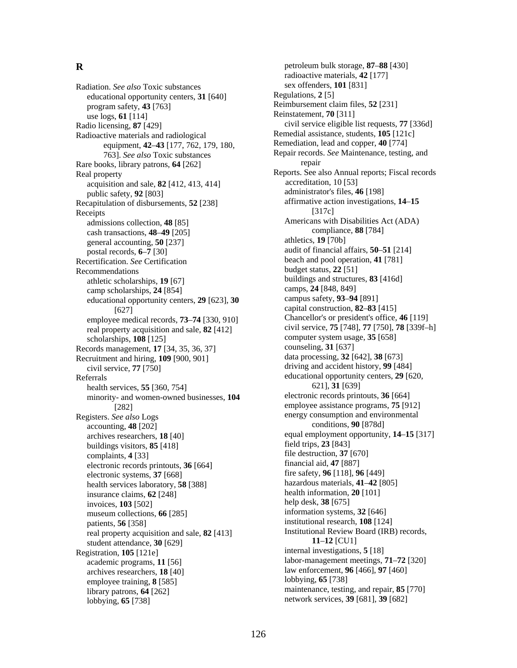Radiation. *See also* Toxic substances<br>
educational opportunity centers, 31 [640] Regulations, 2 [5] educational opportunity centers, 31 [640] program safety, **43** [763] **Reimbursement claim files, <b>52** [231] use logs, **61** [114] **Exercise 2** Reinstatement, **70** [311] Radio licensing, 87 [429] civil service eligible list requests, 77 [336d] Radioactive materials and radiological Remedial assistance, students, 105<sup>[121c]</sup> equipment, **42**–**43** [177, 762, 179, 180, 763]. *See also* Toxic substances Rare books, library patrons, **64** [262] repair Real property<br>
Reports. See also Annual reports; Fiscal records<br>
acculisition and sale 82 [412, 413, 414]<br>
Reports. See also Annual reports; Fiscal records acquisition and sale, **82** [412, 413, 414] public safety, **92** [803] **administrator's files, <b>46** [198] Recapitulation of disbursements, **52** [238] Receipts admissions collection, **48** [85] cash transactions, **48**–**49** [205] general accounting,  $\overline{50}$   $\overline{237}$  [237]  $\overline{237}$  athletics, **19** [70b] postal records, **6**–**7** audit of financial affairs, **50**–**51** [214] [30] Recertification. *See* Certification beach and pool operation, 41 [781] Recommendations budget status, **22** [51] athletic scholarships, **19** [67] buildings and structures, **83** [416d] camp scholarships, **24** [848, 849] camp scholarships, 24 [854] camps, 24 [848, 849]<br>educational opportunity centers 29 [623] 30 campus safety, 93–94 [891] educational opportunity centers, 29 [623], 30 real property acquisition and sale, **82** [412] scholarships, **108** [125] computer system usage, **35** [658] computer system usage, **35** [658] cords management **17** [34, 35, 36, 37] Records management, **17** [34, 35, 36, 37] Recruitment and hiring, **109** [900, 901] data processing, **32** [642], **38** [673] driving and accident history, **99** [484] civil service, **77** [750] Referrals health services, **55** [360, 754] minority- and women-owned businesses, **104** electronic records printouts, **36** [664] Registers. *See also* Logs accounting, **48** [202] buildings visitors,  $85$  [418] complaints, **4** [33] file destruction, **37** [670] electronic records printouts. **36** [664] financial aid, **47** [887] electronic records printouts, 36<sup>[664]</sup> fire safety, **96** [118], **96** [449] electronic systems, **37** [668] health services laboratory, **58** [388] hazardous materials, **41–42** [805] insurance claims, **62** [248] health information, **20** [101] invoices **103** [502] help desk, **38** [675] invoices, **103** [502] museum collections, **66** [285] **information systems**, **32** [646] patients, **56** [358] **institutional research, <b>108** [124] real property acquisition and sale, **82** [413] student attendance, **30** [629] Registration, 105<sup>[121e]</sup> internal investigations, **5** [18] labor-management meetings, **71**–**72** [320] academic programs, **11** [56] archives researchers, **18** [40] law enforcement, **96** [466], **97** [460] <br>employee training **8** [585] lobbying, **65** [738] employee training, **8** [585] library patrons, **64** [262] **maintenance**, testing, and repair, **85** [770] network services, **39** [681], **39** [682] lobbying, **65** [738]

**R** petroleum bulk storage, **87**–**88** [430] radioactive materials, **42** [177] Remediation, lead and copper, **40** [774] Repair records. *See* Maintenance, testing, and affirmative action investigations, **14**–**15** [317c] Americans with Disabilities Act (ADA) compliance, **88** [784] [627]<br>
ee medical records **73–74** [330, 910]<br>
Chancellor's or president's office, **46** [119] employee medical records, **73–74** [330, 910] Chancellor's or president's office, **46** [119] enal property acquisition and sale **82** [412] civil service, **75** [748], **77** [750], **78** [339f-h] educational opportunity centers, **29** [620, 621], **31** [639] [282] employee assistance programs, **75** [912] energy consumption and environmental conditions, **90** [878d] equal employment opportunity, **14–15** [317]<br>huildings visitors **85** [418] **archives** researchers, **18** [40] **huildings** visitors **85** [418] Institutional Review Board (IRB) records, **11**–**12** [CU1]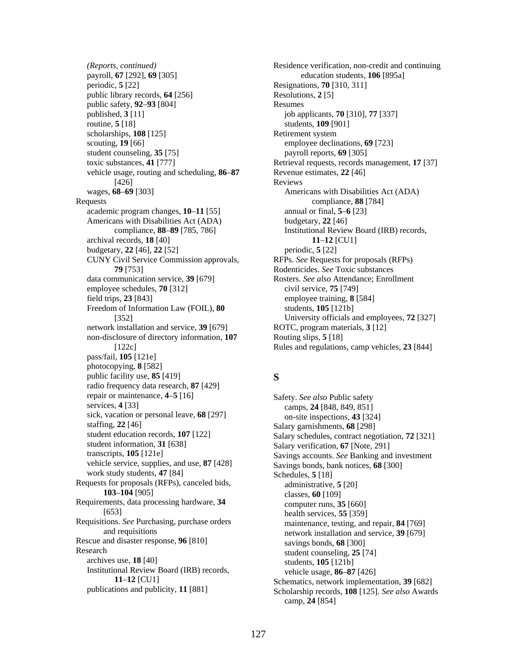payroll, **67** [292], **69** [305] education students, **106** [895a] periodic, **5** [22] Resignations, **70** [310, 311] public library records, **64** [256] Resolutions, 2 [5] public safety, **92**–**93** [804] Resumes published, **3** [11] job applicants, **70** [310], **77** [337] routine, **5** [18] students, **109** [901] scholarships, **108** [125] Retirement system scouting, **19** [66] employee declinations, **69** [723] student counseling, 35 [75] payroll reports, 69 [305] vehicle usage, routing and scheduling, **86**–**87** Revenue estimates, **22** [46] [426] Reviews wages, **68–69** [303] Americans with Disabilities Act (ADA) Requests compliance, **88** [784] academic program changes, **10**–**11** [55] annual or final, **5**–**6** [23] Americans with Disabilities Act (ADA) budgetary, 22 [46] archival records, **18** [40] **11**–**12** [CU1] budgetary, **22** [46], **22** [52] periodic, **5** [22] periodic, **5** [22] **CUNY** Civil Service Commission approvals, RFPs. *See* Requests for proposals (RFPs) CUNY Civil Service Commission approvals, **79** [753] Rodenticides. *See* Toxic substances data communication service, **39** [679] Rosters. *See also* Attendance; Enrollment employee schedules, **70** [312] civil service, **75** [749] field trips, **23** [843] employee training, **8** [584] Freedom of Information Law (FOIL), **80** [352] network installation and service, **39** [679] ROTC, program materials, **3** [12] non-disclosure of directory information, **107** [122c] pass/fail, **105** [121e] photocopying, **8** [582] public facility use, **85** [419] **S** radio frequency data research, **87** [429] repair or maintenance, **4–5** [16] Safety. *See also* Public safety<br>services, **4** [33] camps **24** [848, 849, 851] sick, vacation or personal leave, **68** [297] on-site inspections, **43** [324] staffing, **22** [46] **Salary garmishments 68** [298] staffing, 22 [46]<br>student education records, 107 [122]<br>Salary schedules, contract neg student information, **31** [638]<br>transcripts, **105** [121e] Savings accounts See Banking and vehicle service, supplies, and use, **87** [428] Savings bonds, bank notices, **68** [300] work study students, 47 [84] Schedules, 5 [18] Requests for proposals (RFPs), canceled bids, **103**–**104** [905] Requirements, data processing hardware, **34** [653] Requisitions. *See* Purchasing, purchase orders and requisitions Rescue and disaster response, **96** [810] savings bonds, **68** [300] Research search student counseling, **25** [74]<br>archives use, **18** [40] students **105** [121b] Institutional Review Board (IRB) records, **11**–**12** [CU1]

*(Reports, continued)* Residence verification, non-credit and continuing toxic substances, 41<sup>[777]</sup> Retrieval requests, records management, 17<sup>[37]</sup> compliance, **88**–**89** [785, 786] Institutional Review Board (IRB) records, students, **105** [121b] University officials and employees, **72** [327] Routing slips, **5** [18] Rules and regulations, camp vehicles, **23** [844]

camps, 24 [848, 849, 851] student education records, **107** [122] Salary schedules, contract negotiation, **72** [321] Salary verification **67** [Note 291] Savings accounts. See Banking and investment administrative, **5** [20] classes, **60** [109] computer runs, **35** [660] health services, **55** [359] maintenance, testing, and repair, **84** [769] network installation and service, **39** [679] students, **105** [121b] vehicle usage, **86**–**87** [426] Schematics, network implementation, **39** [682] publications and publicity, **11** [881] Scholarship records, **108** [125]. *See also* Awards camp, **24** [854]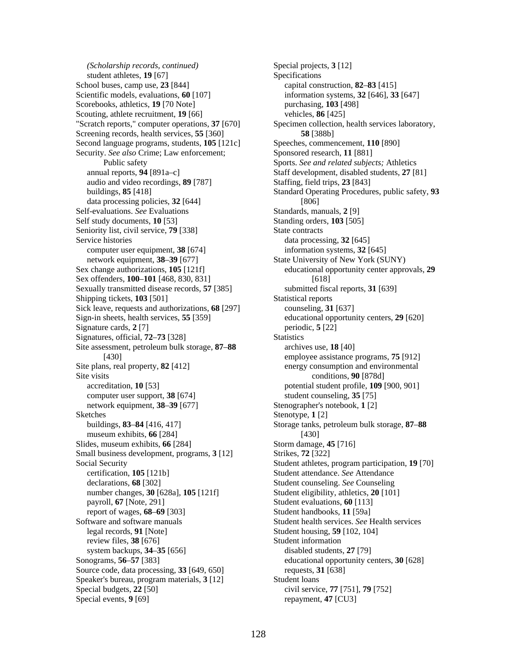*(Scholarship records, continued)* Special projects, 3 [12] student athletes, **19** [67] Specifications School buses, camp use, **23** [844] capital construction, **82**–**83** [415] Scientific models, evaluations, **60** [107] information systems, **32** [646], **33** [647] Scorebooks, athletics, **19** [70 Note] purchasing, **103** [498] Scouting, athlete recruitment, **19** [66] vehicles, **86** [425] "Scratch reports," computer operations, 37 [670] Specimen collection, health services laboratory, Screening records, health services, **55** [360] **58** [388b] Second language programs, students, **105** [121c] Speeches, commencement, **110** [890] Security. See also Crime; Law enforcement; Sponsored research, 11 [881] annual reports, **94** [891a–c] Staff development, disabled students, **27** [81] audio and video recordings, **89** [787] Staffing, field trips, **23** [843] data processing policies, **32** [644] [806] Self-evaluations. *See* Evaluations Standards, manuals, 2 [9] Self study documents, **10** [53] Standing orders, **103** [505] Seniority list, civil service, **79** [338] State contracts Service histories data processing, **32** [645] computer user equipment, **38** [674] information systems, **32** [645] network equipment, **38–39** [677] State University of New York (SUNY) Sex change authorizations, **105** [121f] educational opportunity center approvals, **29** Sex offenders, **100**–**101** [468, 830, 831] [618] Sexually transmitted disease records, **57** [385] submitted fiscal reports, **31** [639] Shipping tickets, **103** [501] Statistical reports Sick leave, requests and authorizations, **68** [297] counseling, **31** [637] Sign-in sheets, health services, **55** [359] educational opportunity centers, **29** [620] Signature cards, 2 [7] periodic, 5 [22] Signatures, official, **72–73** [328] Statistics Site assessment, petroleum bulk storage, **87**–**88** [430] Site plans, real property, **82** [412] energy consumption and environmental Site visits **Site visits** conditions, **90** [878d] accreditation, **10** [53] potential student profile, **109** [900, 901] computer user support, **38** [674] student counseling, **35** [75] network equipment, **38**–**39** [677] Stenographer's notebook, **1** [2] Sketches Stenotype, **1** [2] buildings, **83**–**84** [416, 417] museum exhibits, **66** [284] Slides, museum exhibits, **66** [284] Storm damage, **45** [716] Small business development, programs, **3** [12] Strikes, **72** [322] Social Security Student athletes, program participation, **19** [70] certification, **105** [121b] Student attendance. *See* Attendance declarations, **68** [302] Student counseling. *See* Counseling number changes, **30** [628a], **105** [121f] Student eligibility, athletics, **20** [101] payroll, **67** [Note, 291] Student evaluations, **60** [113] report of wages, **68**–**69** [303] Student handbooks, **11** [59a] Software and software manuals Student health services. *See* Health services legal records, **91** [Note] Student housing, **59** [102, 104] review files, **38** [676] Student information system backups, **34–35** [656] disabled students, **27** [79] Sonograms, **56**–**57** [383] educational opportunity centers, **30** [628] Source code, data processing, **33** [649, 650] requests, **31** [638] Speaker's bureau, program materials, 3 [12] Student loans Special budgets, **22** [50] civil service, **77** [751], **79** [752] Special events, **9** [69] repayment, **47** [CU3]

Public safety Sports. *See and related subjects;* Athletics buildings, **85** [418] Standard Operating Procedures, public safety, **93** archives use, **18** [40] employee assistance programs, **75** [912] Storage tanks, petroleum bulk storage, **87**–**88** [430]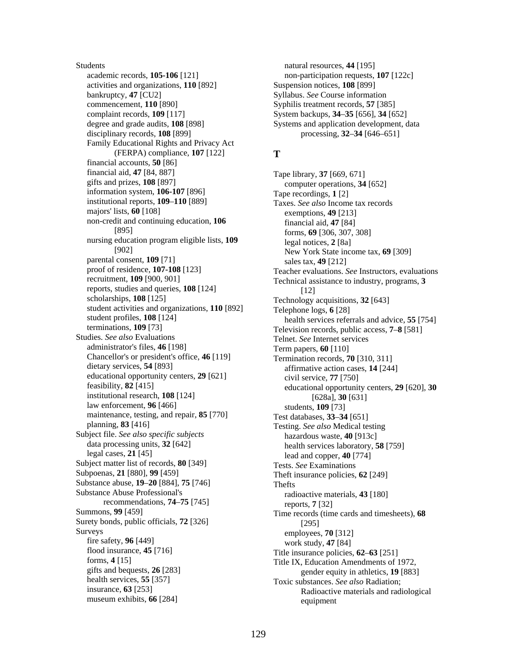Students natural resources, **44** [195] academic records, **105-106** [121] non-participation requests, **107** [122c] activities and organizations, **110** [892] Suspension notices, **108** [899] bankruptcy, **47** [CU2] Syllabus. *See* Course information commencement, **110** [890] Syphilis treatment records, **57** [385] complaint records, **109** [117] System backups, **34**–**35** [656], **34** [652] degree and grade audits, 108 [898] Systems and application development, data disciplinary records, **108** [899] processing, **32**–**34** [646–651] Family Educational Rights and Privacy Act (FERPA) compliance, **107** [122] **T**  financial accounts, **50** [86] financial aid, **47** [84, 887] Tape library, **37** [669, 671] gifts and prizes, **108** [897] Computer operations **34** information system, **106-107** [896] Tape recordings, **1** [2] institutional reports, **109–110** [889] Taxes See also Incom institutional reports, **109–110** [889] Taxes. *See also* Income tax records<br>majors' lists, **60** [108] exemptions **49** [213] non-credit and continuing education, **106** [895] nursing education program eligible lists, **109** [902] parental consent, **109** [71] sales tax, **49** [212] proof of residence, **107-108** [123] **Sales tax, 49** [212] [12] reports, studies and queries, **108** [124] student activities and organizations, **110** [892] Telephone logs, **6** [28] student profiles, **108** [124] health services refer terminations, **109** [73] Television records, public access, **7–8** [581] Studies. See also Evaluations Television records, public access, **7–8** [581] administrator's files, **46** [198] Term papers, **60** [110] Chancellor's or president's office, **46** [119] Termination records, **70** [310, 311] dietary services, **54** [893] **Termination** records, **70** [310, 311] educational opportunity centers, **29** [621] civil service, **77** [750] feasibility, **82** [415] educational opportuni [628a], **30** [631] institutional research, **108** [124] law enforcement, **96** [466] students, **109** [73] maintenance, testing, and repair, 85<sup>[770]</sup> Test databases, 33–34<sup>[651]</sup> planning, **83** [416] Testing. *See also* Medical testing Subject file. *See also specific subjects* hazardous waste, **40** [913c] data processing units, **32** [642] health services laboratory is data processing units, **32** [642] health services laboratory, **58** [759] health services laboratory, **58** [759] head and comper **40** [774] Subject matter list of records, **80** [349] Tests. *See* Examinations<br>Subpoenas, 21 [880], 99 [459] The The The Theory of The Theory Substance abuse, **19**–**20** [884], **75** [746] Thefts Substance Abuse Professional's recommendations, **74**–**75** [745] Summons, **99** [459] Time records (time cards and timesheets), **68** Surety bonds, public officials, **72** [326] [326] [295] [326] veys employees, **70** [312]<br>fire safety, **96** [449] work study **47** [841] fire safety, **96** [449] work study, **47** [84] work study, **47** [84] work study, **47** [84] flood insurance, **45** [716] Title insurance policies, **62–63** [251] forms, **4** [15]  $\frac{1}{5}$  Title IX Education Amendments of 1 forms, **4** [15]<br>gifts and bequests, **26** [283] Title IX, Education Amendments of 1972,<br>gifts and bequests, **26** [283] eender equity in athletics **19** [883] gifts and bequests, **26** [283]<br>health services, **55** [357] [283] **[283]** [283] [283] **[283]** [28] **[28]** [28] **[28] [28]** [28] **[28] [28]** [28] **[28] [28] [28] [28] [28] [28] [28] [28] [28] [28] [28** insurance, **63** [253] museum exhibits, **66** [284]

computer operations, **34** [652] exemptions, **49** [213] financial aid, **47** [84] forms, **69** [306, 307, 308] legal notices, **2** [8a] New York State income tax, **69** [309] proof of residence, **107-108** [123] Teacher evaluations. *See* Instructors, evaluations<br>recruitment, **109** [900, 901] Technical assistance to industry programs 3 Technical assistance to industry, programs, 3 Technology acquisitions, 32 [643] student profiles, **108** [124] health services referrals and advice, **55** [754] health services referrals and advice, **55** [754] health services referrals and advice, **55** [754] Telnet. See Internet services affirmative action cases, **14** [244] feasibility, **82** [415] educational opportunity centers, **29** [620], **30** lead and copper,  $40$  [774] Theft insurance policies, **62** [249] radioactive materials, **43** [180] reports, **7** [32] Toxic substances. See also Radiation; Radioactive materials and radiological equipment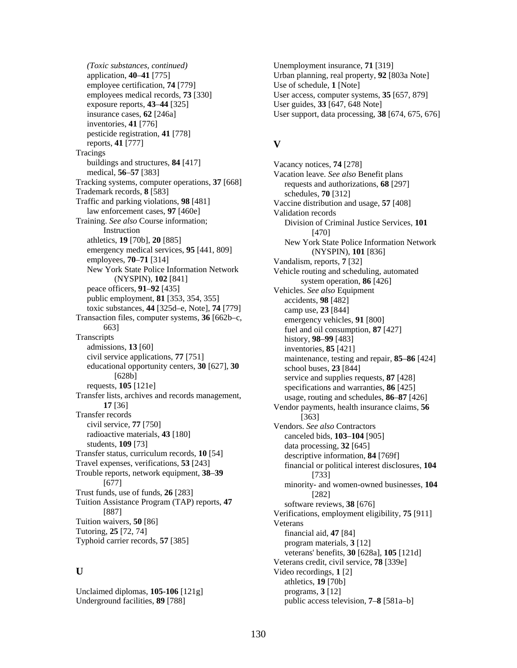*(Toxic substances, continued)* Unemployment insurance, **71** [319] application, **40**–**41** [775] Urban planning, real property, **92** [803a Note] employee certification, **74** [779] Use of schedule, **1** [Note] employees medical records, **73** [330] User access, computer systems, **35** [657, 879] exposure reports, **43**–**44** [325] User guides, **33** [647, 648 Note] inventories, **41** [776] pesticide registration, **41** [778] **V** reports, **41** [777] **Tracings** buildings and structures, **84** [417] Vacancy notices, **74** [278] medical, **56–57** [383] Vacation leave See also B Tracking systems, computer operations, 37 [668] requests and authorizations, 68 [297] Trademark records, **8** [583] schedules, **70** [312]<br>Traffic and parking violations, **98** [481] Vaccine distribution an law enforcement cases, 97<sup>[460e]</sup> Validation records Training. *See also* Course information; Instruction emergency medical services, **95** [441, 809] (NYSPIN), **101** [836]<br>employees, **70–71** [314] Vandalism. reports. **7** [32] New York State Police Information Network (NYSPIN), **102** [841] peace officers, **91**–**92** [435] Vehicles. *See also* Equipment public employment, **81** [353, 354, 355] accidents, **98** [482] toxic substances, **44** [325d–e, Note], **74** [779] camp use, **23** [844] Transaction files, computer systems, **36** [662b–c, 663] Transcripts history, **98–99** [483]<br>admissions, **13** [60] history, **98–99** [483] admissions, **13** [60] inventories, **85** [421] civil service applications, **77** [751] maintenance testing educational opportunity centers, **30** [627], **30** [628b] requests, **105** [121e] specifications and warranties, **86** [425] Transfer lists, archives and records management, **17** [36] Transfer records [363]<br>civil service, 77 [750] Vendors See radioactive materials, **43** [180] canceled bids, **103–104** [905] students, **109** [73] data processing **32** [645] Transfer status, curriculum records, **10** [54] descriptive information, **84** [769f]<br>Travel expenses, verifications, **53** [243] financial or political interest disclo Trouble reports, network equipment, **38–39** [733]<br>[733] [677] **provided** Trust funds, use of funds, **26** [283] [282] Tuition Assistance Program (TAP) reports, **47** [887] Tuition waivers, **50** [86] Veterans<br>Tutoring, **25** [72, 74] financ

Unclaimed diplomas, **105-106** [121g] programs, **3** [12]

insurance cases, **62** [246a] User support, data processing, **38** [674, 675, 676]

Vacation leave. See also Benefit plans Vaccine distribution and usage, **57** [408] Division of Criminal Justice Services, **101** [470] athletics, **19** [70b], **20** [885] New York State Police Information Network **Vandalism, reports, 7** [32] Vehicle routing and scheduling, automated system operation, **86** [426] emergency vehicles, **91** [800] fuel and oil consumption, **87** [427] maintenance, testing and repair, 85–86 [424] school buses, **23** [844] service and supplies requests, **87** [428] usage, routing and schedules, **86**–**87** [426] Vendor payments, health insurance claims, **56** Vendors. See also Contractors data processing,  $32$  [645] financial or political interest disclosures,  $104$ minority- and women-owned businesses,  $104$ software reviews, **38** [676] Verifications, employment eligibility, **75** [911] financial aid, **47** [84] Typhoid carrier records, **57** [385] program materials, **3** [12] veterans' benefits, **30** [628a], **105** [121d] Veterans credit, civil service, **78** [339e] **U** Video recordings, **1** [2] athletics, **19** [70b] Underground facilities, **89** [788] public access television, **7–8** [581a–b]